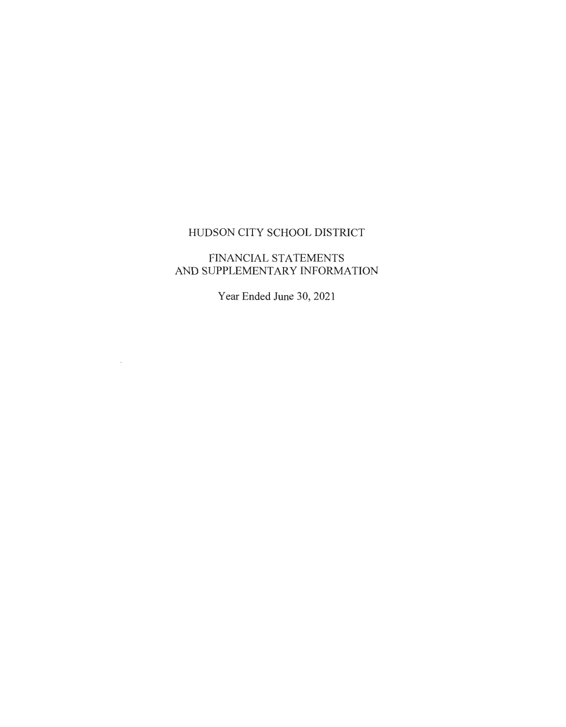# FINANCIAL STATEMENTS AND SUPPLEMENTARY INFORMATION

Year Ended June 30, 2021

 $\sim 10^{-11}$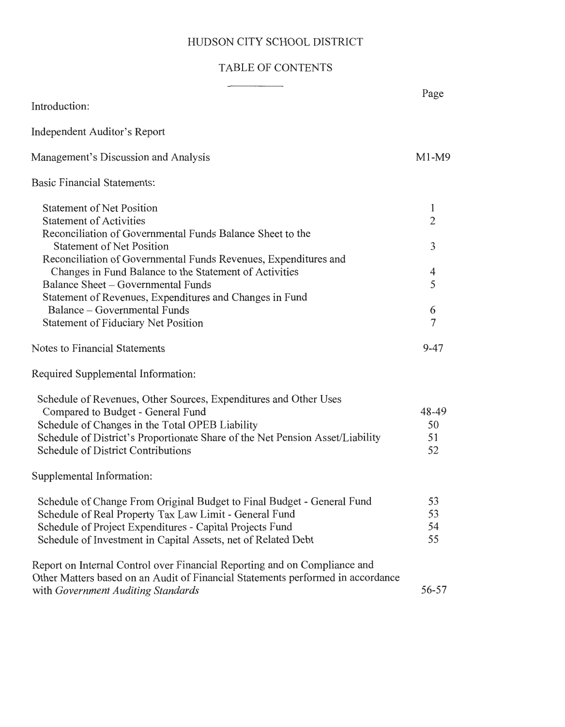# TABLE OF CONTENTS

|                                                                                                                                                                                                                                                                                        | Page                    |
|----------------------------------------------------------------------------------------------------------------------------------------------------------------------------------------------------------------------------------------------------------------------------------------|-------------------------|
| Introduction:                                                                                                                                                                                                                                                                          |                         |
| Independent Auditor's Report                                                                                                                                                                                                                                                           |                         |
| Management's Discussion and Analysis                                                                                                                                                                                                                                                   | $M1-M9$                 |
| <b>Basic Financial Statements:</b>                                                                                                                                                                                                                                                     |                         |
| <b>Statement of Net Position</b><br><b>Statement of Activities</b><br>Reconciliation of Governmental Funds Balance Sheet to the                                                                                                                                                        | 1<br>$\overline{2}$     |
| <b>Statement of Net Position</b><br>Reconciliation of Governmental Funds Revenues, Expenditures and                                                                                                                                                                                    | 3                       |
| Changes in Fund Balance to the Statement of Activities<br>Balance Sheet – Governmental Funds<br>Statement of Revenues, Expenditures and Changes in Fund                                                                                                                                | 4<br>5                  |
| Balance – Governmental Funds<br><b>Statement of Fiduciary Net Position</b>                                                                                                                                                                                                             | 6<br>7                  |
| Notes to Financial Statements                                                                                                                                                                                                                                                          | $9 - 47$                |
| Required Supplemental Information:                                                                                                                                                                                                                                                     |                         |
| Schedule of Revenues, Other Sources, Expenditures and Other Uses<br>Compared to Budget - General Fund<br>Schedule of Changes in the Total OPEB Liability<br>Schedule of District's Proportionate Share of the Net Pension Asset/Liability<br><b>Schedule of District Contributions</b> | 48-49<br>50<br>51<br>52 |
| Supplemental Information:                                                                                                                                                                                                                                                              |                         |
| Schedule of Change From Original Budget to Final Budget - General Fund<br>Schedule of Real Property Tax Law Limit - General Fund<br>Schedule of Project Expenditures - Capital Projects Fund<br>Schedule of Investment in Capital Assets, net of Related Debt                          | 53<br>53<br>54<br>55    |
| Report on Internal Control over Financial Reporting and on Compliance and<br>Other Matters based on an Audit of Financial Statements performed in accordance<br>with Government Auditing Standards                                                                                     | 56-57                   |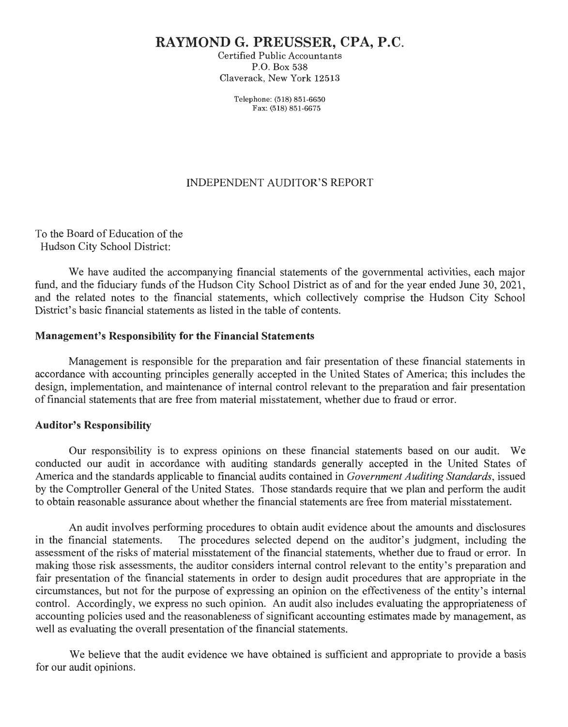# **RAYMOND G. PREUSSER, CPA, P.C.**

Certified Public Accountants P.O. Box 538 Claverack, New York 12513

> Telephone: (518) 851-6650 Fax: (518) 851-6675

#### INDEPENDENT AUDITOR'S REPORT

To the Board of Education of the Hudson City School District:

We have audited the accompanying financial statements of the governmental activities, each major fund, and the fiduciary funds of the Hudson City School District as of and for the year ended June 30, 2021, and the related notes to the financial statements, which collectively comprise the Hudson City School District's basic financial statements as listed in the table of contents.

#### **Management's Responsibility for the Financial Statements**

Management is responsible for the preparation and fair presentation of these financial statements in accordance with accounting principles generally accepted in the United States of America; this includes the design, implementation, and maintenance of internal control relevant to the preparation and fair presentation of financial statements that are free from material misstatement, whether due to fraud or error.

#### **Auditor's Responsibility**

Our responsibility is to express opinions on these financial statements based on our audit. We conducted our audit in accordance with auditing standards generally accepted in the United States of America and the standards applicable to financial audits contained in *Government Auditing Standards,* issued by the Comptroller General of the United States. Those standards require that we plan and perform the audit to obtain reasonable assurance about whether the financial statements are free from material misstatement.

An audit involves performing procedures to obtain audit evidence about the amounts and disclosures in the financial statements. The procedures selected depend on the auditor's judgment, including the assessment of the risks of material misstatement of the financial statements, whether due to fraud or error. In making those risk assessments, the auditor considers internal control relevant to the entity's preparation and fair presentation of the financial statements in order to design audit procedures that are appropriate in the circumstances, but not for the purpose of expressing an opinion on the effectiveness of the entity's internal control. Accordingly, we express no such opinion. An audit also includes evaluating the appropriateness of accounting policies used and the reasonableness of significant accounting estimates made by management, as well as evaluating the overall presentation of the financial statements.

We believe that the audit evidence we have obtained is sufficient and appropriate to provide a basis for our audit opinions.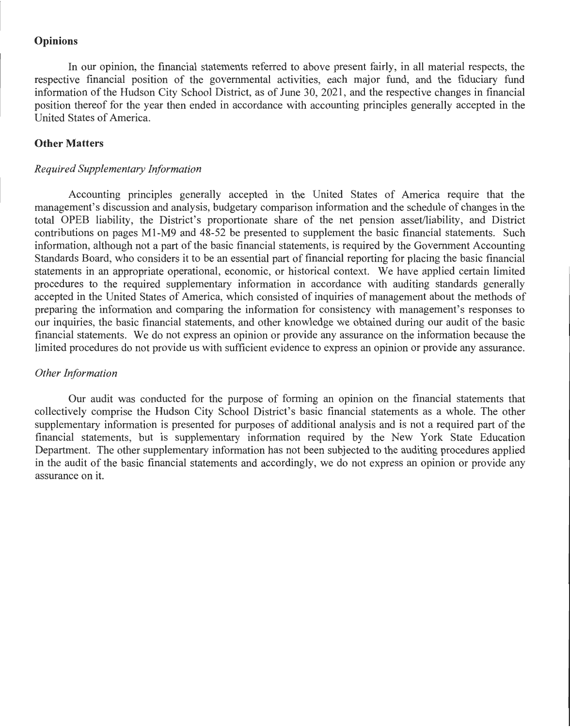#### **Opinions**

In our opinion, the financial statements referred to above present fairly, in all material respects, the respective financial position of the governmental activities, each major fund, and the fiduciary fund information of the Hudson City School District, as of June 30, 2021 , and the respective changes in financial position thereof for the year then ended in accordance with accounting principles generally accepted in the United States of America.

#### **Other Matters**

#### *Required Supplementary Information*

Accounting principles generally accepted in the United States of America require that the management's discussion and analysis, budgetary comparison information and the schedule of changes in the total OPEB liability, the District's proportionate share of the net pension asset/liability, and District contributions on pages Ml-M9 and 48-52 be presented to supplement the basic financial statements. Such information, although not a part of the basic financial statements, is required by the Government Accounting Standards Board, who considers it to be an essential part of financial reporting for placing the basic financial statements in an appropriate operational, economic, or historical context. We have applied certain limited procedures to the required supplementary information in accordance with auditing standards generally accepted in the United States of America, which consisted of inquiries of management about the methods of preparing the information and comparing the information for consistency with management's responses to our inquiries, the basic financial statements, and other knowledge we obtained during our audit of the basic financial statements. We do not express an opinion or provide any assurance on the information because the limited procedures do not provide us with sufficient evidence to express an opinion or provide any assurance.

#### *Other Information*

Our audit was conducted for the purpose of forming an opinion on the financial statements that collectively comprise the Hudson City School District's basic financial statements as a whole. The other supplementary information is presented for purposes of additional analysis and is not a required part of the financial statements, but is supplementary information required by the New York State Education Department. The other supplementary information has not been subjected to the auditing procedures applied in the audit of the basic financial statements and accordingly, we do not express an opinion or provide any assurance on it.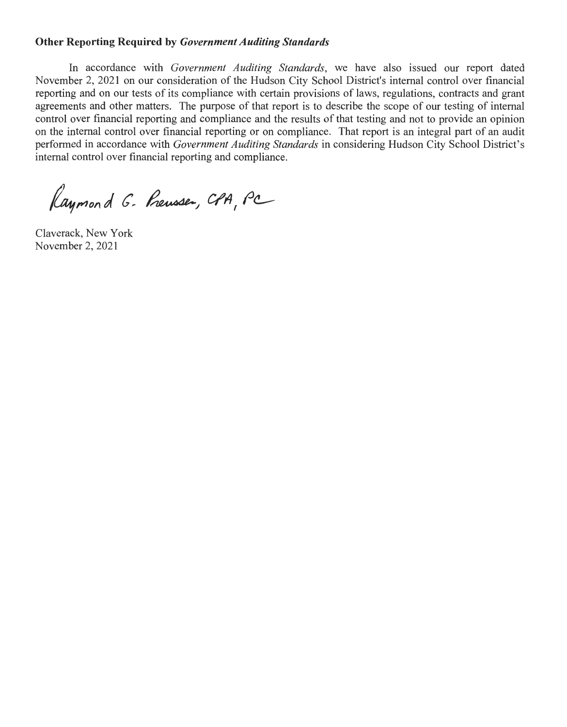#### **Other Reporting Required by** *Government Auditing Standards*

In accordance with *Government Auditing Standards,* we have also issued our report dated November 2, 2021 on our consideration of the Hudson City School District's internal control over financial reporting and on our tests of its compliance with certain provisions of laws, regulations, contracts and grant agreements and other matters. The purpose of that report is to describe the scope of our testing of internal control over financial reporting and compliance and the results of that testing and not to provide an opinion on the internal control over financial reporting or on compliance. That report is an integral part of an audit performed in accordance with *Government Auditing Standards* in considering Hudson City School District's internal control over financial reporting and compliance.

Raymond G. Preusser, CPA, PC

Claverack, New York November 2, 2021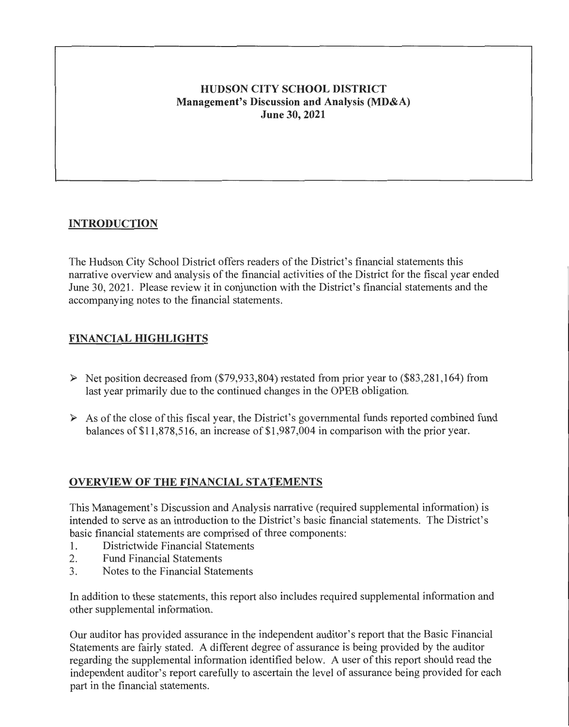## **HUDSON CITY SCHOOL DISTRICT Management's Discussion and Analysis (MD&A) June 30, 2021**

# **INTRODUCTION**

The Hudson City School District offers readers of the District's financial statements this narrative overview and analysis of the financial activities of the District for the fiscal year ended June 30, 2021. Please review it in conjunction with the District's financial statements and the accompanying notes to the financial statements.

## **FINANCIAL HIGHLIGHTS**

- $\triangleright$  Net position decreased from (\$79,933,804) restated from prior year to (\$83,281,164) from last year primarily due to the continued changes in the OPEB obligation.
- $\triangleright$  As of the close of this fiscal year, the District's governmental funds reported combined fund balances of \$11 ,878,516, an increase of \$1 ,987 ,004 in comparison with the prior year.

# **OVERVIEW OF THE FINANCIAL STATEMENTS**

This Management's Discussion and Analysis narrative (required supplemental information) is intended to serve as an introduction to the District's basic financial statements. The District's basic financial statements are comprised of three components:

- **1.** Districtwide Financial Statements
- 2. Fund Financial Statements
- 3. Notes to the Financial Statements

In addition to these statements, this report also includes required supplemental information and other supplemental information.

Our auditor has provided assurance in the independent auditor's report that the Basic Financial Statements are fairly stated. A different degree of assurance is being provided by the auditor regarding the supplemental information identified below. A user of this report should read the independent auditor's report carefully to ascertain the level of assurance being provided for each part in the financial statements.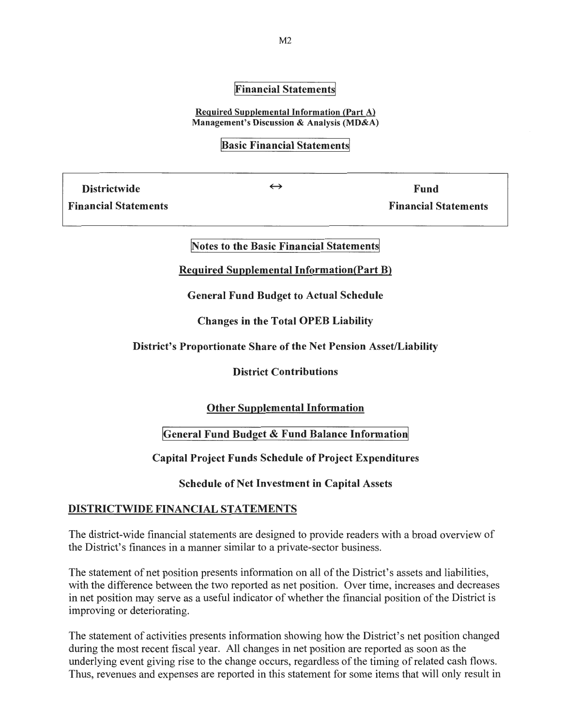#### **Financial Statements**

Required Supplemental Information (Part A) Management's Discussion & Analysis (MD&A)

#### **Basic Financial Statements**

Districtwide  $\leftrightarrow$  Fund

Financial Statements Financial Statements

#### Notes to the Basic Financial Statements

Required Supplemental Information(Part B)

General Fund Budget to Actual Schedule

Changes in the Total OPEB Liability

#### District's Proportionate Share of the Net Pension Asset/Liability

#### District Contributions

#### Other Supplemental Information

#### General Fund Budget & Fund Balance Information

#### Capital Project Funds Schedule of Project Expenditures

Schedule of Net Investment in Capital Assets

#### DISTRICTWIDE FINANCIAL STATEMENTS

The district-wide financial statements are designed to provide readers with a broad overview of the District's finances in a manner similar to a private-sector business.

The statement of net position presents information on all of the District's assets and liabilities, with the difference between the two reported as net position. Over time, increases and decreases in net position may serve as a useful indicator of whether the financial position of the District is improving or deteriorating.

The statement of activities presents information showing how the District's net position changed during the most recent fiscal year. All changes in net position are reported as soon as the underlying event giving rise to the change occurs, regardless of the timing of related cash flows. Thus, revenues and expenses are reported in this statement for some items that will only result in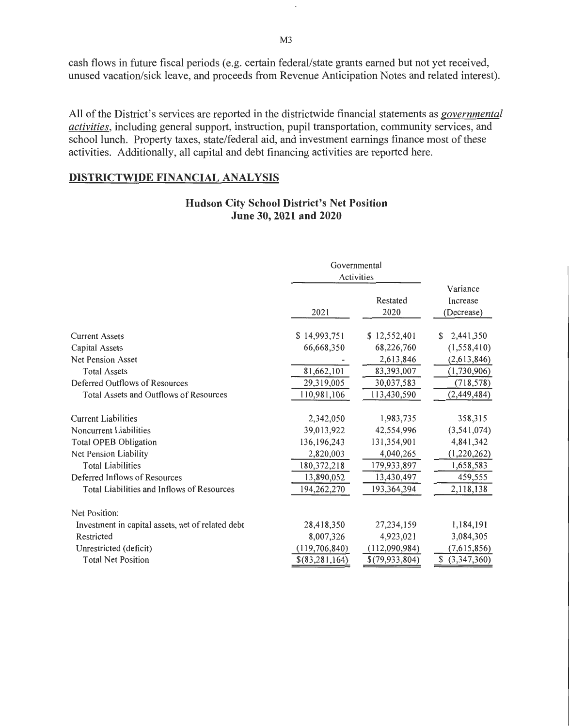cash flows in future fiscal periods (e.g. certain federal/state grants earned but not yet received, unused vacation/sick leave, and proceeds from Revenue Anticipation Notes and related interest).

All of the District's services are reported in the districtwide financial statements as *governmental activities,* including general support, instruction, pupil transportation, community services, and school lunch. Property taxes, state/federal aid, and investment earnings finance most of these activities. Additionally, all capital and debt financing activities are reported here.

#### DISTRICTWIDE FINANCIAL ANALYSIS

#### Hudson City School District's Net Position June 30, 2021 and 2020

|                                                   |                 | Governmental<br>Activities |                                    |  |  |  |
|---------------------------------------------------|-----------------|----------------------------|------------------------------------|--|--|--|
|                                                   | 2021            | Restated<br>2020           | Variance<br>Increase<br>(Decrease) |  |  |  |
| <b>Current Assets</b>                             | \$14,993,751    | \$12,552,401               | 2,441,350<br>S.                    |  |  |  |
| <b>Capital Assets</b>                             | 66,668,350      | 68,226,760                 | (1,558,410)                        |  |  |  |
| Net Pension Asset                                 |                 | 2,613,846                  | (2,613,846)                        |  |  |  |
| <b>Total Assets</b>                               | 81,662,101      | 83,393,007                 | (1,730,906)                        |  |  |  |
| Deferred Outflows of Resources                    | 29,319,005      | 30,037,583                 | (718, 578)                         |  |  |  |
| Total Assets and Outflows of Resources            | 110,981,106     | 113,430,590                | (2,449,484)                        |  |  |  |
| <b>Current Liabilities</b>                        | 2,342,050       | 1,983,735                  | 358,315                            |  |  |  |
| <b>Noncurrent Liabilities</b>                     | 39,013,922      | 42,554,996                 | (3,541,074)                        |  |  |  |
| <b>Total OPEB Obligation</b>                      | 136, 196, 243   | 131,354,901                | 4,841,342                          |  |  |  |
| Net Pension Liability                             | 2,820,003       | 4,040,265                  | (1,220,262)                        |  |  |  |
| <b>Total Liabilities</b>                          | 180, 372, 218   | 179,933,897                | 1,658,583                          |  |  |  |
| Deferred Inflows of Resources                     | 13,890,052      | 13,430,497                 | 459,555                            |  |  |  |
| Total Liabilities and Inflows of Resources        | 194,262,270     | 193,364,394                | 2,118,138                          |  |  |  |
| Net Position:                                     |                 |                            |                                    |  |  |  |
| Investment in capital assets, net of related debt | 28,418,350      | 27,234,159                 | 1,184,191                          |  |  |  |
| Restricted                                        | 8,007,326       | 4,923,021                  | 3,084,305                          |  |  |  |
| Unrestricted (deficit)                            | (119, 706, 840) | (112,090,984)              | (7,615,856)                        |  |  |  |
| <b>Total Net Position</b>                         | \$(83,281,164)  | \$(79,933,804)             | \$ (3,347,360)                     |  |  |  |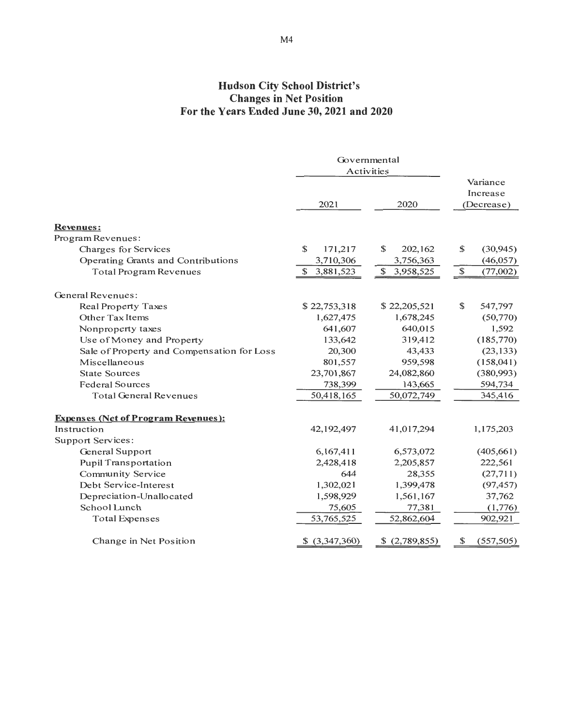# Hudson City School District's Changes in Net Position For the Years Ended June 30, 2021and2020

|                                            | Governmental    |                 |                          |
|--------------------------------------------|-----------------|-----------------|--------------------------|
|                                            | Activities      |                 |                          |
|                                            |                 |                 | Variance<br>Increase     |
|                                            | 2021            | 2020            | (Decrease)               |
| <b>Revenues:</b>                           |                 |                 |                          |
| Program Revenues:                          |                 |                 |                          |
| Charges for Services                       | \$<br>171,217   | \$<br>202,162   | \$<br>(30, 945)          |
| Operating Grants and Contributions         | 3,710,306       | 3,756,363       | (46, 057)                |
| <b>Total Program Revenues</b>              | \$<br>3,881,523 | \$<br>3,958,525 | $\mathbb{S}$<br>(77,002) |
|                                            |                 |                 |                          |
| General Revenues:                          |                 |                 |                          |
| <b>Real Property Taxes</b>                 | \$22,753,318    | \$22,205,521    | \$<br>547,797            |
| Other Tax Items                            | 1,627,475       | 1,678,245       | (50,770)                 |
| Nonproperty taxes                          | 641,607         | 640,015         | 1,592                    |
| Use of Money and Property                  | 133,642         | 319,412         | (185,770)                |
| Sale of Property and Compensation for Loss | 20,300          | 43,433          | (23, 133)                |
| Miscellaneous                              | 801,557         | 959,598         | (158, 041)               |
| <b>State Sources</b>                       | 23,701,867      | 24,082,860      | (380,993)                |
| <b>Federal Sources</b>                     | 738,399         | 143,665         | 594,734                  |
| <b>Total General Revenues</b>              | 50,418,165      | 50,072,749      | 345,416                  |
| <b>Expenses (Net of Program Revenues):</b> |                 |                 |                          |
| Instruction                                | 42,192,497      | 41,017,294      | 1,175,203                |
| <b>Support Services:</b>                   |                 |                 |                          |
| General Support                            | 6,167,411       | 6,573,072       | (405,661)                |
| <b>Pupil Transportation</b>                | 2,428,418       | 2,205,857       | 222,561                  |
| <b>Community Service</b>                   | 644             | 28,355          | (27,711)                 |
| Debt Service-Interest                      | 1,302,021       | 1,399,478       | (97, 457)                |
| Depreciation-Unallocated                   | 1,598,929       | 1,561,167       | 37,762                   |
| School Lunch                               | 75,605          | 77,381          | (1,776)                  |
| <b>Total Expenses</b>                      | 53,765,525      | 52,862,604      | 902,921                  |
|                                            |                 |                 |                          |
| Change in Net Position                     | \$ (3,347,360)  | \$ (2,789,855)  | (557, 505)<br>\$         |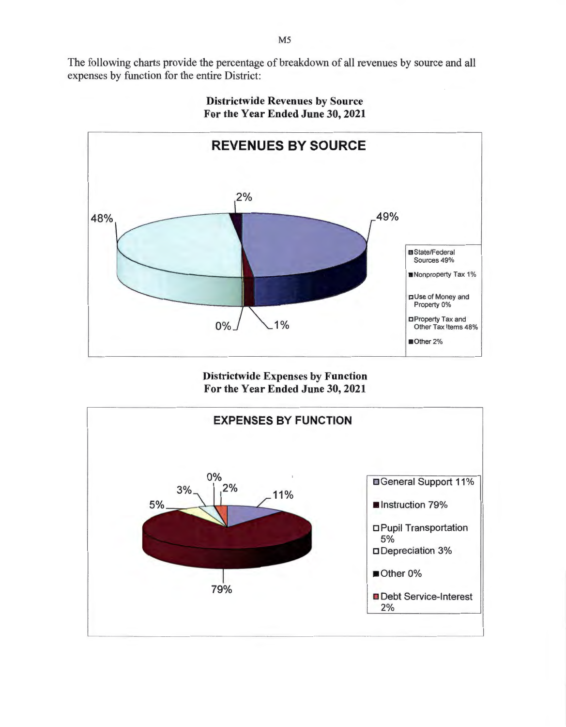The following charts provide the percentage of breakdown of all revenues by source and all expenses by function for the entire District:



Districtwide Revenues by Source For the Year Ended June 30, 2021

Districtwide Expenses by Function For the Year Ended June 30, 2021

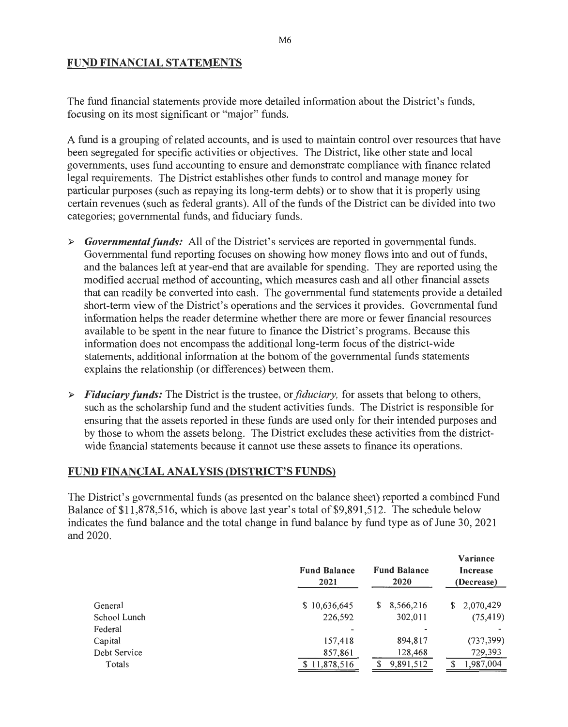## FUND FINANCIAL STATEMENTS

The fund financial statements provide more detailed information about the District's funds, focusing on its most significant or "major" funds.

A fund is a grouping of related accounts, and is used to maintain control over resources that have been segregated for specific activities or objectives. The District, like other state and local governments, uses fund accounting to ensure and demonstrate compliance with finance related legal requirements. The District establishes other funds to control and manage money for particular purposes (such as repaying its long-term debts) or to show that it is properly using certain revenues (such as federal grants). All of the funds of the District can be divided into two categories; governmental funds, and fiduciary funds.

- <sup>~</sup>*Governmental funds:* All of the District's services are reported in governmental funds. Governmental fund reporting focuses on showing how money flows into and out of funds, and the balances left at year-end that are available for spending. They are reported using the modified accrual method of accounting, which measures cash and all other financial assets that can readily be converted into cash. The governmental fund statements provide a detailed short-term view of the District's operations and the services it provides. Governmental fund information helps the reader determine whether there are more or fewer financial resources available to be spent in the near future to finance the District's programs. Because this information does not encompass the additional long-term focus of the district-wide statements, additional information at the bottom of the governmental funds statements explains the relationship (or differences) between them.
- <sup>~</sup>*Fiduciary funds:* The District is the trustee, or *fiduciary,* for assets that belong to others, such as the scholarship fund and the student activities funds. The District is responsible for ensuring that the assets reported in these funds are used only for their intended purposes and by those to whom the assets belong. The District excludes these activities from the districtwide financial statements because it cannot use these assets to finance its operations.

## FUND FINANCIAL ANALYSIS (DISTRICT'S FUNDS)

The District's governmental funds (as presented on the balance sheet) reported a combined Fund Balance of \$11 ,878,516, which is above last year's total of \$9 ,891 ,512. The schedule below indicates the fund balance and the total change in fund balance by fund type as of June 30, 2021 and 2020.

|              | <b>Fund Balance</b><br>2021 | <b>Fund Balance</b><br>2020 | Variance<br>Increase<br>(Decrease) |
|--------------|-----------------------------|-----------------------------|------------------------------------|
| General      | \$10,636,645                | 8,566,216<br>S.             | 2,070,429<br>S.                    |
| School Lunch | 226,592                     | 302,011                     | (75, 419)                          |
| Federal      |                             |                             |                                    |
| Capital      | 157,418                     | 894,817                     | (737, 399)                         |
| Debt Service | 857,861                     | 128,468                     | 729,393                            |
| Totals       | 11,878,516                  | 9,891,512                   | 1,987,004                          |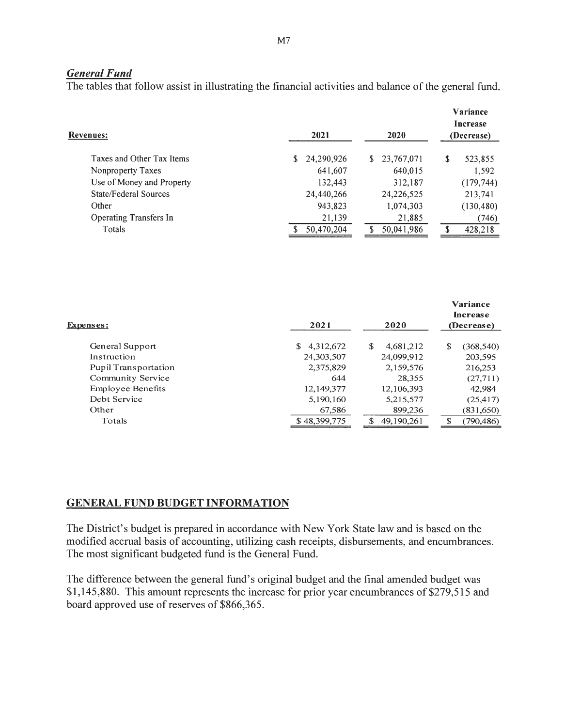#### *General Fund*

The tables that follow assist in illustrating the financial activities and balance of the general fund.

| Revenues:                     | 2021       | 2020             |               |  |  |  |
|-------------------------------|------------|------------------|---------------|--|--|--|
| Taxes and Other Tax Items     | 24,290,926 | 23,767,071<br>S. | \$<br>523,855 |  |  |  |
| Nonproperty Taxes             | 641,607    | 640,015          | 1,592         |  |  |  |
| Use of Money and Property     | 132,443    | 312,187          | (179, 744)    |  |  |  |
| State/Federal Sources         | 24,440,266 | 24,226,525       | 213,741       |  |  |  |
| Other                         | 943,823    | 1,074,303        | (130, 480)    |  |  |  |
| <b>Operating Transfers In</b> | 21,139     | 21,885           | (746)         |  |  |  |
| Totals                        | 50,470,204 | 50,041,986       | 428,218       |  |  |  |

| Expenses:                   | 2021            | 2020             | Variance<br><b>Increase</b><br>(Decrease) |
|-----------------------------|-----------------|------------------|-------------------------------------------|
| General Support             | 4,312,672<br>\$ | S<br>4,681,212   | \$<br>(368, 540)                          |
| Instruction                 | 24,303,507      | 24,099,912       | 203,595                                   |
| <b>Pupil Transportation</b> | 2,375,829       | 2,159,576        | 216,253                                   |
| Community Service           | 644             | 28,355           | (27,711)                                  |
| <b>Employee Benefits</b>    | 12,149,377      | 12, 106, 393     | 42,984                                    |
| Debt Service                | 5,190,160       | 5,215,577        | (25, 417)                                 |
| Other                       | 67,586          | 899,236          | (831,650)                                 |
| Totals                      | \$48,399,775    | 49,190,261<br>\$ | (790, 486)                                |

#### GENERAL FUND BUDGET INFORMATION

The District's budget is prepared in accordance with New York State law and is based on the modified accrual basis of accounting, utilizing cash receipts, disbursements, and encumbrances. The most significant budgeted fund is the General Fund.

The difference between the general fund's original budget and the final amended budget was \$1,145,880. This amount represents the increase for prior year encumbrances of \$279,515 and board approved use of reserves of \$866,365.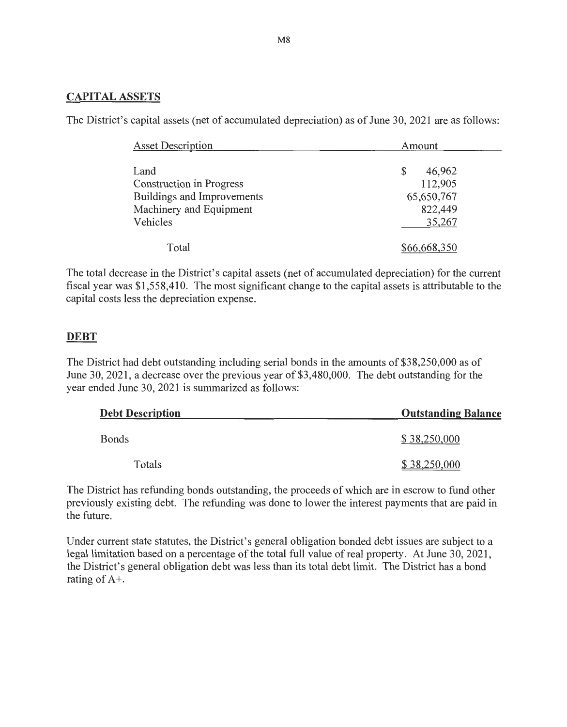#### **CAPITAL ASSETS**

The District's capital assets (net of accumulated depreciation) as of June 30, 2021 are as follows:

| <b>Asset Description</b>                                                                                     | Amount                                                     |
|--------------------------------------------------------------------------------------------------------------|------------------------------------------------------------|
| Land<br><b>Construction in Progress</b><br>Buildings and Improvements<br>Machinery and Equipment<br>Vehicles | \$<br>46,962<br>112,905<br>65,650,767<br>822,449<br>35,267 |
| Total                                                                                                        | \$66,668,350                                               |

The total decrease in the District's capital assets (net of accumulated depreciation) for the current fiscal year was \$1 ,558,410. The most significant change to the capital assets is attributable to the capital costs less the depreciation expense.

## **DEBT**

The District had debt outstanding including serial bonds in the amounts of \$38,250,000 as of June 30, 2021 , a decrease over the previous year of \$3,480,000. The debt outstanding for the year ended June 30, 2021 is summarized as follows:

| <b>Debt Description</b> | <b>Outstanding Balance</b> |
|-------------------------|----------------------------|
| <b>Bonds</b>            | \$38,250,000               |
| Totals                  | \$38,250,000               |

The District has refunding bonds outstanding, the proceeds of which are in escrow to fund other previously existing debt. The refunding was done to lower the interest payments that are paid in the future.

Under current state statutes, the District's general obligation bonded debt issues are subject to a legal limitation based on a percentage of the total full value of real property. At June 30, 2021, the District's general obligation debt was less than its total debt limit. The District has a bond rating of A+.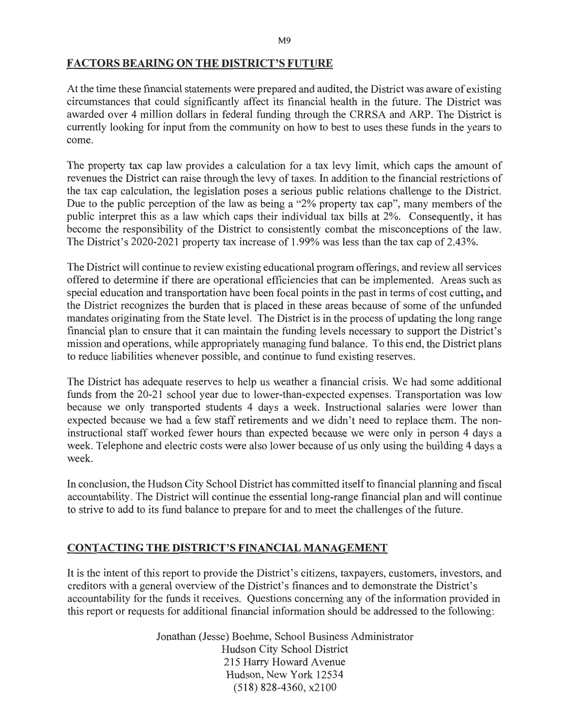#### FACTORS BEARING ON THE DISTRICT'S FUTURE

At the time these financial statements were prepared and audited, the District was aware of existing circumstances that could significantly affect its financial health in the future. The District was awarded over 4 million dollars in federal funding through the CRRSA and ARP. The District is currently looking for input from the community on how to best to uses these funds in the years to come.

The property tax cap law provides a calculation for a tax levy limit, which caps the amount of revenues the District can raise through the levy of taxes. In addition to the financial restrictions of the tax cap calculation, the legislation poses a serious public relations challenge to the District. Due to the public perception of the law as being a "2% property tax cap", many members of the public interpret this as a law which caps their individual tax bills at 2%. Consequently, it has become the responsibility of the District to consistently combat the misconceptions of the law. The District's 2020-2021 property tax increase of 1.99% was less than the tax cap of 2.43%.

The District will continue to review existing educational program offerings, and review all services offered to determine if there are operational efficiencies that can be implemented. Areas such as special education and transportation have been focal points in the past in terms of cost cutting, and the District recognizes the burden that is placed in these areas because of some of the unfunded mandates originating from the State level. The District is in the process of updating the long range financial plan to ensure that it can maintain the funding levels necessary to support the District's mission and operations, while appropriately managing fund balance. To this end, the District plans to reduce liabilities whenever possible, and continue to fund existing reserves.

The District has adequate reserves to help us weather a financial crisis. We had some additional funds from the 20-21 school year due to lower-than-expected expenses. Transportation was low because we only transported students 4 days a week. Instructional salaries were lower than expected because we had a few staff retirements and we didn't need to replace them. The noninstructional staff worked fewer hours than expected because we were only in person 4 days a week. Telephone and electric costs were also lower because of us only using the building 4 days a week.

In conclusion, the Hudson City School District has committed itself to financial planning and fiscal accountability. The District will continue the essential long-range financial plan and will continue to strive to add to its fund balance to prepare for and to meet the challenges of the future.

## CONTACTING THE DISTRICT'S FINANCIAL MANAGEMENT

It is the intent of this report to provide the District's citizens, taxpayers, customers, investors, and creditors with a general overview of the District's finances and to demonstrate the District's accountability for the funds it receives. Questions concerning any of the information provided in this report or requests for additional financial information should be addressed to the following:

> Jonathan (Jesse) Boehme, School Business Administrator Hudson City School District 215 Harry Howard Avenue Hudson, New York 12534 (518) 828-4360, x2100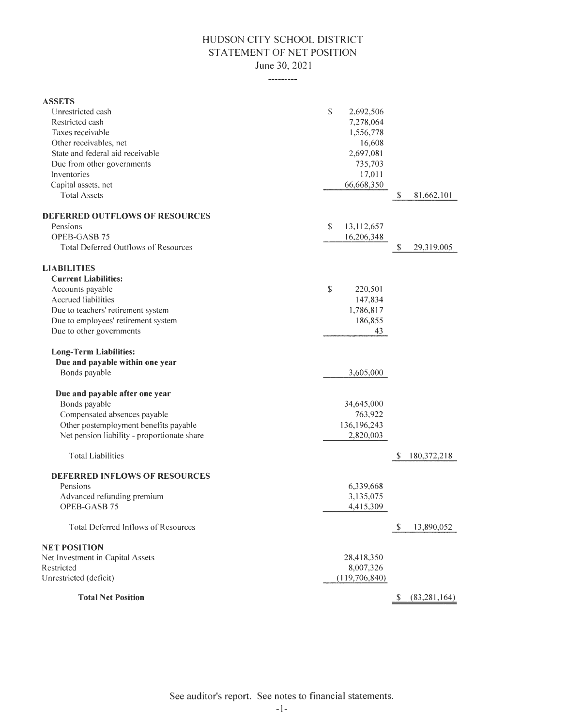## HUDSON CITY SCHOOL DISTRICT STATEMENT OF NET POSITION June 30, 2021

---------

| <b>ASSETS</b>                               |                  |               |                |
|---------------------------------------------|------------------|---------------|----------------|
| Unrestricted cash                           | \$<br>2,692,506  |               |                |
| Restricted cash                             | 7,278,064        |               |                |
| Taxes receivable                            | 1,556,778        |               |                |
| Other receivables, net                      | 16,608           |               |                |
| State and federal aid receivable            | 2,697,081        |               |                |
| Due from other governments                  | 735,703          |               |                |
| Inventories                                 | 17,011           |               |                |
| Capital assets, net                         | 66,668,350       |               |                |
| <b>Total Assets</b>                         |                  | $\mathbb{S}$  | 81,662,101     |
| <b>DEFERRED OUTFLOWS OF RESOURCES</b>       |                  |               |                |
| Pensions                                    | \$<br>13,112,657 |               |                |
| OPEB-GASB 75                                | 16,206,348       |               |                |
| <b>Total Deferred Outflows of Resources</b> |                  | \$            | 29,319,005     |
| <b>LIABILITIES</b>                          |                  |               |                |
| <b>Current Liabilities:</b>                 |                  |               |                |
| Accounts payable                            | \$<br>220,501    |               |                |
| Accrued liabilities                         | 147,834          |               |                |
| Due to teachers' retirement system          | 1,786,817        |               |                |
| Due to employees' retirement system         | 186,855          |               |                |
| Due to other governments                    | 43               |               |                |
| <b>Long-Term Liabilities:</b>               |                  |               |                |
| Due and payable within one year             |                  |               |                |
| Bonds payable                               | 3,605,000        |               |                |
| Due and payable after one year              |                  |               |                |
| Bonds payable                               | 34,645,000       |               |                |
| Compensated absences payable                | 763,922          |               |                |
| Other postemployment benefits payable       | 136, 196, 243    |               |                |
| Net pension liability - proportionate share | 2,820,003        |               |                |
|                                             |                  |               |                |
| <b>Total Liabilities</b>                    |                  | S             | 180, 372, 218  |
| <b>DEFERRED INFLOWS OF RESOURCES</b>        |                  |               |                |
| Pensions                                    | 6,339,668        |               |                |
| Advanced refunding premium                  | 3,135,075        |               |                |
| OPEB-GASB 75                                | 4,415,309        |               |                |
| Total Deferred Inflows of Resources         |                  | <sup>\$</sup> | 13,890,052     |
| <b>NET POSITION</b>                         |                  |               |                |
| Net Investment in Capital Assets            | 28,418,350       |               |                |
| Restricted                                  | 8,007,326        |               |                |
| Unrestricted (deficit)                      | (119, 706, 840)  |               |                |
| <b>Total Net Position</b>                   |                  |               | (83, 281, 164) |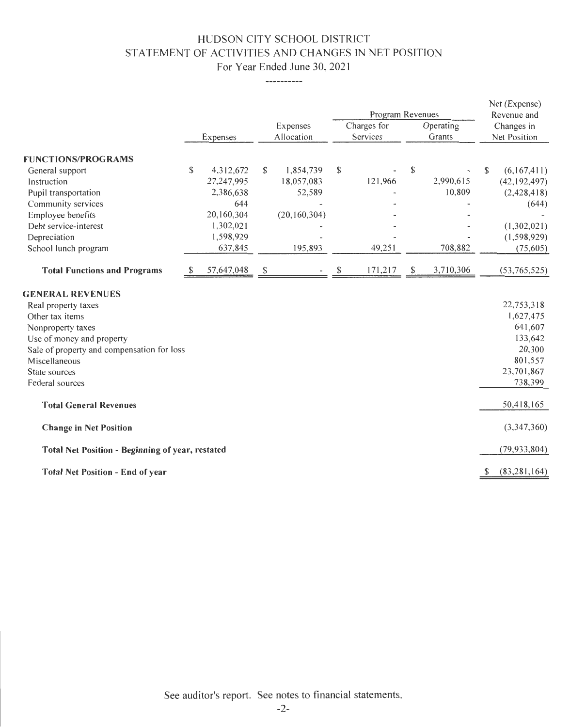# HUDSON CITY SCHOOL DISTRICT STATEMENT OF ACTIVITIES AND CHANGES IN NET POSITION For Year Ended June 30, 2021

-----------

|                                                  |   |            |                        |                |                         | Program Revenues |                     |           |                            | Net (Expense)<br>Revenue and |
|--------------------------------------------------|---|------------|------------------------|----------------|-------------------------|------------------|---------------------|-----------|----------------------------|------------------------------|
|                                                  |   | Expenses   | Expenses<br>Allocation |                | Charges for<br>Services |                  | Operating<br>Grants |           | Changes in<br>Net Position |                              |
| <b>FUNCTIONS/PROGRAMS</b>                        |   |            |                        |                |                         |                  |                     |           |                            |                              |
|                                                  | S | 4,312,672  | S                      | 1,854,739      | $\mathbb{S}$            |                  | \$                  |           | \$                         | (6,167,411)                  |
| General support<br>Instruction                   |   | 27,247,995 |                        | 18,057,083     |                         | 121,966          |                     | 2,990,615 |                            | (42, 192, 497)               |
| Pupil transportation                             |   | 2,386,638  |                        | 52,589         |                         |                  |                     | 10,809    |                            | (2,428,418)                  |
| Community services                               |   | 644        |                        |                |                         |                  |                     |           |                            | (644)                        |
| Employee benefits                                |   | 20,160,304 |                        | (20, 160, 304) |                         |                  |                     |           |                            |                              |
| Debt service-interest                            |   | 1,302,021  |                        |                |                         |                  |                     |           |                            | (1,302,021)                  |
| Depreciation                                     |   | 1,598,929  |                        |                |                         |                  |                     |           |                            | (1, 598, 929)                |
| School lunch program                             |   | 637,845    |                        | 195,893        |                         | 49,251           |                     | 708,882   |                            | (75, 605)                    |
|                                                  |   |            |                        |                |                         |                  |                     |           |                            |                              |
| <b>Total Functions and Programs</b>              |   | 57,647,048 | S                      |                |                         | 171,217          | \$                  | 3,710,306 |                            | (53,765,525)                 |
|                                                  |   |            |                        |                |                         |                  |                     |           |                            |                              |
| <b>GENERAL REVENUES</b>                          |   |            |                        |                |                         |                  |                     |           |                            |                              |
| Real property taxes                              |   |            |                        |                |                         |                  |                     |           |                            | 22,753,318                   |
| Other tax items                                  |   |            |                        |                |                         |                  |                     |           |                            | 1,627,475                    |
| Nonproperty taxes                                |   |            |                        |                |                         |                  |                     |           |                            | 641,607                      |
| Use of money and property                        |   |            |                        |                |                         |                  |                     |           |                            | 133,642                      |
| Sale of property and compensation for loss       |   |            |                        |                |                         |                  |                     |           |                            | 20,300                       |
| Miscellaneous                                    |   |            |                        |                |                         |                  |                     |           |                            | 801,557                      |
| State sources                                    |   |            |                        |                |                         |                  |                     |           |                            | 23,701,867                   |
| Federal sources                                  |   |            |                        |                |                         |                  |                     |           |                            | 738,399                      |
| <b>Total General Revenues</b>                    |   |            |                        |                |                         |                  |                     |           |                            | 50,418,165                   |
| <b>Change in Net Position</b>                    |   |            |                        |                |                         |                  |                     |           |                            | (3,347,360)                  |
| Total Net Position - Beginning of year, restated |   |            |                        |                |                         |                  |                     |           |                            | (79, 933, 804)               |
| <b>Total Net Position - End of year</b>          |   |            |                        |                |                         |                  |                     |           |                            | (83, 281, 164)               |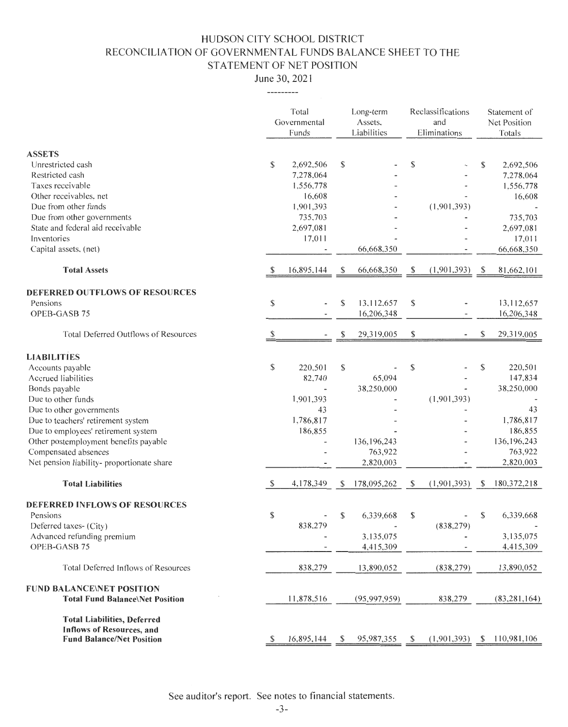# HUDSON CITY SCHOOL DISTRICT RECONCILIATION OF GOVERNMENTAL FUNDS BALANCE SHEET TO THE STATEMENT OF NET POSITION

June 30, 2021 ---------

|                                                                                                                                                                                                                                                                                                                             |              | Total<br>Long-term<br>Governmental<br>Assets.<br>Liabilities<br>Funds                        |          | Reclassifications<br>and<br>Eliminations                        |              |             | Statement of<br>Net Position<br>Totals |                                                                                                         |
|-----------------------------------------------------------------------------------------------------------------------------------------------------------------------------------------------------------------------------------------------------------------------------------------------------------------------------|--------------|----------------------------------------------------------------------------------------------|----------|-----------------------------------------------------------------|--------------|-------------|----------------------------------------|---------------------------------------------------------------------------------------------------------|
| <b>ASSETS</b><br>Unrestricted cash<br>Restricted cash<br>Taxes receivable<br>Other receivables, net<br>Due from other funds<br>Due from other governments<br>State and federal aid receivable<br>Inventories<br>Capital assets, (net)                                                                                       | \$           | 2,692,506<br>7,278,064<br>1,556,778<br>16,608<br>1,901,393<br>735,703<br>2,697,081<br>17,011 | \$       | 66,668,350                                                      | \$           | (1,901,393) | \$                                     | 2,692,506<br>7,278,064<br>1,556,778<br>16,608<br>735,703<br>2,697,081<br>17,011<br>66,668,350           |
| <b>Total Assets</b>                                                                                                                                                                                                                                                                                                         | \$           | 16,895,144                                                                                   | S        | 66,668,350                                                      | \$           | (1,901,393) | <sup>\$</sup>                          | 81,662,101                                                                                              |
| DEFERRED OUTFLOWS OF RESOURCES<br>Pensions<br>OPEB-GASB 75<br>Total Deferred Outflows of Resources                                                                                                                                                                                                                          | \$<br>-S     |                                                                                              | \$<br>\$ | 13,112,657<br>16,206,348<br>29,319,005                          | \$<br>\$     |             | \$                                     | 13,112,657<br>16,206,348<br>29,319,005                                                                  |
| <b>LIABILITIES</b><br>Accounts payable<br>Accrued liabilities<br>Bonds payable<br>Due to other funds<br>Due to other governments<br>Due to teachers' retirement system<br>Due to employees' retirement system<br>Other postemployment benefits payable<br>Compensated absences<br>Net pension liability-proportionate share | \$           | 220,501<br>82,740<br>1,901,393<br>43<br>1,786,817<br>186,855                                 | \$       | 65,094<br>38,250,000<br>136, 196, 243<br>763,922<br>2,820,003   | \$           | (1,901,393) | \$                                     | 220,501<br>147,834<br>38,250,000<br>43<br>1,786,817<br>186,855<br>136, 196, 243<br>763,922<br>2,820,003 |
| <b>Total Liabilities</b>                                                                                                                                                                                                                                                                                                    | $\mathbb{S}$ | 4,178,349                                                                                    | S        | 178,095,262                                                     | $\mathbb{S}$ | (1,901,393) | \$                                     | 180, 372, 218                                                                                           |
| <b>DEFERRED INFLOWS OF RESOURCES</b><br>Pensions<br>Deferred taxes- (City)<br>Advanced refunding premium<br>OPEB-GASB 75                                                                                                                                                                                                    | \$           | 838,279                                                                                      | \$       | 6,339,668<br>$\overline{\phantom{a}}$<br>3,135,075<br>4,415,309 | \$           | (838, 279)  | \$                                     | 6,339,668<br>3,135,075<br>4,415,309                                                                     |
| <b>Total Deferred Inflows of Resources</b>                                                                                                                                                                                                                                                                                  |              | 838,279                                                                                      |          | 13,890,052                                                      |              | (838, 279)  |                                        | 13,890,052                                                                                              |
| <b>FUND BALANCE\NET POSITION</b><br><b>Total Fund Balance\Net Position</b>                                                                                                                                                                                                                                                  |              | 11,878,516                                                                                   |          | (95,997,959)                                                    |              | 838,279     |                                        | (83, 281, 164)                                                                                          |
| <b>Total Liabilities, Deferred</b><br><b>Inflows of Resources, and</b><br><b>Fund Balance/Net Position</b>                                                                                                                                                                                                                  | \$           | 16,895,144                                                                                   | \$.      | 95,987,355                                                      | S            | (1,901,393) | <sup>\$</sup>                          | 110,981,106                                                                                             |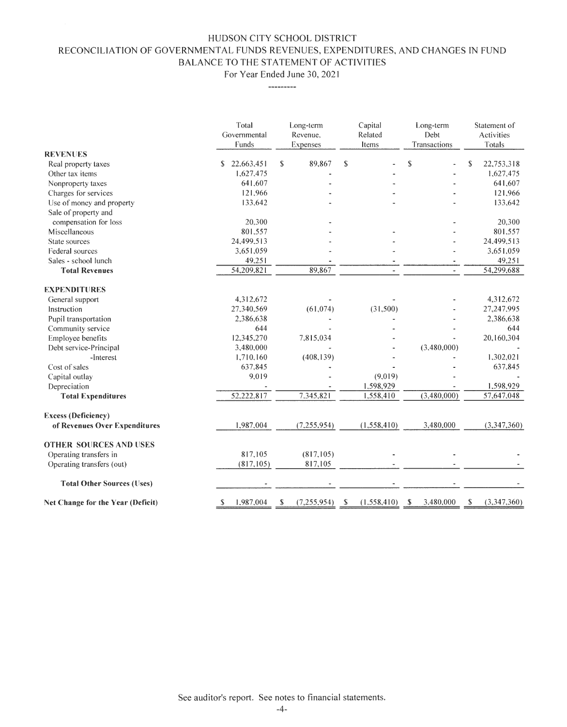## HUDSON CITY SCHOOL DISTRICT RECONCILIATION OF GOVERNMENTAL FUNDS REVENUES, EXPENDITURES, AND CHANGES IN FUND BALANCE TO THE STATEMENT OF ACTIVITIES

For Year Ended June 30, 202 I

---------

|                                   | Total<br>Governmental<br>Funds | Long-term<br>Revenue.<br>Expenses | Capital<br>Related<br>ltems  | Long-term<br>Debt<br>Transactions | Statement of<br><b>Activities</b><br>Totals |  |
|-----------------------------------|--------------------------------|-----------------------------------|------------------------------|-----------------------------------|---------------------------------------------|--|
| <b>REVENUES</b>                   |                                |                                   |                              |                                   |                                             |  |
| Real property taxes               | 22,663,451<br>S.               | 89,867<br>\$                      | $\mathbf S$                  | $\mathbf S$                       | $\mathbf S$<br>22,753,318                   |  |
| Other tax items                   | 1,627,475                      |                                   |                              |                                   | 1.627,475                                   |  |
| Nonproperty taxes                 | 641.607                        |                                   |                              |                                   | 641,607                                     |  |
| Charges for services              | 121.966                        |                                   |                              |                                   | 121,966                                     |  |
| Use of money and property         | 133,642                        |                                   |                              |                                   | 133,642                                     |  |
| Sale of property and              |                                |                                   |                              |                                   |                                             |  |
| compensation for loss             | 20,300                         |                                   |                              |                                   | 20,300                                      |  |
| Miscellaneous                     | 801,557                        |                                   |                              |                                   | 801.557                                     |  |
| State sources                     | 24.499.513                     |                                   |                              |                                   | 24.499.513                                  |  |
| Federal sources                   | 3,651,059                      |                                   |                              |                                   | 3,651,059                                   |  |
| Sales - school lunch              | 49,251                         |                                   |                              | ٠                                 | 49,251                                      |  |
| <b>Total Revenues</b>             | 54,209,821                     | 89,867                            |                              |                                   | 54,299,688                                  |  |
| <b>EXPENDITURES</b>               |                                |                                   |                              |                                   |                                             |  |
| General support                   | 4,312,672                      |                                   |                              |                                   | 4,312,672                                   |  |
| Instruction                       | 27,340,569                     | (61, 074)                         | (31,500)                     |                                   | 27.247.995                                  |  |
| Pupil transportation              | 2,386,638                      |                                   |                              |                                   | 2,386,638                                   |  |
| Community service                 | 644                            |                                   |                              |                                   | 644                                         |  |
| Employee benefits                 | 12,345,270                     | 7,815,034                         |                              |                                   | 20,160,304                                  |  |
| Debt service-Principal            | 3,480,000                      |                                   |                              | (3,480,000)                       |                                             |  |
| -Interest                         | 1,710,160                      | (408, 139)                        |                              |                                   | 1,302,021                                   |  |
| Cost of sales                     | 637.845                        |                                   |                              |                                   | 637,845                                     |  |
| Capital outlay                    | 9.019                          |                                   | (9.019)                      |                                   |                                             |  |
| Depreciation                      |                                |                                   | 1,598,929                    |                                   | 1,598,929                                   |  |
| <b>Total Expenditures</b>         | 52,222,817                     | 7.345,821                         | 1,558,410                    | (3,480,000)                       | 57,647,048                                  |  |
| <b>Excess (Deficiency)</b>        |                                |                                   |                              |                                   |                                             |  |
| of Revenues Over Expenditures     | 1,987,004                      | (7, 255, 954)                     | (1,558,410)                  | 3,480,000                         | (3,347,360)                                 |  |
| <b>OTHER SOURCES AND USES</b>     |                                |                                   |                              |                                   |                                             |  |
| Operating transfers in            | 817,105                        | (817, 105)                        |                              |                                   |                                             |  |
| Operating transfers (out)         | (817, 105)                     | 817,105                           |                              |                                   |                                             |  |
| <b>Total Other Sources (Uses)</b> |                                |                                   |                              |                                   |                                             |  |
| Net Change for the Year (Deficit) | 1,987,004<br>S                 | (7, 255, 954)<br>\$               | (1,558,410)<br><sup>\$</sup> | 3,480,000<br>S                    | $\mathbb{S}$<br>(3,347,360)                 |  |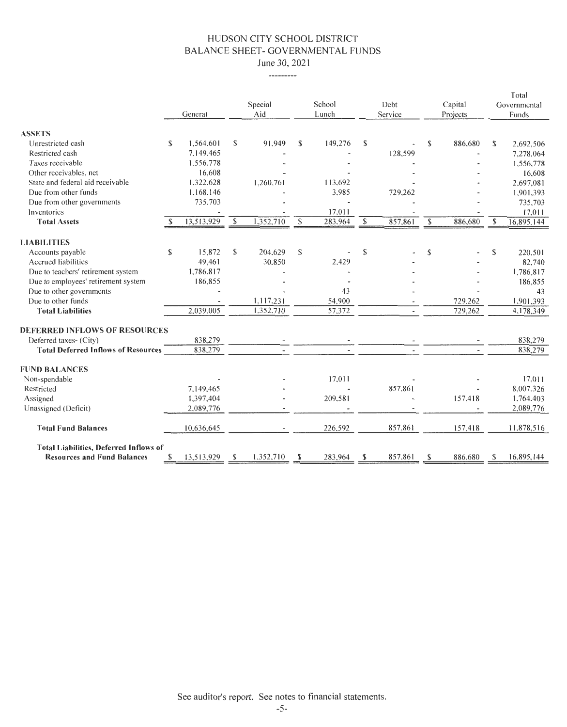#### HUDSON CITY SCHOOL DISTRICT BALANCE SHEET- GOVERNMENTAL FUNDS June 30, 2021

---------

|                                               |    |            |                           |           |               |         |    |         |               |          |             | Total        |
|-----------------------------------------------|----|------------|---------------------------|-----------|---------------|---------|----|---------|---------------|----------|-------------|--------------|
|                                               |    |            |                           | Special   |               | School  |    | Debt    |               | Capital  |             | Governmental |
|                                               |    | General    |                           | Aid       |               | Lunch   |    | Service |               | Projects |             | Funds        |
| <b>ASSETS</b>                                 |    |            |                           |           |               |         |    |         |               |          |             |              |
| Unrestricted cash                             | S  | 1,564,601  | \$                        | 91.949    | \$            | 149,276 | \$ |         | $\mathbf S$   | 886,680  | $\mathbf S$ | 2.692.506    |
| Restricted cash                               |    | 7,149,465  |                           |           |               |         |    | 128,599 |               |          |             | 7,278,064    |
| Taxes receivable                              |    | 1,556,778  |                           |           |               |         |    |         |               |          |             | 1,556,778    |
| Other receivables, net                        |    | 16,608     |                           |           |               |         |    |         |               |          |             | 16,608       |
| State and federal aid receivable              |    | 1,322,628  |                           | 1,260,761 |               | 113,692 |    |         |               |          |             | 2,697,081    |
| Due from other funds                          |    | 1,168,146  |                           |           |               | 3,985   |    | 729,262 |               |          |             | 1,901,393    |
| Due from other governments                    |    | 735,703    |                           |           |               |         |    |         |               |          |             | 735,703      |
| Inventories                                   |    |            |                           |           |               | 17,011  |    |         |               |          |             | 17,011       |
| <b>Total Assets</b>                           |    | 13,513,929 | $\boldsymbol{\mathsf{S}}$ | 1,352,710 | $\mathbb{S}$  | 283,964 | S  | 857,861 | $\mathsf{\$}$ | 886,680  | \$          | 16,895,144   |
|                                               |    |            |                           |           |               |         |    |         |               |          |             |              |
| <b>LIABILITIES</b>                            |    |            |                           |           |               |         |    |         |               |          |             |              |
| Accounts payable                              | \$ | 15,872     | \$                        | 204.629   | $\mathsf{\$}$ |         | S  |         | $\mathsf S$   |          | \$.         | 220,501      |
| <b>Accrued liabilities</b>                    |    | 49,461     |                           | 30,850    |               | 2,429   |    |         |               |          |             | 82,740       |
| Due to teachers' retirement system            |    | 1,786.817  |                           |           |               |         |    |         |               |          |             | 1,786,817    |
| Due to employees' retirement system           |    | 186,855    |                           |           |               |         |    |         |               |          |             | 186,855      |
| Due to other governments                      |    |            |                           |           |               | 43      |    |         |               |          |             | 43           |
| Due to other funds                            |    |            |                           | 1,117,231 |               | 54,900  |    |         |               | 729,262  |             | 1,901,393    |
| <b>Total Liabilities</b>                      |    | 2,039,005  |                           | 1,352,710 |               | 57,372  |    |         |               | 729,262  |             | 4,178,349    |
| <b>DEFERRED INFLOWS OF RESOURCES</b>          |    |            |                           |           |               |         |    |         |               |          |             |              |
| Deferred taxes- (City)                        |    | 838,279    |                           |           |               |         |    |         |               |          |             | 838,279      |
| <b>Total Deferred Inflows of Resources</b>    |    | 838,279    |                           |           |               |         |    |         |               |          |             | 838,279      |
| <b>FUND BALANCES</b>                          |    |            |                           |           |               |         |    |         |               |          |             |              |
| Non-spendable                                 |    |            |                           |           |               | 17,011  |    |         |               |          |             | 17,011       |
| Restricted                                    |    | 7,149,465  |                           |           |               |         |    | 857,861 |               |          |             | 8.007.326    |
| Assigned                                      |    | 1,397,404  |                           |           |               | 209,581 |    |         |               | 157,418  |             | 1,764,403    |
| Unassigned (Deficit)                          |    | 2.089,776  |                           |           |               |         |    |         |               |          |             | 2,089,776    |
|                                               |    |            |                           |           |               |         |    |         |               |          |             |              |
| <b>Total Fund Balances</b>                    |    | 10,636,645 |                           |           |               | 226,592 |    | 857,861 |               | 157,418  |             | 11,878,516   |
| <b>Total Liabilities, Deferred Inflows of</b> |    |            |                           |           |               |         |    |         |               |          |             |              |
| <b>Resources and Fund Balances</b>            | \$ | 13,513,929 | S                         | 1,352,710 | S             | 283,964 | S  | 857,861 | S             | 886,680  | \$          | 16,895,144   |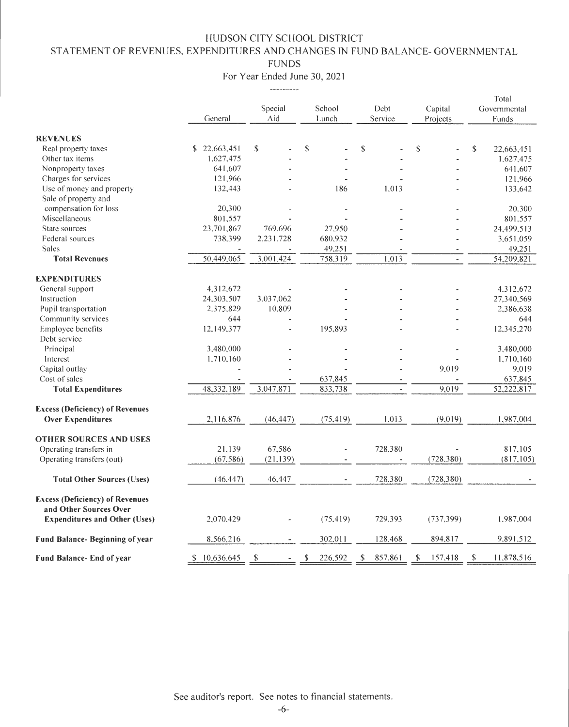# STATEMENT OF REVENUES, EXPENDITURES AND CHANGES IN FUND BALANCE- GOVERNMENTAL

FUNDS

For Year Ended June 30, 2021 ----------

|                                                                  |                  |           |               |               |               | Total            |
|------------------------------------------------------------------|------------------|-----------|---------------|---------------|---------------|------------------|
|                                                                  |                  | Special   | School        | Debt          | Capital       | Governmental     |
|                                                                  | General          | Aid       | Lunch         | Service       | Projects      | Funds            |
| <b>REVENUES</b>                                                  |                  |           |               |               |               |                  |
| Real property taxes                                              | \$<br>22,663,451 | \$        | \$            | \$            | \$            | \$<br>22,663,451 |
| Other tax items                                                  | 1,627,475        |           |               |               |               | 1,627,475        |
| Nonproperty taxes                                                | 641,607          |           |               |               |               | 641,607          |
| Charges for services                                             | 121,966          |           |               |               |               | 121,966          |
| Use of money and property                                        | 132,443          |           | 186           | 1.013         |               | 133,642          |
| Sale of property and                                             |                  |           |               |               |               |                  |
| compensation for loss                                            | 20,300           |           |               |               |               | 20,300           |
| Miscellaneous                                                    | 801.557          |           |               |               |               | 801.557          |
| State sources                                                    | 23,701,867       | 769,696   | 27,950        |               |               | 24,499,513       |
| Federal sources                                                  | 738,399          | 2,231,728 | 680,932       |               |               | 3,651,059        |
| <b>Sales</b>                                                     |                  |           | 49,251        |               |               | 49,251           |
| <b>Total Revenues</b>                                            | 50,449.065       | 3.001,424 | 758,319       | 1,013         |               | 54,209,821       |
| <b>EXPENDITURES</b>                                              |                  |           |               |               |               |                  |
| General support                                                  | 4,312,672        |           |               |               |               | 4.312.672        |
| Instruction                                                      | 24,303.507       | 3.037.062 |               |               |               | 27,340,569       |
| Pupil transportation                                             | 2,375,829        | 10,809    |               |               |               | 2,386,638        |
| Community services                                               | 644              |           |               |               |               | 644              |
| Employee benefits                                                | 12,149,377       |           | 195,893       |               |               | 12,345,270       |
| Debt service                                                     |                  |           |               |               |               |                  |
|                                                                  | 3,480,000        |           |               |               |               |                  |
| Principal                                                        |                  |           |               |               |               | 3,480,000        |
| Interest                                                         | 1.710,160        |           |               |               | 9,019         | 1,710,160        |
| Capital outlay                                                   |                  |           |               |               |               | 9,019            |
| Cost of sales                                                    |                  |           | 637,845       |               |               | 637,845          |
| <b>Total Expenditures</b>                                        | 48,332,189       | 3.047.871 | 833.738       |               | 9.019         | 52,222,817       |
| <b>Excess (Deficiency) of Revenues</b>                           |                  |           |               |               |               |                  |
| <b>Over Expenditures</b>                                         | 2,116,876        | (46, 447) | (75, 419)     | 1,013         | (9,019)       | 1,987,004        |
| <b>OTHER SOURCES AND USES</b>                                    |                  |           |               |               |               |                  |
| Operating transfers in                                           | 21,139           | 67,586    | L.            | 728,380       |               | 817,105          |
| Operating transfers (out)                                        | (67, 586)        | (21.139)  |               |               | (728, 380)    | (817, 105)       |
| <b>Total Other Sources (Uses)</b>                                | (46, 447)        | 46,447    |               | 728,380       | (728, 380)    |                  |
| <b>Excess (Deficiency) of Revenues</b><br>and Other Sources Over |                  |           |               |               |               |                  |
| <b>Expenditures and Other (Uses)</b>                             | 2,070,429        |           | (75, 419)     | 729,393       | (737, 399)    | 1,987,004        |
| Fund Balance- Beginning of year                                  | 8.566,216        |           | 302,011       | 128,468       | 894,817       | 9,891,512        |
| <b>Fund Balance-End of year</b>                                  | 10,636,645<br>S. | S         | 226,592<br>\$ | 857,861<br>\$ | \$<br>157,418 | 11,878,516<br>\$ |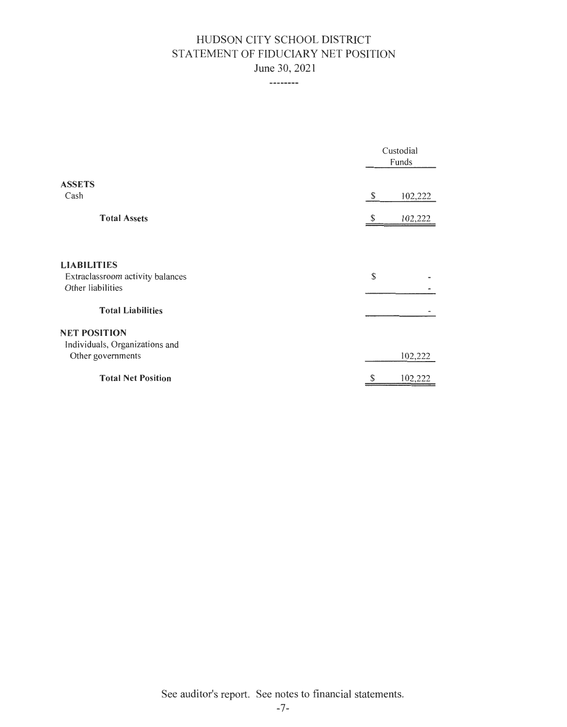# HUDSON CITY SCHOOL DISTRICT STATEMENT OF FIDUCIARY NET POSITION June 30, 2021

--------

|                                                       |    | Custodial<br>Funds |  |
|-------------------------------------------------------|----|--------------------|--|
| <b>ASSETS</b>                                         |    |                    |  |
| Cash                                                  | \$ | 102,222            |  |
| <b>Total Assets</b>                                   | S  | 102,222            |  |
|                                                       |    |                    |  |
| <b>LIABILITIES</b>                                    |    |                    |  |
| Extraclassroom activity balances<br>Other liabilities | \$ |                    |  |
| <b>Total Liabilities</b>                              |    |                    |  |
| <b>NET POSITION</b>                                   |    |                    |  |
| Individuals, Organizations and                        |    |                    |  |
| Other governments                                     |    | 102,222            |  |
| <b>Total Net Position</b>                             | \$ | 102,222            |  |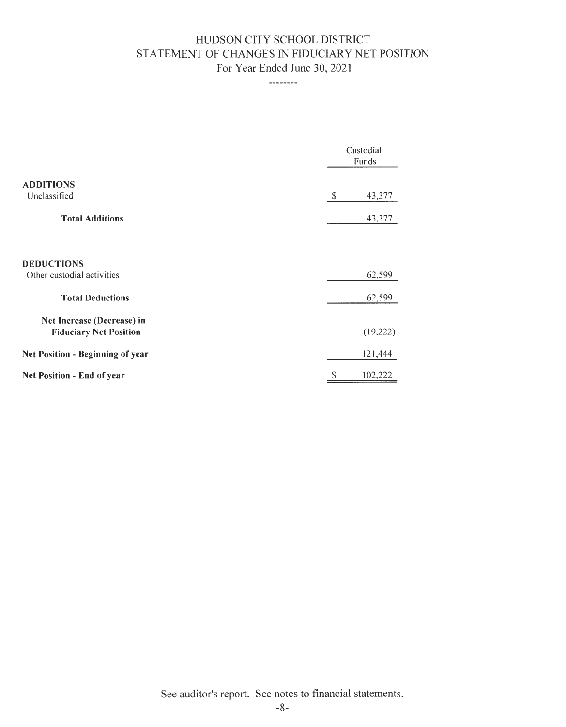# HUDSON CITY SCHOOL DISTRICT STATEMENT OF CHANGES IN FIDUCIARY NET POSITION For Year Ended June 30, 2021

--------

|                                                             | Custodial<br>Funds |
|-------------------------------------------------------------|--------------------|
| <b>ADDITIONS</b><br>Unclassified                            | \$<br>43,377       |
| <b>Total Additions</b>                                      | 43,377             |
| <b>DEDUCTIONS</b><br>Other custodial activities             | 62,599             |
| <b>Total Deductions</b>                                     | 62,599             |
| Net Increase (Decrease) in<br><b>Fiduciary Net Position</b> | (19,222)           |
| Net Position - Beginning of year                            | 121,444            |
| Net Position - End of year                                  | \$<br>102,222      |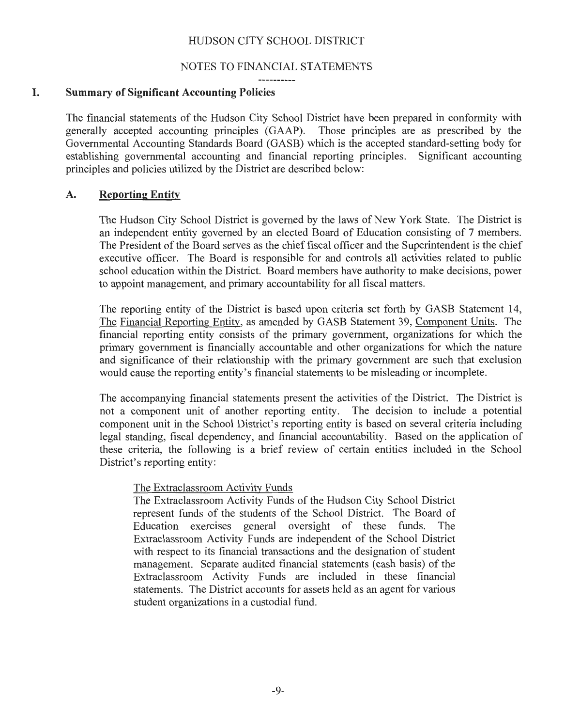#### NOTES TO FINANCIAL STATEMENTS

. . . . . . . . .

## I. **Summary of Significant Accounting Policies**

The financial statements of the Hudson City School District have been prepared in conformity with generally accepted accounting principles (GAAP). Those principles are as prescribed by the Governmental Accounting Standards Board (GASB) which is the accepted standard-setting body for establishing governmental accounting and financial reporting principles. Significant accounting principles and policies utilized by the District are described below:

#### **A. Reporting Entity**

The Hudson City School District is governed by the laws of New York State. The District is an independent entity governed by an elected Board of Education consisting of 7 members. The President of the Board serves as the chief fiscal officer and the Superintendent is the chief executive officer. The Board is responsible for and controls all activities related to public school education within the District. Board members have authority to make decisions, power to appoint management, and primary accountability for all fiscal matters.

The reporting entity of the District is based upon criteria set forth by GASB Statement 14, The Financial Reporting Entity, as amended by GASB Statement 39, Component Units. The financial reporting entity consists of the primary government, organizations for which the primary government is financially accountable and other organizations for which the nature and significance of their relationship with the primary government are such that exclusion would cause the reporting entity's financial statements to be misleading or incomplete.

The accompanying financial statements present the activities of the District. The District is not a component unit of another reporting entity. The decision to include a potential component unit in the School District's reporting entity is based on several criteria including legal standing, fiscal dependency, and financial accountability. Based on the application of these criteria, the following is a brief review of certain entities included in the School District's reporting entity:

#### The Extraclassroom Activity Funds

The Extraclassroom Activity Funds of the Hudson City School District represent funds of the students of the School District. The Board of Education exercises general oversight of these funds. The Extraclassroom Activity Funds are independent of the School District with respect to its financial transactions and the designation of student management. Separate audited financial statements (cash basis) of the Extraclassroom Activity Funds are included in these financial statements. The District accounts for assets held as an agent for various student organizations in a custodial fund.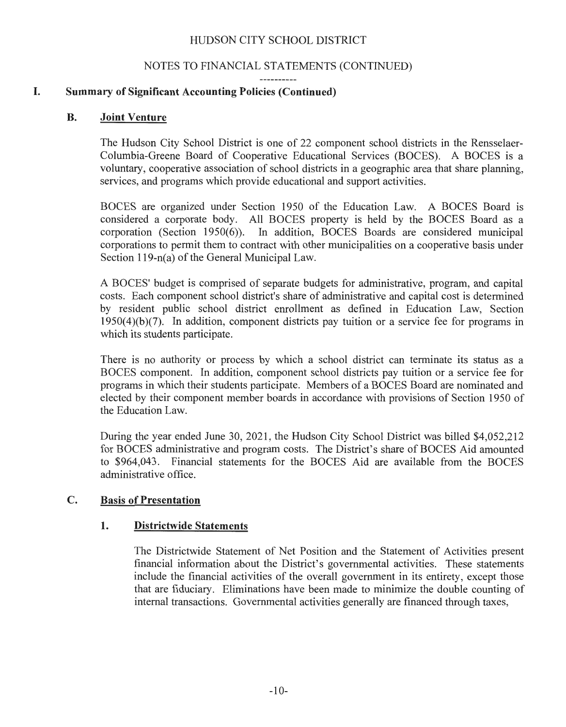#### NOTES TO FINANCIAL STATEMENTS (CONTINUED)  $- - - - - - - - -$

## **I. Summary of Significant Accounting Policies (Continued)**

#### **B. Joint Venture**

The Hudson City School District is one of 22 component school districts in the Rensselaer-Columbia-Greene Board of Cooperative Educational Services (BOCES). A BOCES is a voluntary, cooperative association of school districts in a geographic area that share planning, services, and programs which provide educational and support activities.

BOCES are organized under Section 1950 of the Education Law. A BOCES Board is considered a corporate body. All BOCES property is held by the BOCES Board as a corporation (Section 1950(6)). In addition, BOCES Boards are considered municipal corporations to permit them to contract with other municipalities on a cooperative basis under Section 119-n(a) of the General Municipal Law.

A BOCES' budget is comprised of separate budgets for administrative, program, and capital costs. Each component school district's share of administrative and capital cost is determined by resident public school district enrollment as defined in Education Law, Section  $1950(4)(b)(7)$ . In addition, component districts pay tuition or a service fee for programs in which its students participate.

There is no authority or process by which a school district can terminate its status as a BOCES component. In addition, component school districts pay tuition or a service fee for programs in which their students participate. Members of a BOCES Board are nominated and elected by their component member boards in accordance with provisions of Section 1950 of the Education Law.

During the year ended June 30, 2021 , the Hudson City School District was billed \$4,052,212 for BOCES administrative and program costs. The District's share of BOCES Aid amounted to \$964,043. Financial statements for the BOCES Aid are available from the BOCES administrative office.

#### **C. Basis of Presentation**

#### **1. Districtwide Statements**

The Districtwide Statement of Net Position and the Statement of Activities present financial information about the District's governmental activities. These statements include the financial activities of the overall government in its entirety, except those that are fiduciary. Eliminations have been made to minimize the double counting of internal transactions. Governmental activities generally are financed through taxes,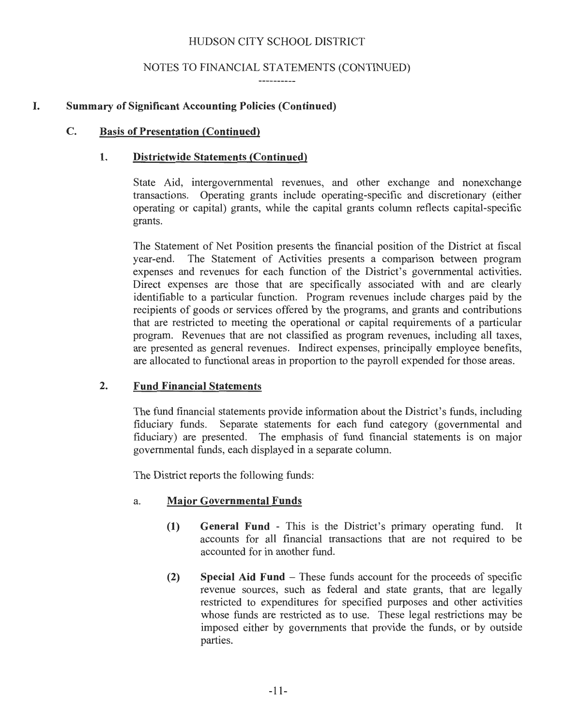## NOTES TO FINANCIAL STATEMENTS (CONTINUED)

## **I. Summary of Significant Accounting Policies (Continued)**

## **C. Basis of Presentation (Continued)**

#### **1. Districtwide Statements (Continued)**

State Aid, intergovernmental revenues, and other exchange and nonexchange transactions. Operating grants include operating-specific and discretionary (either operating or capital) grants, while the capital grants column reflects capital-specific grants.

The Statement of Net Position presents the financial position of the District at fiscal year-end. The Statement of Activities presents a comparison between program expenses and revenues for each function of the District's governmental activities. Direct expenses are those that are specifically associated with and are clearly identifiable to a particular function. Program revenues include charges paid by the recipients of goods or services offered by the programs, and grants and contributions that are restricted to meeting the operational or capital requirements of a particular program. Revenues that are not classified as program revenues, including all taxes, are presented as general revenues. Indirect expenses, principally employee benefits, are allocated to functional areas in proportion to the payroll expended for those areas.

## **2. Fund Financial Statements**

The fund financial statements provide information about the District's funds, including fiduciary funds. Separate statements for each fund category (governmental and fiduciary) are presented. The emphasis of fund financial statements is on major governmental funds, each displayed in a separate column.

The District reports the following funds:

## a. **Major Governmental Funds**

- **(1) General Fund**  This is the District's primary operating fund. It accounts for all financial transactions that are not required to be accounted for in another fund.
- **(2) Special Aid Fund**  These funds account for the proceeds of specific revenue sources, such as federal and state grants, that are legally restricted to expenditures for specified purposes and other activities whose funds are restricted as to use. These legal restrictions may be imposed either by governments that provide the funds, or by outside parties.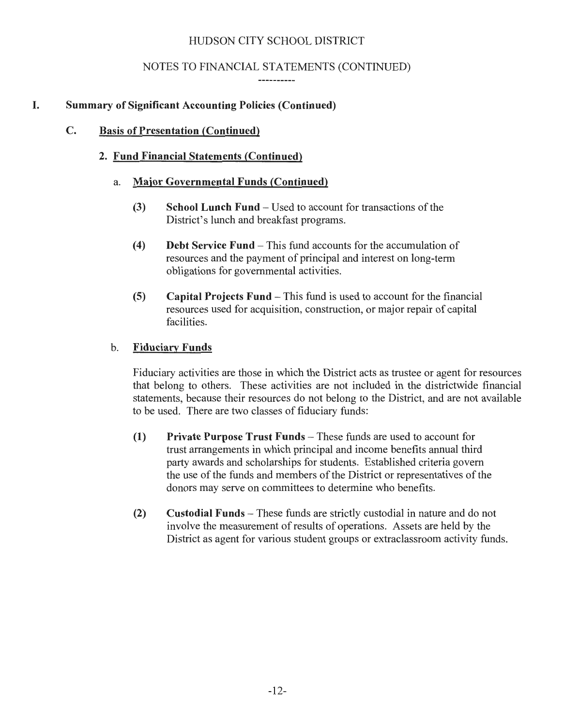## NOTES TO FINANCIAL STATEMENTS (CONTINUED)

-----------

## **I. Summary of Significant Accounting Policies (Continued)**

#### **C. Basis of Presentation (Continued)**

## **2. Fund Financial Statements (Continued)**

## a. **Major Governmental Funds (Continued)**

- **(3) School Lunch Fund**  Used to account for transactions of the District's lunch and breakfast programs.
- **(4) Debt Service Fund**  This fund accounts for the accumulation of resources and the payment of principal and interest on long-term obligations for governmental activities.
- **(5) Capital Projects Fund**  This fund is used to account for the financial resources used for acquisition, construction, or major repair of capital facilities.

#### **b. Fiduciary Funds**

Fiduciary activities are those in which the District acts as trustee or agent for resources that belong to others. These activities are not included in the districtwide financial statements, because their resources do not belong to the District, and are not available to be used. There are two classes of fiduciary funds:

- **(1) Private Purpose Trust Funds**  These funds are used to account for trust arrangements in which principal and income benefits annual third party awards and scholarships for students. Established criteria govern the use of the funds and members of the District or representatives of the donors may serve on committees to determine who benefits.
- **(2) Custodial Funds**  These funds are strictly custodial in nature and do not involve the measurement of results of operations. Assets are held by the District as agent for various student groups or extraclassroom activity funds.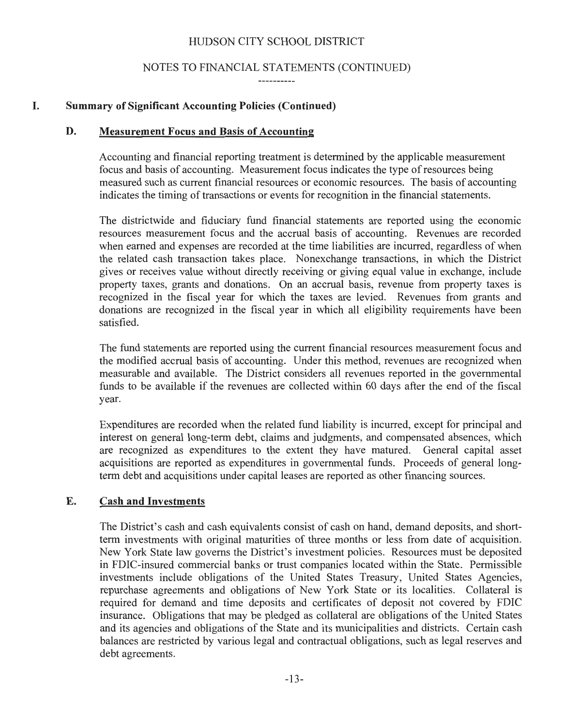## NOTES TO FINANCIAL STATEMENTS (CONTINUED)

## **I. Summary of Significant Accounting Policies (Continued)**

#### **D. Measurement Focus and Basis of Accounting**

Accounting and financial reporting treatment is determined by the applicable measurement focus and basis of accounting. Measurement focus indicates the type of resources being measured such as current financial resources or economic resources. The basis of accounting indicates the timing of transactions or events for recognition in the financial statements.

The districtwide and fiduciary fund financial statements are reported using the economic resources measurement focus and the accrual basis of accounting. Revenues are recorded when earned and expenses are recorded at the time liabilities are incurred, regardless of when the related cash transaction takes place. Nonexchange transactions, in which the District gives or receives value without directly receiving or giving equal value in exchange, include property taxes, grants and donations. On an accrual basis, revenue from property taxes is recognized in the fiscal year for which the taxes are levied. Revenues from grants and donations are recognized in the fiscal year in which all eligibility requirements have been satisfied.

The fund statements are reported using the current financial resources measurement focus and the modified accrual basis of accounting. Under this method, revenues are recognized when measurable and available. The District considers all revenues reported in the governmental funds to be available if the revenues are collected within 60 days after the end of the fiscal year.

Expenditures are recorded when the related fund liability is incurred, except for principal and interest on general long-term debt, claims and judgments, and compensated absences, which are recognized as expenditures to the extent they have matured. General capital asset acquisitions are reported as expenditures in governmental funds. Proceeds of general longterm debt and acquisitions under capital leases are reported as other financing sources.

## **E. Cash and Investments**

The District's cash and cash equivalents consist of cash on hand, demand deposits, and shortterm investments with original maturities of three months or less from date of acquisition. New York State law governs the District's investment policies. Resources must be deposited in FDIC-insured commercial banks or trust companies located within the State. Permissible investments include obligations of the United States Treasury, United States Agencies, repurchase agreements and obligations of New York State or its localities. Collateral is required for demand and time deposits and certificates of deposit not covered by FDIC insurance. Obligations that may be pledged as collateral are obligations of the United States and its agencies and obligations of the State and its municipalities and districts. Certain cash balances are restricted by various legal and contractual obligations, such as legal reserves and debt agreements.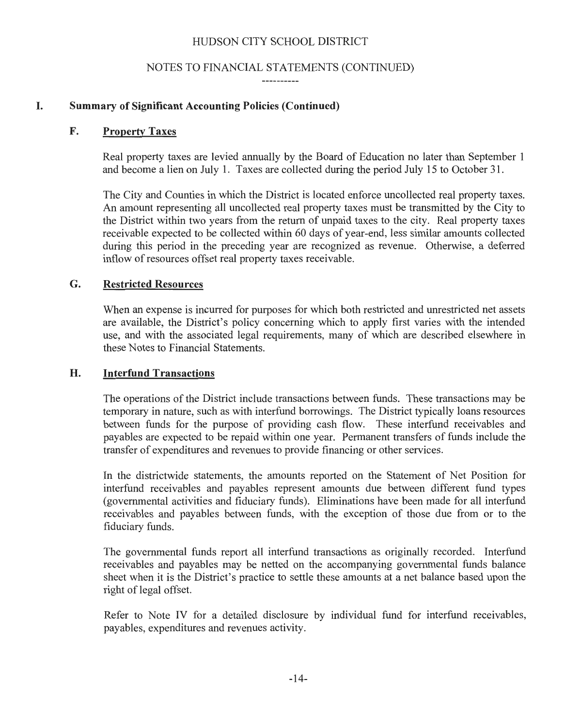#### NOTES TO FINANCIAL STATEMENTS (CONTINUED) ----------

I. Summary of Significant Accounting Policies (Continued)

#### F. Property Taxes

Real property taxes are levied annually by the Board of Education no later than September 1 and become a lien on July 1. Taxes are collected during the period July 15 to October 31 .

The City and Counties in which the District is located enforce uncollected real property taxes. An amount representing all uncollected real property taxes must be transmitted by the City to the District within two years from the return of unpaid taxes to the city. Real property taxes receivable expected to be collected within 60 days of year-end, less similar amounts collected during this period in the preceding year are recognized as revenue. Otherwise, a deferred inflow of resources offset real property taxes receivable.

#### G. Restricted Resources

When an expense is incurred for purposes for which both restricted and unrestricted net assets are available, the District's policy concerning which to apply first varies with the intended use, and with the associated legal requirements, many of which are described elsewhere in these Notes to Financial Statements.

## H. Interfund Transactions

The operations of the District include transactions between funds. These transactions may be temporary in nature, such as with interfund borrowings. The District typically loans resources between funds for the purpose of providing cash flow. These interfund receivables and payables are expected to be repaid within one year. Permanent transfers of funds include the transfer of expenditures and revenues to provide financing or other services.

In the districtwide statements, the amounts reported on the Statement of Net Position for interfund receivables and payables represent amounts due between different fund types (governmental activities and fiduciary funds). Eliminations have been made for all interfund receivables and payables between funds, with the exception of those due from or to the fiduciary funds.

The governmental funds report all interfund transactions as originally recorded. Interfund receivables and payables may be netted on the accompanying governmental funds balance sheet when it is the District's practice to settle these amounts at a net balance based upon the right of legal offset.

Refer to Note IV for a detailed disclosure by individual fund for interfund receivables, payables, expenditures and revenues activity.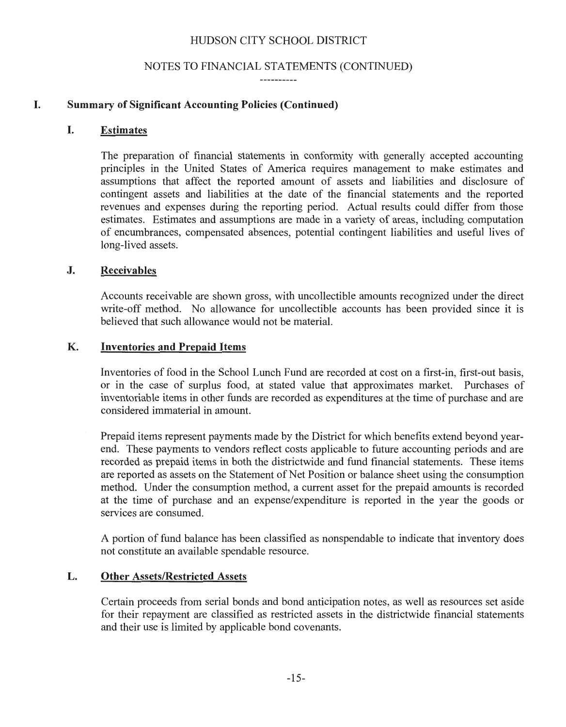#### NOTES TO FINANCIAL STATEMENTS (CONTINUED)

-----------

## I. Summary of Significant Accounting Policies (Continued)

#### I. Estimates

The preparation of financial statements in conformity with generally accepted accounting principles in the United States of America requires management to make estimates and assumptions that affect the reported amount of assets and liabilities and disclosure of contingent assets and liabilities at the date of the financial statements and the reported revenues and expenses during the reporting period. Actual results could differ from those estimates. Estimates and assumptions are made in a variety of areas, including computation of encumbrances, compensated absences, potential contingent liabilities and useful lives of long-lived assets.

#### J. Receivables

Accounts receivable are shown gross, with uncollectible amounts recognized under the direct write-off method. No allowance for uncollectible accounts has been provided since it is believed that such allowance would not be material.

#### K. Inventories and Prepaid Items

Inventories of food in the School Lunch Fund are recorded at cost on a first-in, first-out basis, or in the case of surplus food, at stated value that approximates market. Purchases of inventoriable items in other funds are recorded as expenditures at the time of purchase and are considered immaterial in amount.

Prepaid items represent payments made by the District for which benefits extend beyond yearend. These payments to vendors reflect costs applicable to future accounting periods and are recorded as prepaid items in both the districtwide and fund financial statements. These items are reported as assets on the Statement of Net Position or balance sheet using the consumption method. Under the consumption method, a current asset for the prepaid amounts is recorded at the time of purchase and an expense/expenditure is reported in the year the goods or services are consumed.

A portion of fund balance has been classified as nonspendable to indicate that inventory does not constitute an available spendable resource.

#### L. Other Assets/Restricted Assets

Certain proceeds from serial bonds and bond anticipation notes, as well as resources set aside for their repayment are classified as restricted assets in the districtwide financial statements and their use is limited by applicable bond covenants.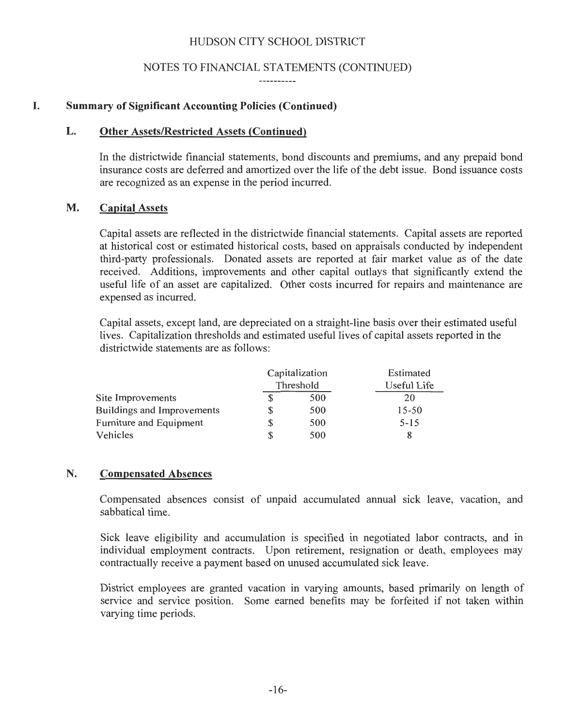#### NOTES TO FINANCIAL STATEMENTS (CONTINUED)

----------

#### I. Summary of Significant Accounting Policies (Continued)

#### L. Other Assets/Restricted Assets (Continued)

In the districtwide financial statements, bond discounts and premiums, and any prepaid bond insurance costs are deferred and amortized over the life of the debt issue. Bond issuance costs are recognized as an expense in the period incurred.

#### M. Capital Assets

Capital assets are reflected in the districtwide financial statements. Capital assets are reported at historical cost or estimated historical costs, based on appraisals conducted by independent third-party professionals. Donated assets are reported at fair market value as of the date received. Additions, improvements and other capital outlays that significantly extend the useful life of an asset are capitalized. Other costs incurred for repairs and maintenance are expensed as incurred.

Capital assets, except land, are depreciated on a straight-line basis over their estimated useful lives. Capitalization thresholds and estimated useful lives of capital assets reported in the districtwide statements are as follows:

|                            | Capitalization | Estimated   |
|----------------------------|----------------|-------------|
|                            | Threshold      | Useful Life |
| Site Improvements          | 500            | 20          |
| Buildings and Improvements | 500            | $15 - 50$   |
| Furniture and Equipment    | 500            | $5 - 15$    |
| Vehicles                   | 500            |             |

#### N. Compensated Absences

Compensated absences consist of unpaid accumulated annual sick leave, vacation, and sabbatical time.

Sick leave eligibility and accumulation is specified in negotiated labor contracts, and in individual employment contracts. Upon retirement, resignation or death, employees may contractually receive a payment based on unused accumulated sick leave.

District employees are granted vacation in varying amounts, based primarily on length of service and service position. Some earned benefits may be forfeited if not taken within varying time periods.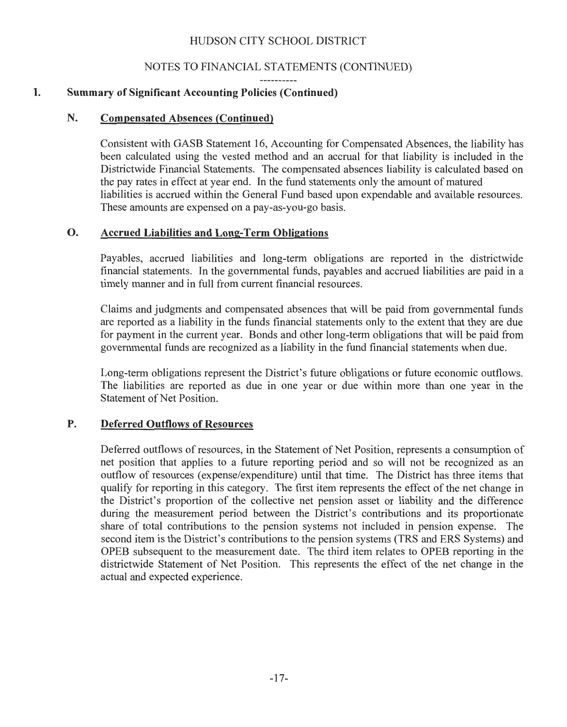## NOTES TO FINANCIAL STATEMENTS (CONTINUED)

# I. Summary of Significant Accounting Policies (Continued)

#### N. Compensated Absences (Continued)

Consistent with GASB Statement 16, Accounting for Compensated Absences, the liability has been calculated using the vested method and an accrual for that liability is included in the Districtwide Financial Statements. The compensated absences liability is calculated based on the pay rates in effect at year end. In the fund statements only the amount of matured liabilities is accrued within the General Fund based upon expendable and available resources. These amounts are expensed on a pay-as-you-go basis.

#### 0. Accrued Liabilities and Long-Term Obligations

Payables, accrued liabilities and long-term obligations are reported in the districtwide financial statements. In the governmental funds, payables and accrued liabilities are paid in a timely manner and in full from current financial resources.

Claims and judgments and compensated absences that will be paid from governmental funds are reported as a liability in the funds financial statements only to the extent that they are due for payment in the current year. Bonds and other long-term obligations that will be paid from governmental funds are recognized as a liability in the fund financial statements when due.

Long-term obligations represent the District's future obligations or future economic outflows. The liabilities are reported as due in one year or due within more than one year in the Statement of Net Position.

## P. Deferred Outflows of Resources

Deferred outflows of resources, in the Statement of Net Position, represents a consumption of net position that applies to a future reporting period and so will not be recognized as an outflow of resources (expense/expenditure) until that time. The District has three items that qualify for reporting in this category. The first item represents the effect of the net change in the District's proportion of the collective net pension asset or liability and the difference during the measurement period between the District's contributions and its proportionate share of total contributions to the pension systems not included in pension expense. The second item is the District's contributions to the pension systems (TRS and ERS Systems) and OPEB subsequent to the measurement date. The third item relates to OPEB reporting in the districtwide Statement of Net Position. This represents the effect of the net change in the actual and expected experience.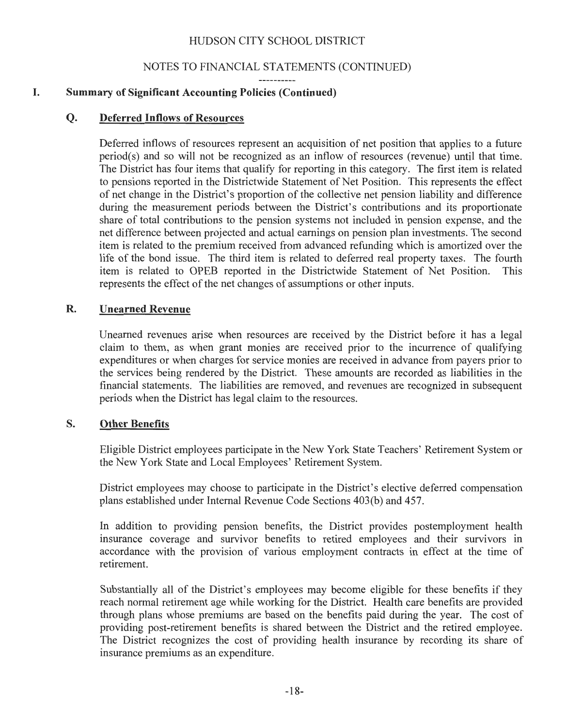## NOTES TO FINANCIAL STATEMENTS (CONTINUED)

## **I. Summary of Significant Accounting Policies (Continued)**

## **Q. Deferred Inflows of Resources**

Deferred inflows of resources represent an acquisition of net position that applies to a future period(s) and so will not be recognized as an inflow of resources (revenue) until that time. The District has four items that qualify for reporting in this category. The first item is related to pensions reported in the Districtwide Statement of Net Position. This represents the effect of net change in the District's proportion of the collective net pension liability and difference during the measurement periods between the District's contributions and its proportionate share of total contributions to the pension systems not included in pension expense, and the net difference between projected and actual earnings on pension plan investments. The second item is related to the premium received from advanced refunding which is amortized over the life of the bond issue. The third item is related to deferred real property taxes. The fourth item is related to OPEB reported in the Districtwide Statement of Net Position. This represents the effect of the net changes of assumptions or other inputs.

## **R. Unearned Revenue**

Unearned revenues arise when resources are received by the District before it has a legal claim to them, as when grant monies are received prior to the incurrence of qualifying expenditures or when charges for service monies are received in advance from payers prior to the services being rendered by the District. These amounts are recorded as liabilities in the financial statements. The liabilities are removed, and revenues are recognized in subsequent periods when the District has legal claim to the resources.

## **S. Other Benefits**

Eligible District employees participate in the New York State Teachers' Retirement System or the New York State and Local Employees' Retirement System.

District employees may choose to participate in the District's elective deferred compensation plans established under Internal Revenue Code Sections 403(b) and 457.

In addition to providing pension benefits, the District provides postemployment health insurance coverage and survivor benefits to retired employees and their survivors in accordance with the provision of various employment contracts in effect at the time of retirement.

Substantially all of the District's employees may become eligible for these benefits if they reach normal retirement age while working for the District. Health care benefits are provided through plans whose premiums are based on the benefits paid during the year. The cost of providing post-retirement benefits is shared between the District and the retired employee. The District recognizes the cost of providing health insurance by recording its share of insurance premiums as an expenditure.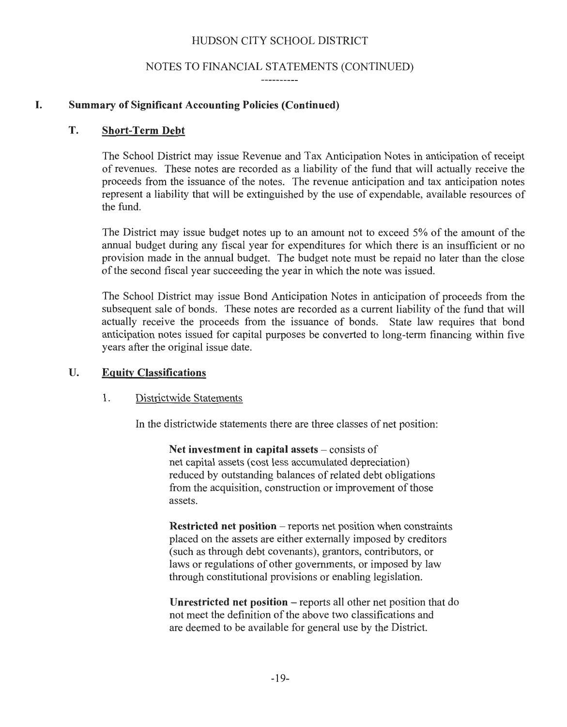#### NOTES TO FINANCIAL STATEMENTS (CONTINUED)

-----------

## I. Summary of Significant Accounting Policies (Continued)

#### T. Short-Term Debt

The School District may issue Revenue and Tax Anticipation Notes in anticipation of receipt of revenues. These notes are recorded as a liability of the fund that will actually receive the proceeds from the issuance of the notes. The revenue anticipation and tax anticipation notes represent a liability that will be extinguished by the use of expendable, available resources of the fund.

The District may issue budget notes up to an amount not to exceed 5% of the amount of the annual budget during any fiscal year for expenditures for which there is an insufficient or no provision made in the annual budget. The budget note must be repaid no later than the close of the second fiscal year succeeding the year in which the note was issued.

The School District may issue Bond Anticipation Notes in anticipation of proceeds from the subsequent sale of bonds. These notes are recorded as a current liability of the fund that will actually receive the proceeds from the issuance of bonds. State law requires that bond anticipation notes issued for capital purposes be converted to long-term financing within five years after the original issue date.

## U. Equity Classifications

#### 1. Districtwide Statements

In the districtwide statements there are three classes of net position:

Net investment in capital assets  $-\text{consists of}$ net capital assets (cost less accumulated depreciation) reduced by outstanding balances of related debt obligations from the acquisition, construction or improvement of those assets.

Restricted net position – reports net position when constraints placed on the assets are either externally imposed by creditors (such as through debt covenants), grantors, contributors, or laws or regulations of other governments, or imposed by law through constitutional provisions or enabling legislation.

Unrestricted net position - reports all other net position that do not meet the definition of the above two classifications and are deemed to be available for general use by the District.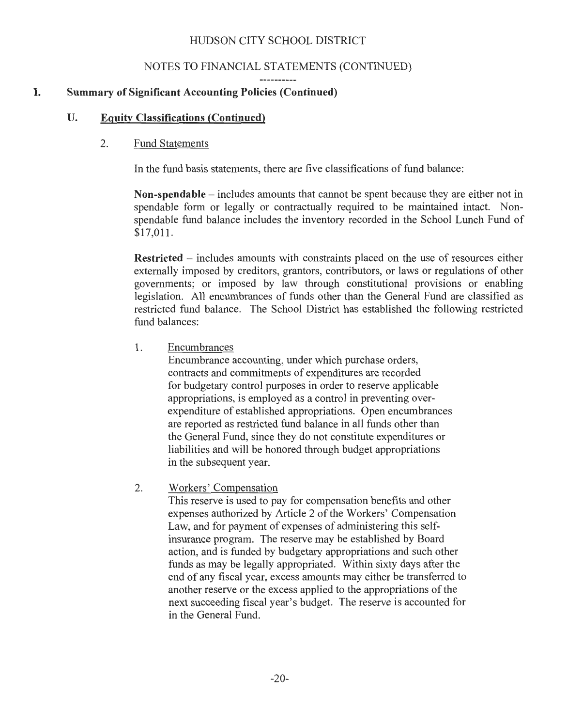## NOTES TO FINANCIAL STATEMENTS (CONTINUED)

## **I. Summary of Significant Accounting Policies (Continued)**

## **U. Equity Classifications (Continued)**

#### 2. Fund Statements

In the fund basis statements, there are five classifications of fund balance:

**Non-spendable** - includes amounts that cannot be spent because they are either not in spendable form or legally or contractually required to be maintained intact. Nonspendable fund balance includes the inventory recorded in the School Lunch Fund of \$17,011.

**Restricted** – includes amounts with constraints placed on the use of resources either externally imposed by creditors, grantors, contributors, or laws or regulations of other governments; or imposed by law through constitutional provisions or enabling legislation. All encumbrances of funds other than the General Fund are classified as restricted fund balance. The School District has established the following restricted fund balances:

1. Encumbrances

Encumbrance accounting, under which purchase orders, contracts and commitments of expenditures are recorded for budgetary control purposes in order to reserve applicable appropriations, is employed as a control in preventing overexpenditure of established appropriations. Open encumbrances are reported as restricted fund balance in all funds other than the General Fund, since they do not constitute expenditures or liabilities and will be honored through budget appropriations in the subsequent year.

2. Workers' Compensation

This reserve is used to pay for compensation benefits and other expenses authorized by Article 2 of the Workers' Compensation Law, and for payment of expenses of administering this selfinsurance program. The reserve may be established by Board action, and is funded by budgetary appropriations and such other funds as may be legally appropriated. Within sixty days after the end of any fiscal year, excess amounts may either be transferred to another reserve or the excess applied to the appropriations of the next succeeding fiscal year's budget. The reserve is accounted for in the General Fund.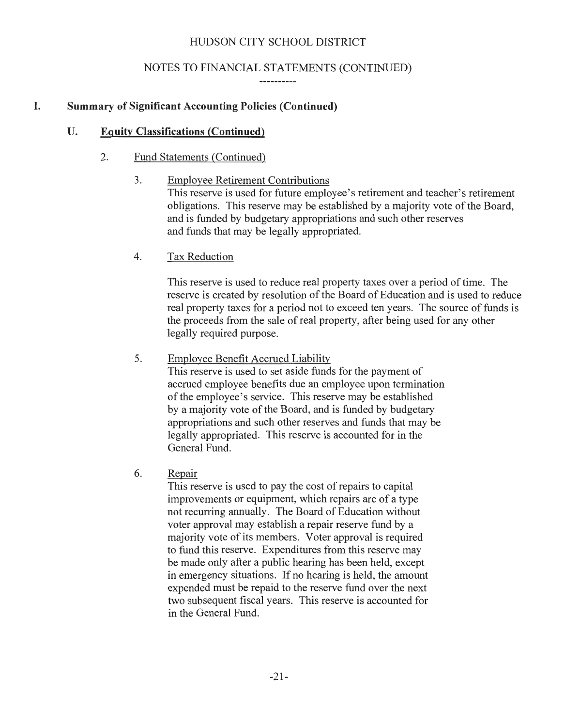## NOTES TO FINANCIAL STATEMENTS (CONTINUED)

----------

## **I. Summary of Significant Accounting Policies (Continued)**

#### **U. Equity Classifications (Continued)**

#### 2. Fund Statements (Continued)

#### 3. Employee Retirement Contributions

This reserve is used for future employee's retirement and teacher's retirement obligations. This reserve may be established by a majority vote of the Board, and is funded by budgetary appropriations and such other reserves and funds that may be legally appropriated.

## 4. Tax Reduction

This reserve is used to reduce real property taxes over a period of time. The reserve is created by resolution of the Board of Education and is used to reduce real property taxes for a period not to exceed ten years. The source of funds is the proceeds from the sale of real property, after being used for any other legally required purpose.

## 5. Employee Benefit Accrued Liability

This reserve is used to set aside funds for the payment of accrued employee benefits due an employee upon termination of the employee's service. This reserve may be established by a majority vote of the Board, and is funded by budgetary appropriations and such other reserves and funds that may be legally appropriated. This reserve is accounted for in the General Fund.

## 6. Repair

This reserve is used to pay the cost of repairs to capital improvements or equipment, which repairs are of a type not recurring annually. The Board of Education without voter approval may establish a repair reserve fund by a majority vote of its members. Voter approval is required to fund this reserve. Expenditures from this reserve may be made only after a public hearing has been held, except in emergency situations. If no hearing is held, the amount expended must be repaid to the reserve fund over the next two subsequent fiscal years. This reserve is accounted for in the General Fund.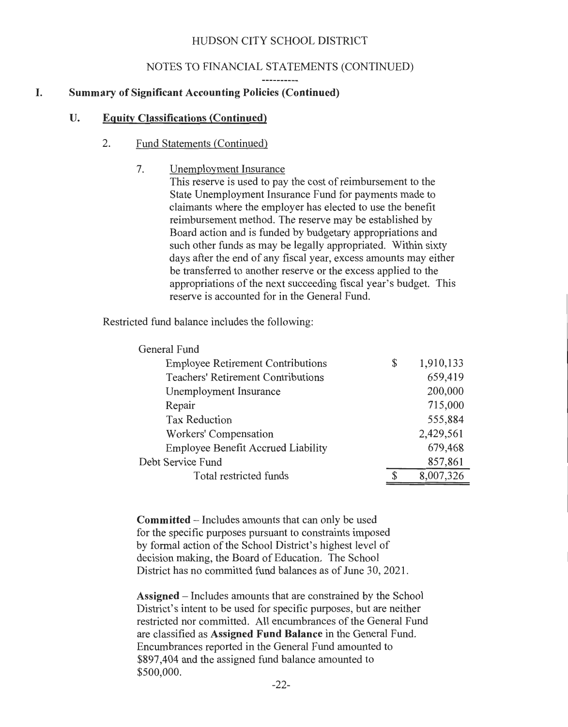## NOTES TO FINANCIAL STATEMENTS (CONTINUED)

#### **I. Summary of Significant Accounting Policies (Continued)**

#### **U. Equity Classifications (Continued)**

#### 2. Fund Statements (Continued)

7. Unemployment Insurance

This reserve is used to pay the cost of reimbursement to the State Unemployment Insurance Fund for payments made to claimants where the employer has elected to use the benefit reimbursement method. The reserve may be established by Board action and is funded by budgetary appropriations and such other funds as may be legally appropriated. Within sixty days after the end of any fiscal year, excess amounts may either be transferred to another reserve or the excess applied to the appropriations of the next succeeding fiscal year's budget. This reserve is accounted for in the General Fund.

Restricted fund balance includes the following:

| General Fund                              |                 |
|-------------------------------------------|-----------------|
| <b>Employee Retirement Contributions</b>  | \$<br>1,910,133 |
| <b>Teachers' Retirement Contributions</b> | 659,419         |
| Unemployment Insurance                    | 200,000         |
| Repair                                    | 715,000         |
| <b>Tax Reduction</b>                      | 555,884         |
| Workers' Compensation                     | 2,429,561       |
| <b>Employee Benefit Accrued Liability</b> | 679,468         |
| Debt Service Fund                         | 857,861         |
| Total restricted funds                    | 8,007,326       |

**Committed** - Includes amounts that can only be used for the specific purposes pursuant to constraints imposed by formal action of the School District's highest level of decision making, the Board of Education. The School District has no committed fund balances as of June 30, 2021 .

**Assigned** - Includes amounts that are constrained by the School District's intent to be used for specific purposes, but are neither restricted nor committed. All encumbrances of the General Fund are classified as **Assigned Fund Balance** in the General Fund. Encumbrances reported in the General Fund amounted to \$897,404 and the assigned fund balance amounted to \$500,000.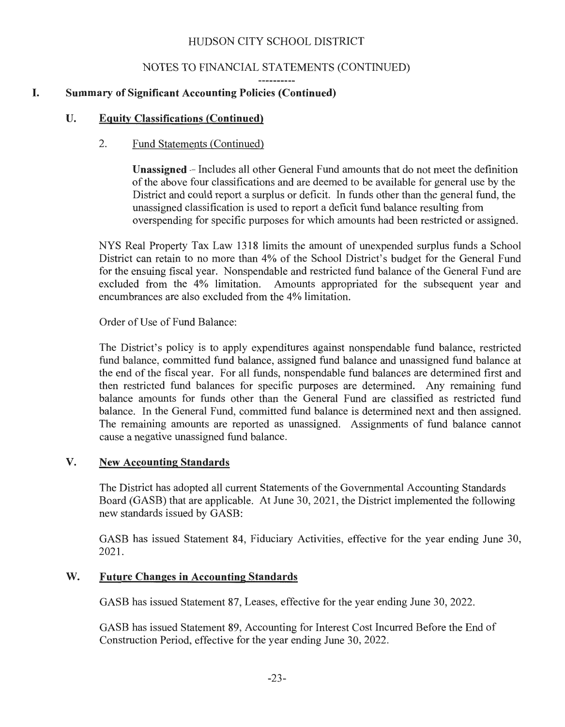## NOTES TO FINANCIAL STATEMENTS (CONTINUED)

## **I. Summary of Significant Accounting Policies (Continued)**

## **U. Equity Classifications (Continued)**

#### 2. Fund Statements (Continued)

**Unassigned** - Includes all other General Fund amounts that do not meet the definition of the above four classifications and are deemed to be available for general use by the District and could report a surplus or deficit. In funds other than the general fund, the unassigned classification is used to report a deficit fund balance resulting from overspending for specific purposes for which amounts had been restricted or assigned.

NYS Real Property Tax Law 1318 limits the amount of unexpended surplus funds a School District can retain to no more than 4% of the School District's budget for the General Fund for the ensuing fiscal year. Nonspendable and restricted fund balance of the General Fund are excluded from the 4% limitation. Amounts appropriated for the subsequent year and encumbrances are also excluded from the 4% limitation.

Order of Use of Fund Balance:

The District's policy is to apply expenditures against nonspendable fund balance, restricted fund balance, committed fund balance, assigned fund balance and unassigned fund balance at the end of the fiscal year. For all funds, nonspendable fund balances are determined first and then restricted fund balances for specific purposes are determined. Any remaining fund balance amounts for funds other than the General Fund are classified as restricted fund balance. In the General Fund, committed fund balance is determined next and then assigned. The remaining amounts are reported as unassigned. Assignments of fund balance cannot cause a negative unassigned fund balance.

## **V. New Accounting Standards**

The District has adopted all current Statements of the Governmental Accounting Standards Board (GASB) that are applicable. At June 30, 2021, the District implemented the following new standards issued by GASB:

GASB has issued Statement 84, Fiduciary Activities, effective for the year ending June 30, 2021.

## **W. Future Changes in Accounting Standards**

GASB has issued Statement 87, Leases, effective for the year ending June 30, 2022.

GASB has issued Statement 89, Accounting for Interest Cost Incurred Before the End of Construction Period, effective for the year ending June 30, 2022.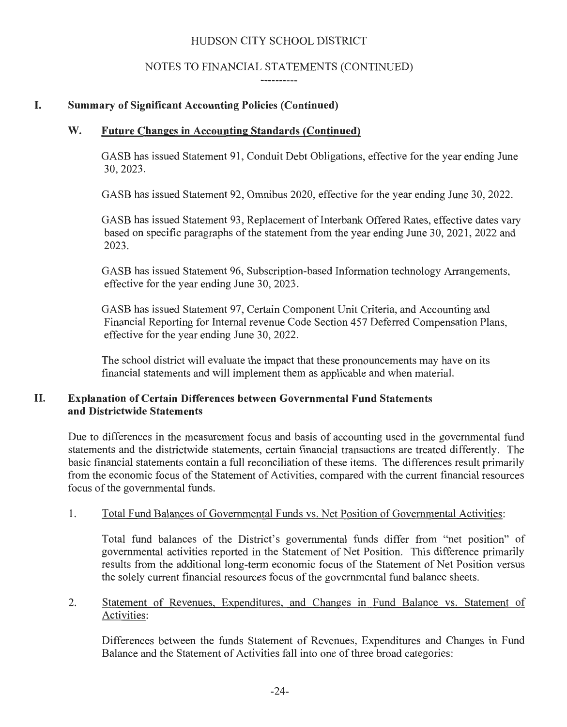## NOTES TO FINANCIAL STATEMENTS (CONTINUED)

----------

# **I. Summary of Significant Accounting Policies (Continued)**

# **W. Future Changes in Accounting Standards (Continued)**

GASB has issued Statement 91 , Conduit Debt Obligations, effective for the year ending June 30, 2023.

GASB has issued Statement 92, Omnibus 2020, effective for the year ending June 30, 2022.

GASB has issued Statement 93, Replacement of Interbank Offered Rates, effective dates vary based on specific paragraphs of the statement from the year ending June 30, 2021 , 2022 and 2023.

GASB has issued Statement 96, Subscription-based Information technology Arrangements, effective for the year ending June 30, 2023.

GASB has issued Statement 97, Certain Component Unit Criteria, and Accounting and Financial Reporting for Internal revenue Code Section 457 Deferred Compensation Plans, effective for the year ending June 30, 2022.

The school district will evaluate the impact that these pronouncements may have on its financial statements and will implement them as applicable and when material.

# **II. Explanation of Certain Differences between Governmental Fund Statements and Districtwide Statements**

Due to differences in the measurement focus and basis of accounting used in the governmental fund statements and the districtwide statements, certain financial transactions are treated differently. The basic financial statements contain a full reconciliation of these items. The differences result primarily from the economic focus of the Statement of Activities, compared with the current financial resources focus of the governmental funds.

# 1. Total Fund Balances of Governmental Funds vs. Net Position of Governmental Activities:

Total fund balances of the District's governmental funds differ from "net position" of governmental activities reported in the Statement of Net Position. This difference primarily results from the additional long-term economic focus of the Statement of Net Position versus the solely current financial resources focus of the governmental fund balance sheets.

# 2. Statement of Revenues, Expenditures, and Changes in Fund Balance vs. Statement of Activities:

Differences between the funds Statement of Revenues, Expenditures and Changes in Fund Balance and the Statement of Activities fall into one of three broad categories: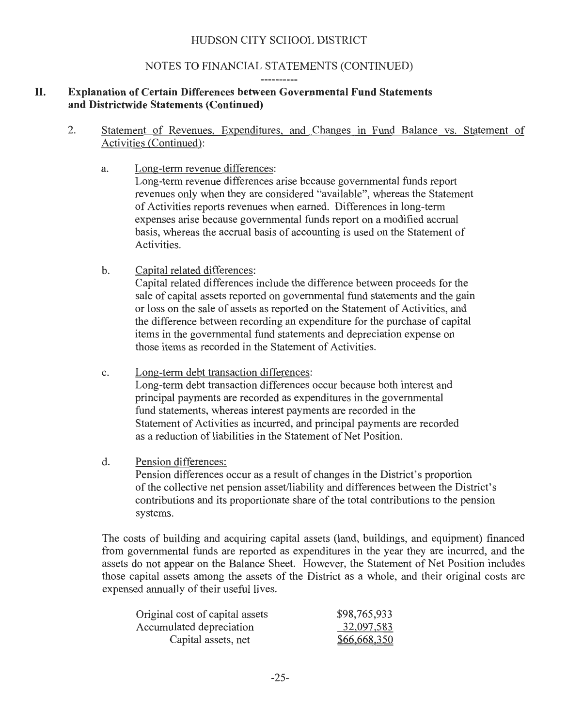## NOTES TO FINANCIAL STATEMENTS (CONTINUED)

# **II. Explanation of Certain Differences between Governmental Fund Statements and Districtwide Statements (Continued)**

- 2. Statement of Revenues, Expenditures, and Changes m Fund Balance vs. Statement of Activities (Continued):
	- a. Long-term revenue differences:

Long-term revenue differences arise because governmental funds report revenues only when they are considered "available", whereas the Statement of Activities reports revenues when earned. Differences in long-term expenses arise because governmental funds report on a modified accrual basis, whereas the accrual basis of accounting is used on the Statement of Activities.

b. Capital related differences:

Capital related differences include the difference between proceeds for the sale of capital assets reported on governmental fund statements and the gain or loss on the sale of assets as reported on the Statement of Activities, and the difference between recording an expenditure for the purchase of capital items in the governmental fund statements and depreciation expense on those items as recorded in the Statement of Activities.

c. Long-term debt transaction differences:

Long-term debt transaction differences occur because both interest and principal payments are recorded as expenditures in the governmental fund statements, whereas interest payments are recorded in the Statement of Activities as incurred, and principal payments are recorded as a reduction of liabilities in the Statement of Net Position.

d. Pension differences:

Pension differences occur as a result of changes in the District's proportion of the collective net pension asset/liability and differences between the District's contributions and its proportionate share of the total contributions to the pension systems.

The costs of building and acquiring capital assets (land, buildings, and equipment) financed from governmental funds are reported as expenditures in the year they are incurred, and the assets do not appear on the Balance Sheet. However, the Statement of Net Position includes those capital assets among the assets of the District as a whole, and their original costs are expensed annually of their useful lives.

| Original cost of capital assets | \$98,765,933 |
|---------------------------------|--------------|
| Accumulated depreciation        | 32,097,583   |
| Capital assets, net             | \$66,668,350 |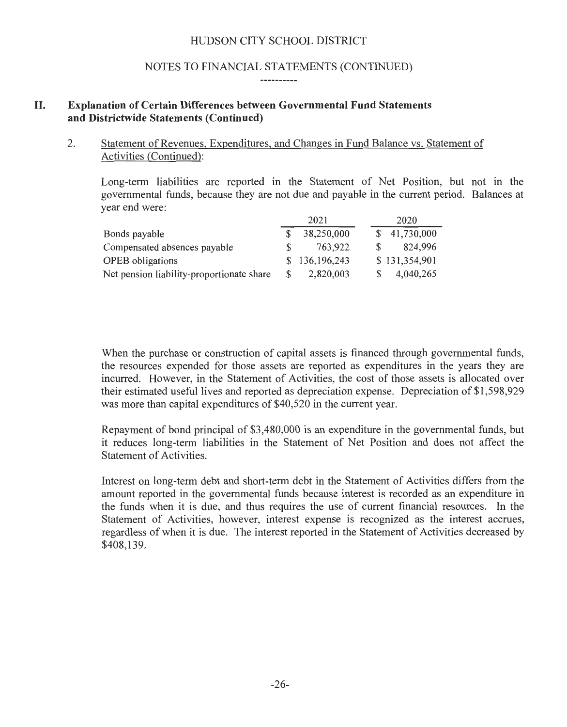## NOTES TO FINANCIAL STATEMENTS (CONTINUED)

#### -----------

## **II. Explanation of Certain Differences between Governmental Fund Statements and Districtwide Statements (Continued)**

### 2. Statement of Revenues, Expenditures, and Changes in Fund Balance vs. Statement of Activities (Continued):

Long-term liabilities are reported in the Statement of Net Position, but not in the governmental funds, because they are not due and payable in the current period. Balances at year end were:

|                                           |    | 2021          | 2020          |
|-------------------------------------------|----|---------------|---------------|
| Bonds payable                             |    | 38,250,000    | \$41,730,000  |
| Compensated absences payable              |    | 763,922       | 824.996       |
| <b>OPEB</b> obligations                   |    | \$136,196,243 | \$131,354,901 |
| Net pension liability-proportionate share | S. | 2,820,003     | 4,040,265     |

When the purchase or construction of capital assets is financed through governmental funds, the resources expended for those assets are reported as expenditures in the years they are incurred. However, in the Statement of Activities, the cost of those assets is allocated over their estimated useful lives and reported as depreciation expense. Depreciation of \$1 ,598,929 was more than capital expenditures of \$40,520 in the current year.

Repayment of bond principal of \$3,480,000 is an expenditure in the governmental funds, but it reduces long-term liabilities in the Statement of Net Position and does not affect the Statement of Activities.

Interest on long-term debt and short-term debt in the Statement of Activities differs from the amount reported in the governmental funds because interest is recorded as an expenditure in the funds when it is due, and thus requires the use of current financial resources. In the Statement of Activities, however, interest expense is recognized as the interest accrues, regardless of when it is due. The interest reported in the Statement of Activities decreased by \$408,139.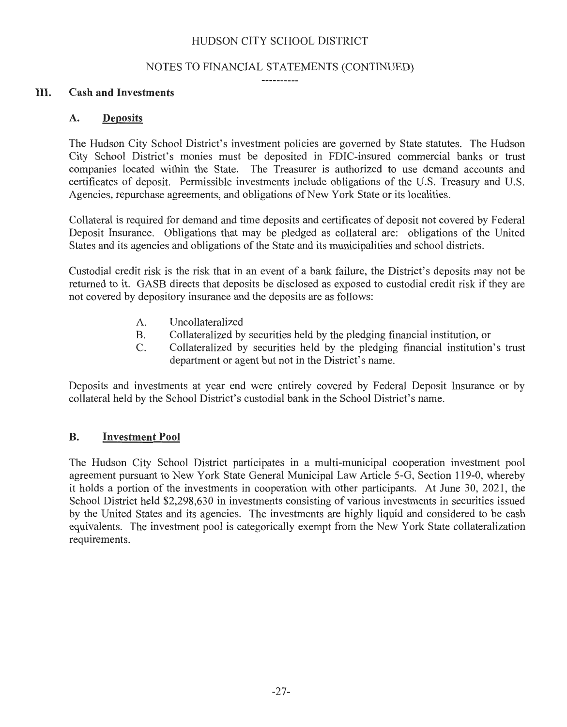#### NOTES TO FINANCIAL STATEMENTS (CONTINUED)

-----------

#### III. **Cash and Investments**

#### **A. Deposits**

The Hudson City School District's investment policies are governed by State statutes. The Hudson City School District's monies must be deposited in FDIC-insured commercial banks or trust companies located within the State. The Treasurer is authorized to use demand accounts and certificates of deposit. Permissible investments include obligations of the U.S. Treasury and U.S. Agencies, repurchase agreements, and obligations of New York State or its localities.

Collateral is required for demand and time deposits and certificates of deposit not covered by Federal Deposit Insurance. Obligations that may be pledged as collateral are: obligations of the United States and its agencies and obligations of the State and its municipalities and school districts.

Custodial credit risk is the risk that in an event of a bank failure, the District's deposits may not be returned to it. GASB directs that deposits be disclosed as exposed to custodial credit risk if they are not covered by depository insurance and the deposits are as follows:

- A. Uncollateralized
- B. Collateralized by securities held by the pledging financial institution, or
- C. Collateralized by securities held by the pledging financial institution's trust department or agent but not in the District's name.

Deposits and investments at year end were entirely covered by Federal Deposit Insurance or by collateral held by the School District's custodial bank in the School District's name.

#### **B. Investment Pool**

The Hudson City School District participates in a multi-municipal cooperation investment pool agreement pursuant to New York State General Municipal Law Article 5-G, Section 119-0, whereby it holds a portion of the investments in cooperation with other participants. At June 30, 2021, the School District held \$2,298,630 in investments consisting of various investments in securities issued by the United States and its agencies. The investments are highly liquid and considered to be cash equivalents. The investment pool is categorically exempt from the New York State collateralization requirements.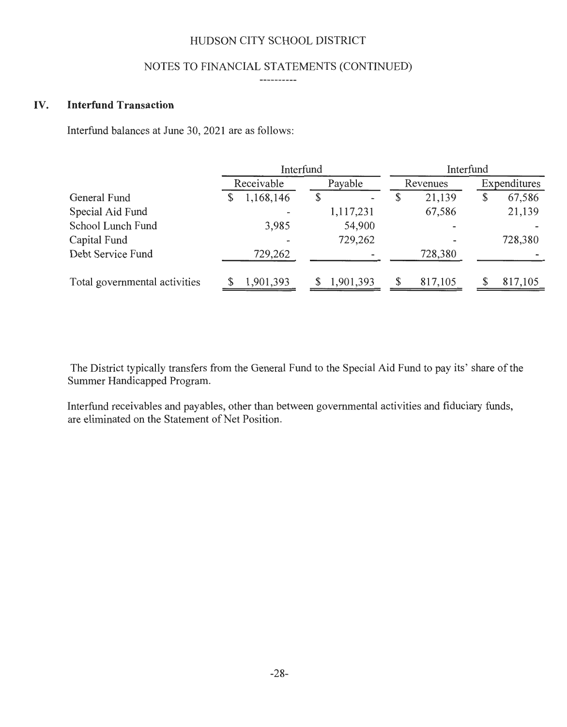#### NOTES TO FINANCIAL STATEMENTS (CONTINUED) ----------

#### IV. **Interfund Transaction**

Interfund balances at June 30, 2021 are as follows:

|                               |                          | Interfund | Interfund    |              |
|-------------------------------|--------------------------|-----------|--------------|--------------|
|                               | Receivable               | Payable   | Revenues     | Expenditures |
| General Fund                  | 1,168,146                |           | 21,139       | 67,586<br>\$ |
| Special Aid Fund              | $\overline{\phantom{m}}$ | 1,117,231 | 67,586       | 21,139       |
| School Lunch Fund             | 3,985                    | 54,900    |              |              |
| Capital Fund                  | $\overline{\phantom{a}}$ | 729,262   |              | 728,380      |
| Debt Service Fund             | 729,262                  |           | 728,380      |              |
| Total governmental activities | 1,901,393                | 1,901,393 | 817,105<br>S | 817,105      |

The District typically transfers from the General Fund to the Special Aid Fund to pay its' share of the Summer Handicapped Program.

Interfund receivables and payables, other than between governmental activities and fiduciary funds, are eliminated on the Statement of Net Position.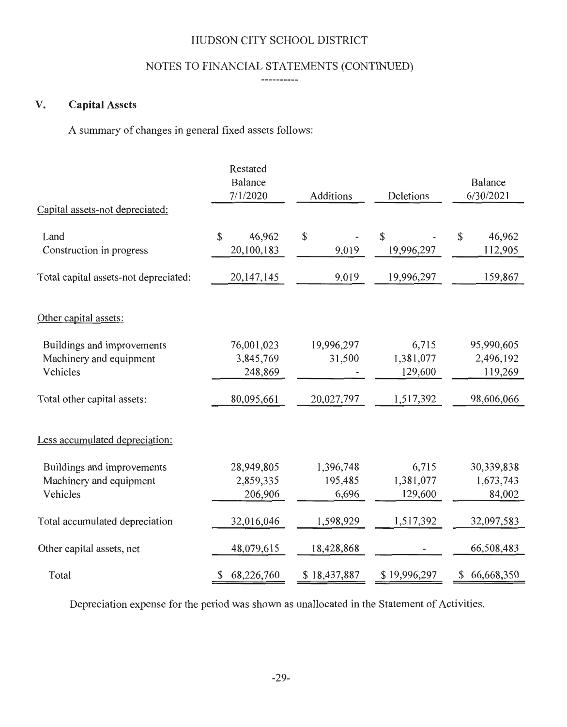# NOTES TO FINANCIAL STATEMENTS (CONTINUED)

#### ----------

# **V. Capital** Assets

A summary of changes in general fixed assets follows:

|                                                                   | Restated<br>Balance<br>7/1/2020      | Additions                          | Deletions                     | <b>Balance</b><br>6/30/2021        |
|-------------------------------------------------------------------|--------------------------------------|------------------------------------|-------------------------------|------------------------------------|
| Capital assets-not depreciated:                                   |                                      |                                    |                               |                                    |
| Land<br>Construction in progress                                  | $\mathbb{S}$<br>46,962<br>20,100,183 | $\boldsymbol{\mathsf{S}}$<br>9,019 | $\mathbb{S}$<br>19,996,297    | 46,962<br>\$<br>112,905            |
| Total capital assets-not depreciated:                             | 20, 147, 145                         | 9,019                              | 19,996,297                    | 159,867                            |
| Other capital assets:                                             |                                      |                                    |                               |                                    |
| Buildings and improvements<br>Machinery and equipment<br>Vehicles | 76,001,023<br>3,845,769<br>248,869   | 19,996,297<br>31,500               | 6,715<br>1,381,077<br>129,600 | 95,990,605<br>2,496,192<br>119,269 |
| Total other capital assets:                                       | 80,095,661                           | 20,027,797                         | 1,517,392                     | 98,606,066                         |
| Less accumulated depreciation:                                    |                                      |                                    |                               |                                    |
| Buildings and improvements<br>Machinery and equipment<br>Vehicles | 28,949,805<br>2,859,335<br>206,906   | 1,396,748<br>195,485<br>6,696      | 6,715<br>1,381,077<br>129,600 | 30,339,838<br>1,673,743<br>84,002  |
| Total accumulated depreciation                                    | 32,016,046                           | 1,598,929                          | 1,517,392                     | 32,097,583                         |
| Other capital assets, net                                         | 48,079,615                           | 18,428,868                         |                               | 66,508,483                         |
| Total                                                             | 68,226,760<br>\$                     | \$18,437,887                       | \$19,996,297                  | 66,668,350<br>\$                   |

Depreciation expense for the period was shown as unallocated in the Statement of Activities.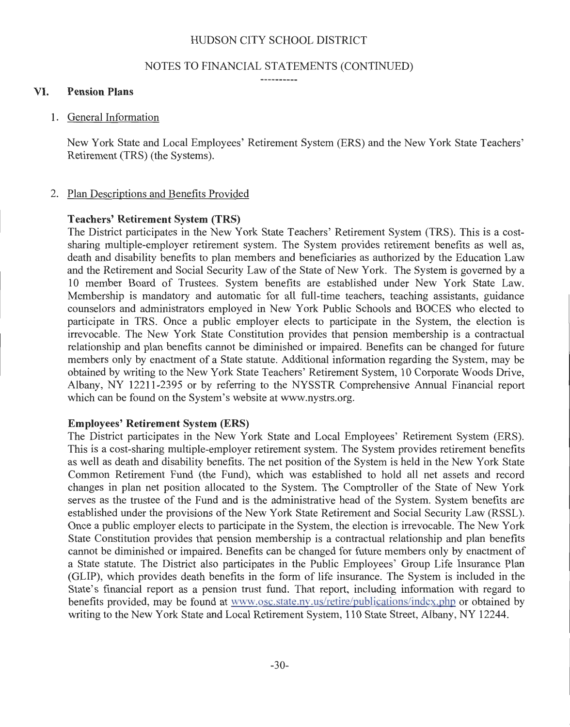#### NOTES TO FINANCIAL STATEMENTS (CONTINUED)

-----------

#### VI. Pension Plans

1. General Information

New York State and Local Employees' Retirement System (ERS) and the New York State Teachers' Retirement (TRS) (the Systems).

#### 2. Plan Descriptions and Benefits Provided

#### Teachers' Retirement System (TRS)

The District participates in the New York State Teachers' Retirement System (TRS). This is a costsharing multiple-employer retirement system. The System provides retirement benefits as well as, death and disability benefits to plan members and beneficiaries as authorized by the Education Law and the Retirement and Social Security Law of the State of New York. The System is governed by a 10 member Board of Trustees. System benefits are established under New York State Law. Membership is mandatory and automatic for all full-time teachers, teaching assistants, guidance counselors and administrators employed in New York Public Schools and BOCES who elected to participate in TRS. Once a public employer elects to participate in the System, the election is irrevocable. The New York State Constitution provides that pension membership is a contractual relationship and plan benefits cannot be diminished or impaired. Benefits can be changed for future members only by enactment of a State statute. Additional information regarding the System, may be obtained by writing to the New York State Teachers' Retirement System, 10 Corporate Woods Drive, Albany, NY 12211-2395 or by referring to the NYSSTR Comprehensive Annual Financial report which can be found on the System's website at www.nystrs.org.

#### Employees' Retirement System (ERS)

The District participates in the New York State and Local Employees' Retirement System (ERS). This is a cost-sharing multiple-employer retirement system. The System provides retirement benefits as well as death and disability benefits. The net position of the System is held in the New York State Common Retirement Fund (the Fund), which was established to hold all net assets and record changes in plan net position allocated to the System. The Comptroller of the State of New York serves as the trustee of the Fund and is the administrative head of the System. System benefits are established under the provisions of the New York State Retirement and Social Security Law (RSSL). Once a public employer elects to participate in the System, the election is irrevocable. The New York State Constitution provides that pension membership is a contractual relationship and plan benefits cannot be diminished or impaired. Benefits can be changed for future members only by enactment of a State statute. The District also participates in the Public Employees' Group Life Insurance Plan (GLIP), which provides death benefits in the form of life insurance. The System is included in the State's financial report as a pension trust fund. That report, including information with regard to benefits provided, may be found at www.osc.state.ny.us/retire/publications/index.php or obtained by writing to the New York State and Local Retirement System, 110 State Street, Albany, NY 12244.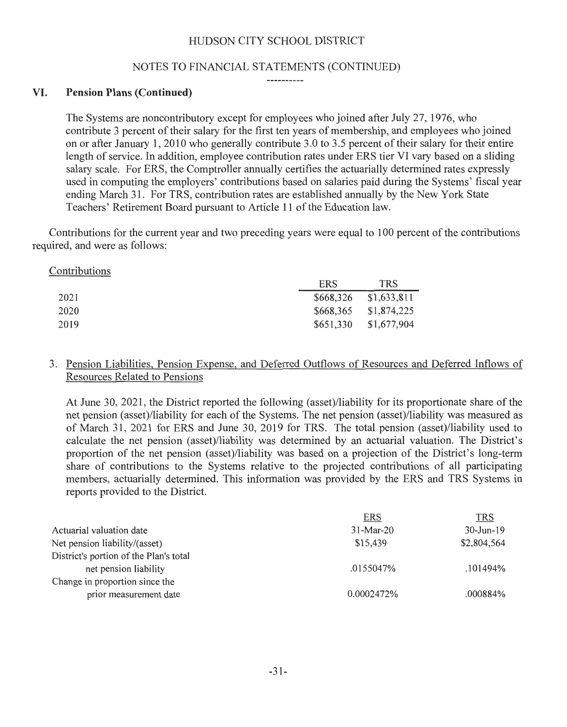#### NOTES TO FINANCIAL STATEMENTS (CONTINUED)

-----------

## VI. **Pension Plans (Continued)**

The Systems are noncontributory except for employees who joined after July 27, 1976, who contribute 3 percent of their salary for the first ten years of membership, and employees who joined on or after January 1, 2010 who generally contribute 3.0 to 3.5 percent of their salary for their entire length of service. In addition, employee contribution rates under ERS tier VI vary based on a sliding salary scale. For ERS, the Comptroller annually certifies the actuarially determined rates expressly used in computing the employers' contributions based on salaries paid during the Systems' fiscal year ending March 31 . For TRS, contribution rates are established annually by the New York State Teachers' Retirement Board pursuant to Article 11 of the Education law.

Contributions for the current year and two preceding years were equal to 100 percent of the contributions required, and were as follows:

| Contributions |            |             |
|---------------|------------|-------------|
|               | <b>ERS</b> | <b>TRS</b>  |
| 2021          | \$668,326  | \$1,633,811 |
| 2020          | \$668,365  | \$1,874,225 |
| 2019          | \$651,330  | \$1,677,904 |

## 3. Pension Liabilities, Pension Expense, and Deferred Outflows of Resources and Deferred Inflows of Resources Related to Pensions

At June 30, 2021 , the District reported the following (asset)/liability for its proportionate share of the net pension (asset)/liability for each of the Systems. The net pension (asset)/liability was measured as of March 31 , 2021 for ERS and June 30, 2019 for TRS. The total pension (asset)/liability used to calculate the net pension (asset)/liability was determined by an actuarial valuation. The District's proportion of the net pension (asset)/liability was based on a projection of the District's long-term share of contributions to the Systems relative to the projected contributions of all participating members, actuarially determined. This information was provided by the ERS and TRS Systems in reports provided to the District.

| <b>TRS</b>    |
|---------------|
| $30 - Jun-19$ |
| \$2,804,564   |
|               |
| .101494%      |
|               |
| .000884%      |
|               |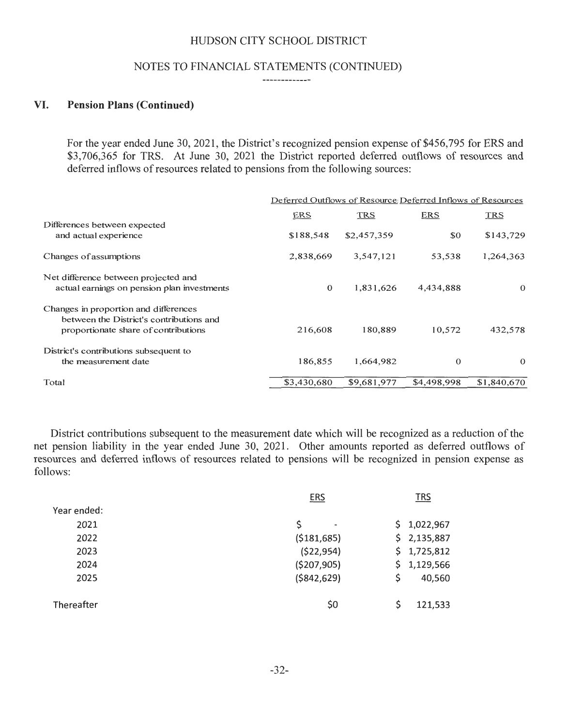#### NOTES TO FINANCIAL STATEMENTS (CONTINUED)

-------------

#### VI. **Pension Plans (Continued)**

For the year ended June 30, 2021, the District's recognized pension expense of \$456,795 for ERS and \$3,706,365 for TRS. At June 30, 2021 the District reported deferred outflows of resources and deferred inflows of resources related to pensions from the following sources:

|                                                                                                                           | Deferred Outflows of Resource: Deferred Inflows of Resources |             |              |             |
|---------------------------------------------------------------------------------------------------------------------------|--------------------------------------------------------------|-------------|--------------|-------------|
|                                                                                                                           | ERS                                                          | <b>TRS</b>  | <b>ERS</b>   | <b>TRS</b>  |
| Differences between expected<br>and actual experience                                                                     | \$188,548                                                    | \$2,457,359 | \$0          | \$143,729   |
| Changes of assumptions                                                                                                    | 2,838,669                                                    | 3,547,121   | 53,538       | 1,264,363   |
| Net difference between projected and<br>actual earnings on pension plan investments                                       | $\mathbf{0}$                                                 | 1,831,626   | 4,434,888    | $\Omega$    |
| Changes in proportion and differences<br>between the District's contributions and<br>proportionate share of contributions | 216,608                                                      | 180.889     | 10,572       | 432,578     |
| District's contributions subsequent to<br>the measurement date                                                            | 186,855                                                      | 1,664,982   | $\mathbf{0}$ | $\Omega$    |
| Total                                                                                                                     | \$3,430,680                                                  | \$9,681,977 | \$4,498,998  | \$1,840,670 |

District contributions subsequent to the measurement date which will be recognized as a reduction of the net pension liability in the year ended June 30, 2021. Other amounts reported as deferred outflows of resources and deferred inflows of resources related to pensions will be recognized in pension expense as follows:

|             | <b>ERS</b>                         | <b>TRS</b>   |
|-------------|------------------------------------|--------------|
| Year ended: |                                    |              |
| 2021        | \$<br>$\qquad \qquad \blacksquare$ | \$1,022,967  |
| 2022        | (5181, 685)                        | \$2,135,887  |
| 2023        | (\$22,954)                         | \$1,725,812  |
| 2024        | (\$207,905)                        | \$1,129,566  |
| 2025        | ( \$842, 629)                      | Ŝ.<br>40,560 |
|             |                                    |              |
| Thereafter  | \$0                                | 121,533      |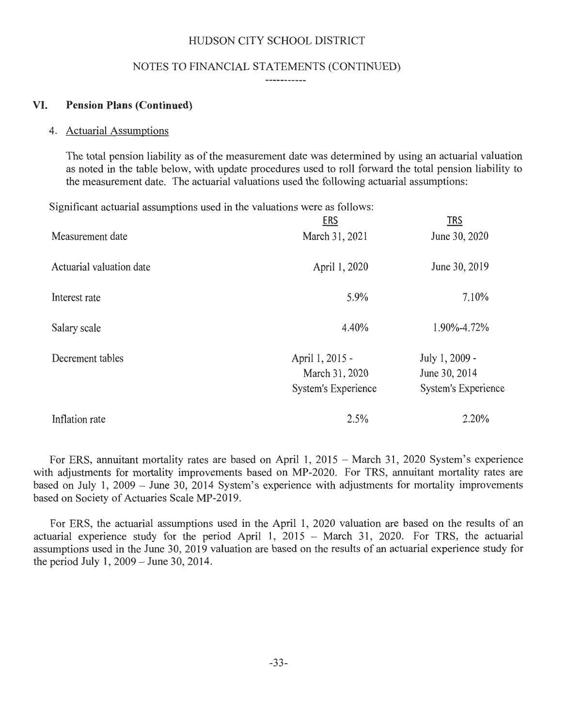#### NOTES TO FINANCIAL STATEMENTS (CONTINUED)

------------

#### VI. **Pension Plans (Continued)**

#### 4. Actuarial Assumptions

The total pension liability as of the measurement date was determined by using an actuarial valuation as noted in the table below, with update procedures used to roll forward the total pension liability to the measurement date. The actuarial valuations used the following actuarial assumptions:

Significant actuarial assumptions used in the valuations were as follows:

|                          | <u>ERS</u>                                                      | <b>TRS</b>                                                    |
|--------------------------|-----------------------------------------------------------------|---------------------------------------------------------------|
| Measurement date         | March 31, 2021                                                  | June 30, 2020                                                 |
| Actuarial valuation date | April 1, 2020                                                   | June 30, 2019                                                 |
| Interest rate            | 5.9%                                                            | 7.10%                                                         |
| Salary scale             | 4.40%                                                           | 1.90%-4.72%                                                   |
| Decrement tables         | April 1, 2015 -<br>March 31, 2020<br><b>System's Experience</b> | July 1, 2009 -<br>June 30, 2014<br><b>System's Experience</b> |
| Inflation rate           | 2.5%                                                            | 2.20%                                                         |

For ERS, annuitant mortality rates are based on April 1, 2015 - March 31, 2020 System's experience with adjustments for mortality improvements based on MP-2020. For TRS, annuitant mortality rates are based on July 1, 2009 - June 30, 2014 System's experience with adjustments for mortality improvements based on Society of Actuaries Scale MP-2019.

For ERS, the actuarial assumptions used in the April 1, 2020 valuation are based on the results of an actuarial experience study for the period April 1,  $2015 -$  March 31, 2020. For TRS, the actuarial assumptions used in the June 30, 2019 valuation are based on the results of an actuarial experience study for the period July 1, 2009 - June 30, 2014.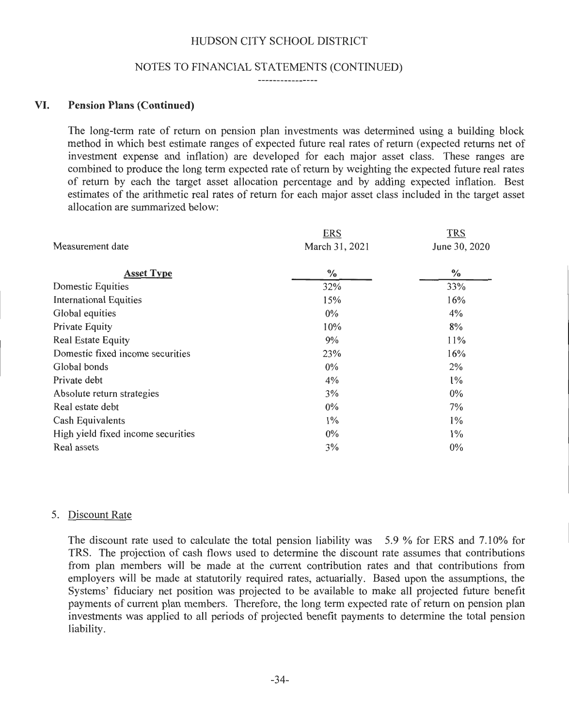#### NOTES TO FINANCIAL STATEMENTS (CONTINUED)

----------------

#### VI. **Pension Plans (Continued)**

The long-term rate of return on pension plan investments was determined using a building block method in which best estimate ranges of expected future real rates of return (expected returns net of investment expense and inflation) are developed for each major asset class. These ranges are combined to produce the long term expected rate of return by weighting the expected future real rates of return by each the target asset allocation percentage and by adding expected inflation. Best estimates of the arithmetic real rates of return for each major asset class included in the target asset allocation are summarized below:

|                                    | <b>ERS</b>     | <b>TRS</b>    |
|------------------------------------|----------------|---------------|
| Measurement date                   | March 31, 2021 | June 30, 2020 |
| <b>Asset Type</b>                  | $\frac{0}{0}$  | $\frac{6}{6}$ |
| Domestic Equities                  | 32%            | 33%           |
| <b>International Equities</b>      | 15%            | 16%           |
| Global equities                    | $0\%$          | 4%            |
| Private Equity                     | 10%            | 8%            |
| <b>Real Estate Equity</b>          | 9%             | 11%           |
| Domestic fixed income securities   | 23%            | 16%           |
| Global bonds                       | $0\%$          | 2%            |
| Private debt                       | 4%             | $1\%$         |
| Absolute return strategies         | 3%             | $0\%$         |
| Real estate debt                   | $0\%$          | 7%            |
| Cash Equivalents                   | $1\%$          | $1\%$         |
| High yield fixed income securities | $0\%$          | $1\%$         |
| Real assets                        | 3%             | 0%            |

#### 5. Discount Rate

The discount rate used to calculate the total pension liability was  $5.9 \%$  for ERS and 7.10% for TRS. The projection of cash flows used to determine the discount rate assumes that contributions from plan members will be made at the current contribution rates and that contributions from employers will be made at statutorily required rates, actuarially. Based upon the assumptions, the Systems' fiduciary net position was projected to be available to make all projected future benefit payments of current plan members. Therefore, the long term expected rate of return on pension plan investments was applied to all periods of projected benefit payments to determine the total pension liability.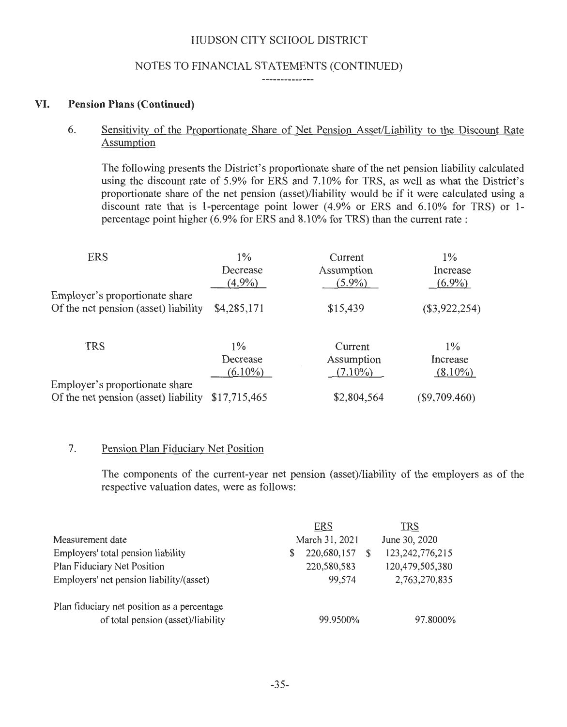## NOTES TO FINANCIAL STATEMENTS (CONTINUED)

--------------

#### VI. **Pension Plans (Continued)**

6. Sensitivity of the Proportionate Share of Net Pension Asset/Liability to the Discount Rate Assumption

The following presents the District's proportionate share of the net pension liability calculated using the discount rate of 5.9% for ERS and 7.10% for TRS, as well as what the District's proportionate share of the net pension (asset)/liability would be if it were calculated using a discount rate that is 1-percentage point lower (4.9% or ERS and 6.10% for TRS) or 1percentage point higher (6.9% for ERS and 8.10% for TRS) than the current rate:

| <b>ERS</b>                                                             | $1\%$        | Current     | $1\%$           |
|------------------------------------------------------------------------|--------------|-------------|-----------------|
|                                                                        | Decrease     | Assumption  | Increase        |
|                                                                        | $(4.9\%)$    | $(5.9\%)$   | $(6.9\%)$       |
| Employer's proportionate share<br>Of the net pension (asset) liability | \$4,285,171  | \$15,439    | $(\$3,922,254)$ |
|                                                                        |              |             |                 |
|                                                                        |              |             |                 |
| <b>TRS</b>                                                             | $1\%$        | Current     | $1\%$           |
|                                                                        | Decrease     | Assumption  | Increase        |
|                                                                        | $(6.10\%)$   | $(7.10\%)$  | $(8.10\%)$      |
| Employer's proportionate share                                         |              |             |                 |
| Of the net pension (asset) liability                                   | \$17,715,465 | \$2,804,564 | $(\$9,709.460)$ |

#### 7. Pension Plan Fiduciary Net Position

The components of the current-year net pension (asset)/liability of the employers as of the respective valuation dates, were as follows:

|                                             |   | <b>ERS</b>     | <b>TRS</b>         |
|---------------------------------------------|---|----------------|--------------------|
| Measurement date                            |   | March 31, 2021 | June 30, 2020      |
| Employers' total pension liability          | S | 220,680,157    | 123, 242, 776, 215 |
| Plan Fiduciary Net Position                 |   | 220,580,583    | 120,479,505,380    |
| Employers' net pension liability/(asset)    |   | 99,574         | 2,763,270,835      |
| Plan fiduciary net position as a percentage |   |                |                    |
| of total pension (asset)/liability          |   | 99.9500%       | 97.8000%           |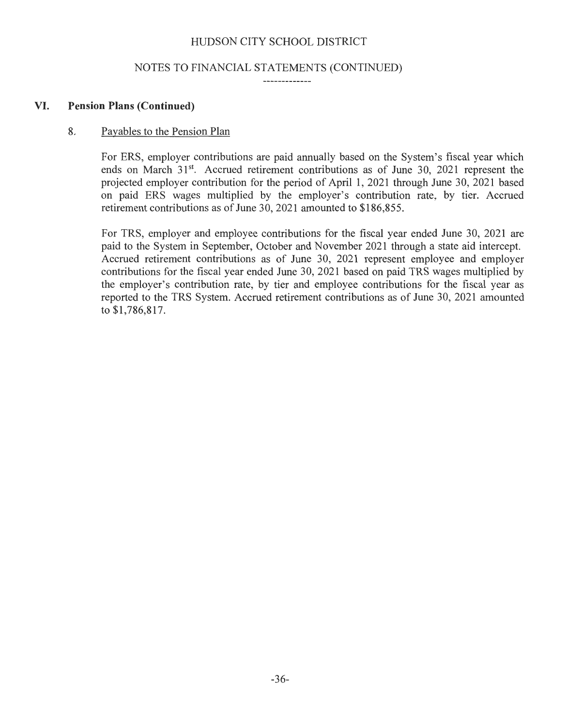#### NOTES TO FINANCIAL STATEMENTS (CONTINUED)

-------------

#### VI. **Pension Plans (Continued)**

#### 8. Payables to the Pension Plan

For ERS, employer contributions are paid annually based on the System's fiscal year which ends on March 31<sup>st</sup>. Accrued retirement contributions as of June 30, 2021 represent the projected employer contribution for the period of April 1, 2021 through June 30, 2021 based on paid ERS wages multiplied by the employer's contribution rate, by tier. Accrued retirement contributions as of June 30, 2021 amounted to \$186,855.

For TRS, employer and employee contributions for the fiscal year ended June 30, 2021 are paid to the System in September, October and November 2021 through a state aid intercept. Accrued retirement contributions as of June 30, 2021 represent employee and employer contributions for the fiscal year ended June 30, 2021 based on paid TRS wages multiplied by the employer's contribution rate, by tier and employee contributions for the fiscal year as reported to the TRS System. Accrued retirement contributions as of June 30, 2021 amounted to \$1 ,786,817.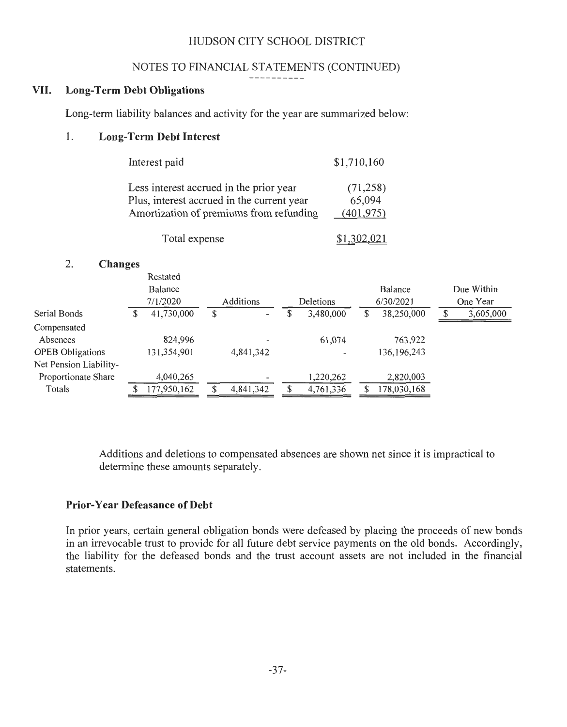#### NOTES TO FINANCIAL STATEMENTS (CONTINUED)

#### ----------

# VII. **Long-Term Debt Obligations**

Long-term liability balances and activity for the year are summarized below:

#### **1. Long-Term Debt Interest**

| Interest paid                              | \$1,710,160 |
|--------------------------------------------|-------------|
| Less interest accrued in the prior year    | (71,258)    |
| Plus, interest accrued in the current year | 65,094      |
| Amortization of premiums from refunding    | (401.975)   |

| Total expense | \$1,302,021 |
|---------------|-------------|
|---------------|-------------|

#### 2. **Changes**

|                         |    | Restated    |                                    |                  |   |               |            |
|-------------------------|----|-------------|------------------------------------|------------------|---|---------------|------------|
|                         |    | Balance     |                                    |                  |   | Balance       | Due Within |
|                         |    | 7/1/2020    | Additions                          | <b>Deletions</b> |   | 6/30/2021     | One Year   |
| Serial Bonds            | Œ. | 41,730,000  | \$<br>$\qquad \qquad \blacksquare$ | 3,480,000        | S | 38,250,000    | 3,605,000  |
| Compensated             |    |             |                                    |                  |   |               |            |
| Absences                |    | 824,996     |                                    | 61,074           |   | 763,922       |            |
| <b>OPEB</b> Obligations |    | 131,354,901 | 4,841,342                          |                  |   | 136, 196, 243 |            |
| Net Pension Liability-  |    |             |                                    |                  |   |               |            |
| Proportionate Share     |    | 4,040,265   |                                    | 1,220,262        |   | 2,820,003     |            |
| Totals                  |    | 177,950,162 | \$<br>4,841,342                    | 4,761,336        | S | 178,030,168   |            |
|                         |    |             |                                    |                  |   |               |            |

Additions and deletions to compensated absences are shown net since it is impractical to determine these amounts separately.

#### **Prior-Year Defeasance of Debt**

In prior years, certain general obligation bonds were defeased by placing the proceeds of new bonds in an irrevocable trust to provide for all future debt service payments on the old bonds. Accordingly, the liability for the defeased bonds and the trust account assets are not included in the financial statements.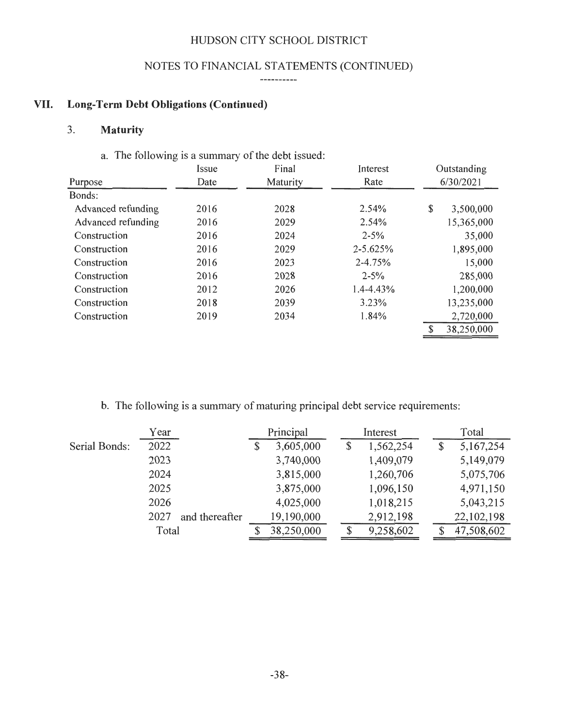# NOTES TO FINANCIAL STATEMENTS (CONTINUED)

#### ----------

# VII. **Long-Term Debt Obligations (Continued)**

# 3. **Maturity**

# a. The following is a summary of the debt issued:

|                    | Issue | Final    | Interest     | Outstanding     |  |  |  |
|--------------------|-------|----------|--------------|-----------------|--|--|--|
| Purpose            | Date  | Maturity | Rate         | 6/30/2021       |  |  |  |
| Bonds:             |       |          |              |                 |  |  |  |
| Advanced refunding | 2016  | 2028     | 2.54%        | \$<br>3,500,000 |  |  |  |
| Advanced refunding | 2016  | 2029     | 2.54%        | 15,365,000      |  |  |  |
| Construction       | 2016  | 2024     | $2 - 5\%$    | 35,000          |  |  |  |
| Construction       | 2016  | 2029     | $2 - 5.625%$ | 1,895,000       |  |  |  |
| Construction       | 2016  | 2023     | 2-4.75%      | 15,000          |  |  |  |
| Construction       | 2016  | 2028     | $2 - 5\%$    | 285,000         |  |  |  |
| Construction       | 2012  | 2026     | 1.4-4.43%    | 1,200,000       |  |  |  |
| Construction       | 2018  | 2039     | 3.23%        | 13,235,000      |  |  |  |
| Construction       | 2019  | 2034     | 1.84%        | 2,720,000       |  |  |  |
|                    |       |          |              | 38,250,000      |  |  |  |

b. The following is a summary of maturing principal debt service requirements:

|               | Year                   | Principal |            |    | Interest  |  | Total      |
|---------------|------------------------|-----------|------------|----|-----------|--|------------|
| Serial Bonds: | 2022                   | \$        | 3,605,000  | \$ | 1,562,254 |  | 5,167,254  |
|               | 2023                   |           | 3,740,000  |    | 1,409,079 |  | 5,149,079  |
|               | 2024                   |           | 3,815,000  |    | 1,260,706 |  | 5,075,706  |
|               | 2025                   |           | 3,875,000  |    | 1,096,150 |  | 4,971,150  |
|               | 2026                   |           | 4,025,000  |    | 1,018,215 |  | 5,043,215  |
|               | 2027<br>and thereafter |           | 19,190,000 |    | 2,912,198 |  | 22,102,198 |
|               | Total                  |           | 38,250,000 |    | 9,258,602 |  | 47,508,602 |
|               |                        |           |            |    |           |  |            |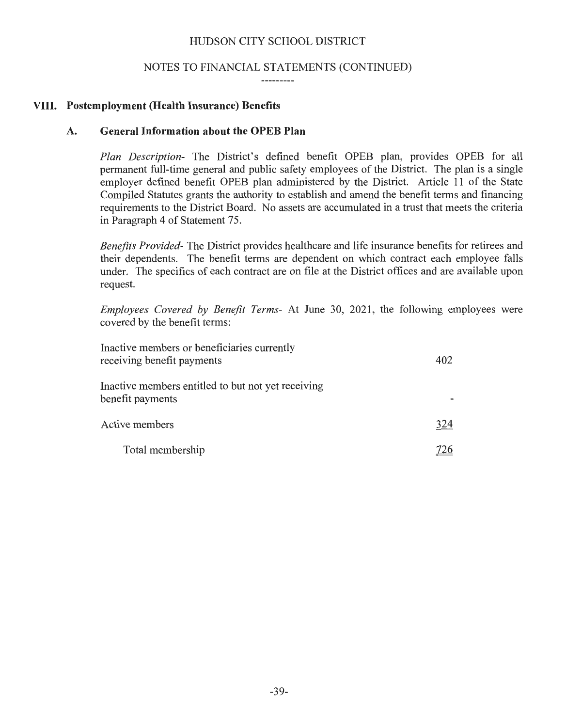#### NOTES TO FINANCIAL STATEMENTS (CONTINUED)

#### **VIII. Postemployment (Health Insurance) Benefits**

#### **A. General Information about the OPEB Plan**

*Plan Description-* The District's defined benefit OPEB plan, provides OPEB for all permanent full-time general and public safety employees of the District. The plan is a single employer defined benefit OPEB plan administered by the District. Article **11** of the State Compiled Statutes grants the authority to establish and amend the benefit terms and financing requirements to the District Board. No assets are accumulated in a trust that meets the criteria in Paragraph 4 of Statement 75.

*Benefits Provided-* The District provides healthcare and life insurance benefits for retirees and their dependents. The benefit terms are dependent on which contract each employee falls under. The specifics of each contract are on file at the District offices and are available upon request.

*Employees Covered by Benefit Terms-* At June 30, 2021, the following employees were covered by the benefit terms:

| Inactive members or beneficiaries currently<br>receiving benefit payments | 402 |
|---------------------------------------------------------------------------|-----|
| Inactive members entitled to but not yet receiving<br>benefit payments    |     |
| Active members                                                            | 324 |
| Total membership                                                          | 726 |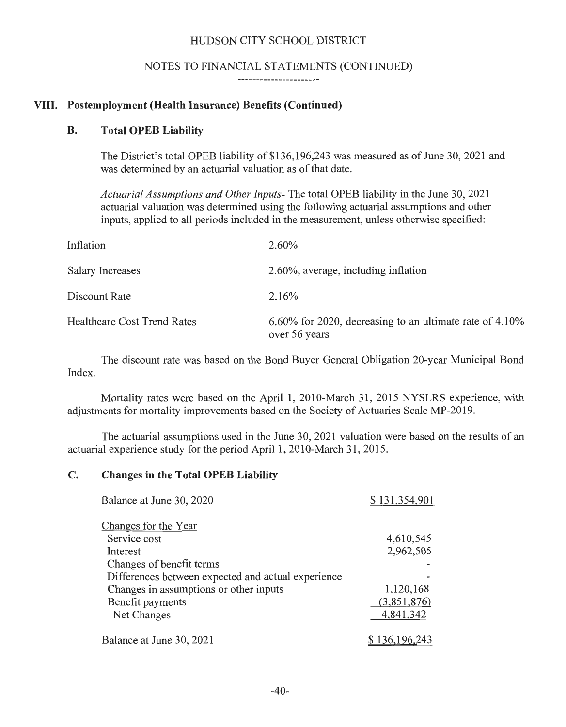#### NOTES TO FINANCIAL STATEMENTS (CONTINUED)

-----------------------

## **VIII. Postemployment (Health Insurance) Benefits (Continued)**

#### **B. Total OPEB Liability**

The District's total OPEB liability of \$136,196,243 was measured as of June 30, 2021 and was determined by an actuarial valuation as of that date.

*Actuarial Assumptions and Other Inputs-* The total OPEB liability in the June 30, 2021 actuarial valuation was determined using the following actuarial assumptions and other inputs, applied to all periods included in the measurement, unless otherwise specified:

| Inflation                          | $2.60\%$                                                                    |
|------------------------------------|-----------------------------------------------------------------------------|
| <b>Salary Increases</b>            | 2.60%, average, including inflation                                         |
| Discount Rate                      | 2.16%                                                                       |
| <b>Healthcare Cost Trend Rates</b> | $6.60\%$ for 2020, decreasing to an ultimate rate of 4.10%<br>over 56 years |

The discount rate was based on the Bond Buyer General Obligation 20-year Municipal Bond Index.

Mortality rates were based on the April 1, 2010-March 31, 2015 NYSLRS experience, with adjustments for mortality improvements based on the Society of Actuaries Scale MP-2019.

The actuarial assumptions used in the June 30, 2021 valuation were based on the results of an actuarial experience study for the period April **1,** 2010-March 31 , 2015.

## **C. Changes in the Total OPEB Liability**

| Balance at June 30, 2020                           | \$131,354,901  |
|----------------------------------------------------|----------------|
| Changes for the Year                               |                |
| Service cost                                       | 4,610,545      |
| Interest                                           | 2,962,505      |
| Changes of benefit terms                           |                |
| Differences between expected and actual experience |                |
| Changes in assumptions or other inputs             | 1,120,168      |
| Benefit payments                                   | (3,851,876)    |
| Net Changes                                        | 4,841,342      |
| Balance at June 30, 2021                           | \$ 136,196,243 |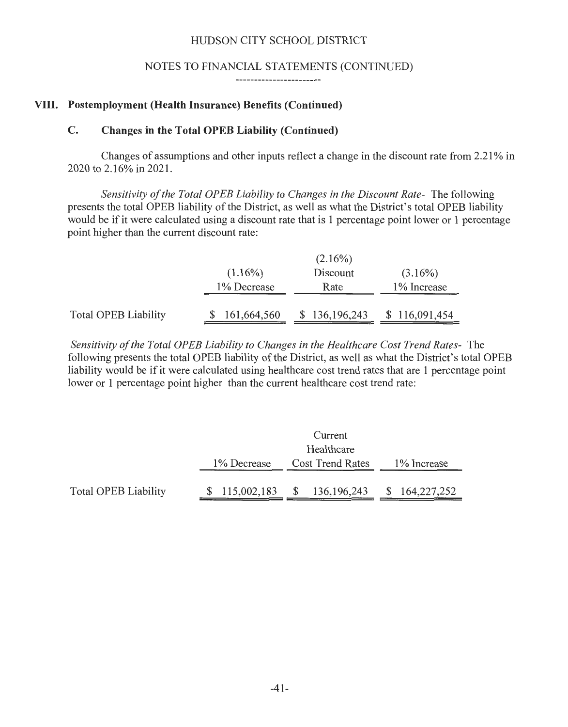#### NOTES TO FINANCIAL STATEMENTS (CONTINUED)

-----------------------

#### VIII. Postemployment (Health Insurance) Benefits (Continued)

#### C. Changes in the Total OPEB Liability (Continued)

Changes of assumptions and other inputs reflect a change in the discount rate from 2.21 % in 2020 to 2.16% in 2021.

*Sensitivity of the Total OP EB Liability to Changes in the Discount Rate-* The following presents the total OPEB liability of the District, as well as what the District's total OPEB liability would be if it were calculated using a discount rate that is 1 percentage point lower or 1 percentage point higher than the current discount rate:

|                             |             | $(2.16\%)$    |               |
|-----------------------------|-------------|---------------|---------------|
|                             | $(1.16\%)$  | Discount      | $(3.16\%)$    |
|                             | 1% Decrease | Rate          | 1% Increase   |
|                             |             |               |               |
| <b>Total OPEB Liability</b> | 161,664,560 | \$136,196,243 | \$116,091,454 |

*Sensitivity of the Total OP EB Liability to Changes in the Healthcare Cost Trend Rates-* The following presents the total OPEB liability of the District, as well as what the District's total OPEB liability would be if it were calculated using healthcare cost trend rates that are 1 percentage point lower or 1 percentage point higher than the current healthcare cost trend rate:

|                             |             | Current                                      |             |
|-----------------------------|-------------|----------------------------------------------|-------------|
|                             |             | Healthcare                                   |             |
|                             | 1% Decrease | <b>Cost Trend Rates</b>                      | 1% Increase |
| <b>Total OPEB Liability</b> |             | $$115,002,183$ $$136,196,243$ $$164,227,252$ |             |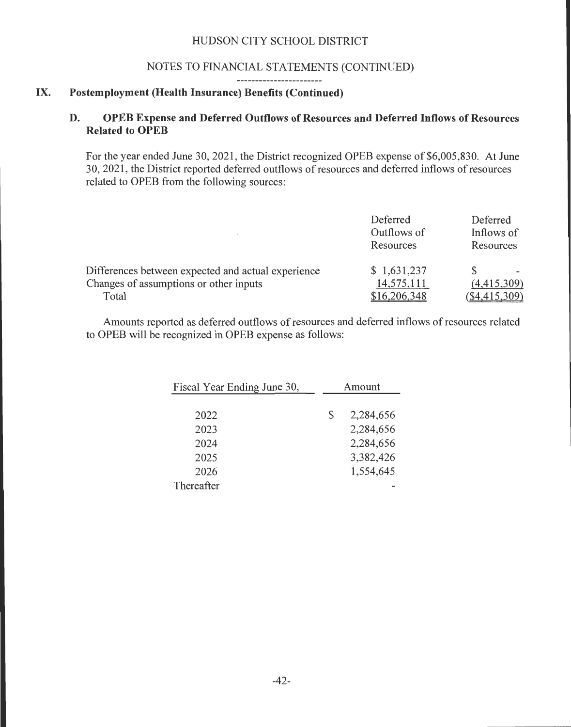#### NOTES TO FINANCIAL STATEMENTS (CONTINUED)

<u> 2000 - John Bernstein, mars and de la population de la population de la population de la population de la po</u>

#### IX. **Postemployment (Health Insurance) Benefits (Continued)**

## **D. OPEB Expense and Deferred Outflows of Resources and Deferred Inflows of Resources Related to OPEB**

For the year ended June 30, 2021, the District recognized OPEB expense of \$6,005,830. At June 30, 2021 , the District reported deferred outflows of resources and deferred inflows of resources related to OPEB from the following sources:

|                                                                                                       | Deferred<br>Outflows of<br>Resources      | Deferred<br>Inflows of<br>Resources |
|-------------------------------------------------------------------------------------------------------|-------------------------------------------|-------------------------------------|
| Differences between expected and actual experience<br>Changes of assumptions or other inputs<br>Total | \$1,631,237<br>14,575,111<br>\$16,206,348 | (4,415,309)<br>$(\$4,415,309)$      |

Amounts reported as deferred outflows of resources and deferred inflows of resources related to OPEB will be recognized in OPEB expense as follows:

| Fiscal Year Ending June 30, | Amount |           |
|-----------------------------|--------|-----------|
|                             |        |           |
| 2022                        | \$     | 2,284,656 |
| 2023                        |        | 2,284,656 |
| 2024                        |        | 2,284,656 |
| 2025                        |        | 3,382,426 |
| 2026                        |        | 1,554,645 |
| Thereafter                  |        |           |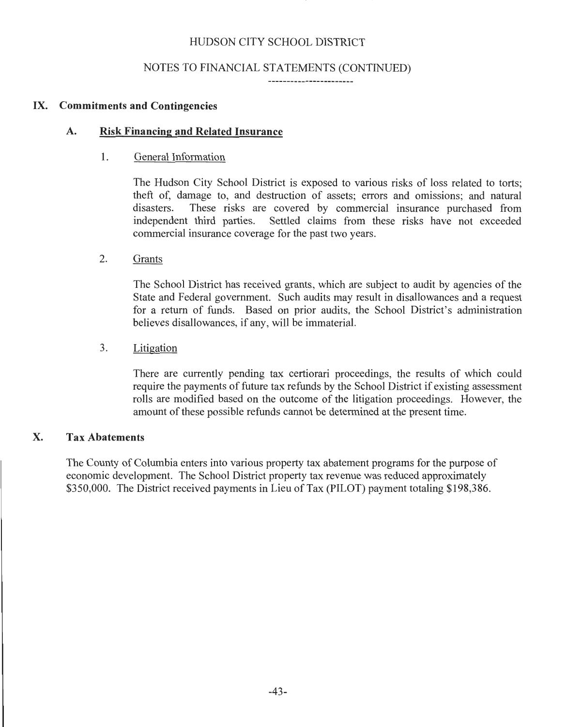## NOTES TO FINANCIAL STATEMENTS (CONTINUED)

#### IX. Commitments and Contingencies

#### A. Risk Financing and Related Insurance

#### 1. General Information

The Hudson City School District is exposed to various risks of loss related to torts; theft of, damage to, and destruction of assets; errors and omissions; and natural These risks are covered by commercial insurance purchased from independent third parties. Settled claims from these risks have not exceeded commercial insurance coverage for the past two years.

#### 2. Grants

The School District has received grants, which are subject to audit by agencies of the State and Federal government. Such audits may result in disallowances and a request for a return of funds. Based on prior audits, the School District's administration believes disallowances, if any, will be immaterial.

#### 3. Litigation

There are currently pending tax certiorari proceedings, the results of which could require the payments of future tax refunds by the School District if existing assessment rolls are modified based on the outcome of the litigation proceedings. However, the amount of these possible refunds cannot be determined at the present time.

## X. Tax Abatements

The County of Columbia enters into various property tax abatement programs for the purpose of economic development. The School District property tax revenue was reduced approximately \$350,000. The District received payments in Lieu of Tax (PILOT) payment totaling \$198,386.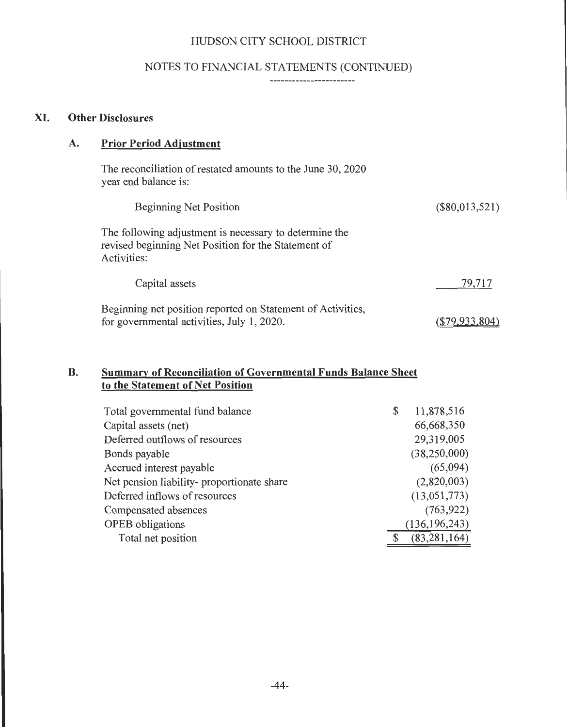# NOTES TO FINANCIAL STATEMENTS (CONTINUED)

\_\_\_\_\_\_\_\_\_\_\_\_\_\_\_\_\_\_\_\_\_\_\_\_

# **XI. Other Disclosures**

# **A. Prior Period Adjustment**

| The reconciliation of restated amounts to the June 30, 2020<br>year end balance is:                                          |                  |
|------------------------------------------------------------------------------------------------------------------------------|------------------|
| <b>Beginning Net Position</b>                                                                                                | $(\$80,013,521)$ |
| The following adjustment is necessary to determine the<br>revised beginning Net Position for the Statement of<br>Activities: |                  |
| Capital assets                                                                                                               | 79,717           |
|                                                                                                                              |                  |

 $(\underline{$79,933,804})$ 

Beginning net position reported on Statement of Activities, for governmental activities, July 1, 2020.

# **B. Summary of Reconciliation of Governmental Funds Balance Sheet to the Statement of Net Position**

| Total governmental fund balance            | \$<br>11,878,516 |
|--------------------------------------------|------------------|
| Capital assets (net)                       | 66,668,350       |
| Deferred outflows of resources             | 29,319,005       |
| Bonds payable                              | (38,250,000)     |
| Accrued interest payable                   | (65,094)         |
| Net pension liability- proportionate share | (2,820,003)      |
| Deferred inflows of resources              | (13,051,773)     |
| Compensated absences                       | (763, 922)       |
| <b>OPEB</b> obligations                    | (136, 196, 243)  |
| Total net position                         | (83, 281, 164)   |
|                                            |                  |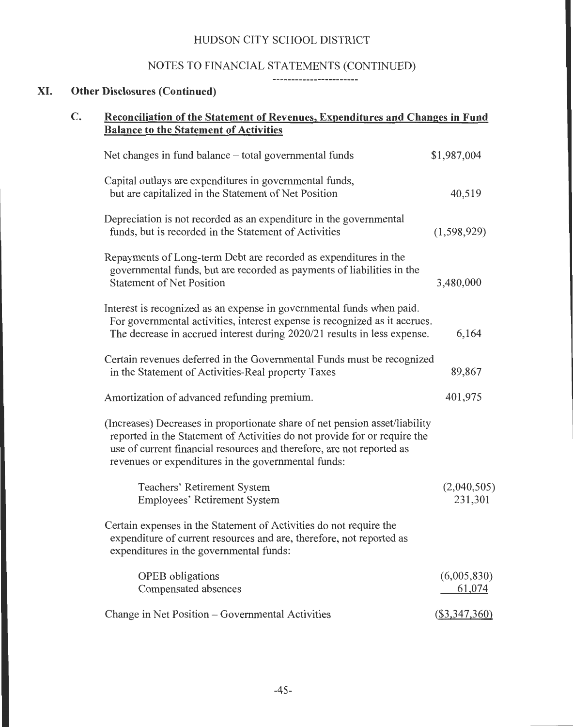## NOTES TO FINANCIAL STATEMENTS (CONTINUED)

#### XI. **Other Disclosures (Continued)**

# **C. Reconciliation of the Statement of Revenues, Expenditures and Changes in Fund Balance to the Statement of Activities**  Net changes in fund balance – total governmental funds \$1,987,004 Capital outlays are expenditures in governmental funds, but are capitalized in the Statement of Net Position 40,519 Depreciation is not recorded as an expenditure in the governmental funds, but is recorded in the Statement of Activities (1,598,929) Repayments of Long-term Debt are recorded as expenditures in the governmental funds, but are recorded as payments of liabilities in the Statement of Net Position 3,480,000 Interest is recognized as an expense in governmental funds when paid. For governmental activities, interest expense is recognized as it accrues. The decrease in accrued interest during 2020/21 results in less expense. 6, 164 Certain revenues deferred in the Governmental Funds must be recognized in the Statement of Activities-Real property Taxes 89,867 Amortization of advanced refunding premium. 401,975 (Increases) Decreases in proportionate share of net pension asset/liability reported in the Statement of Activities do not provide for or require the use of current financial resources and therefore, are not reported as revenues or expenditures in the governmental funds: Teachers' Retirement System Employees' Retirement System Certain expenses in the Statement of Activities do not require the expenditure of current resources and are, therefore, not reported as expenditures in the governmental funds: OPEB obligations Compensated absences Change in Net Position – Governmental Activities (2,040,505) 231 ,301 (6,005,830) 61,074  $($3,347,360)$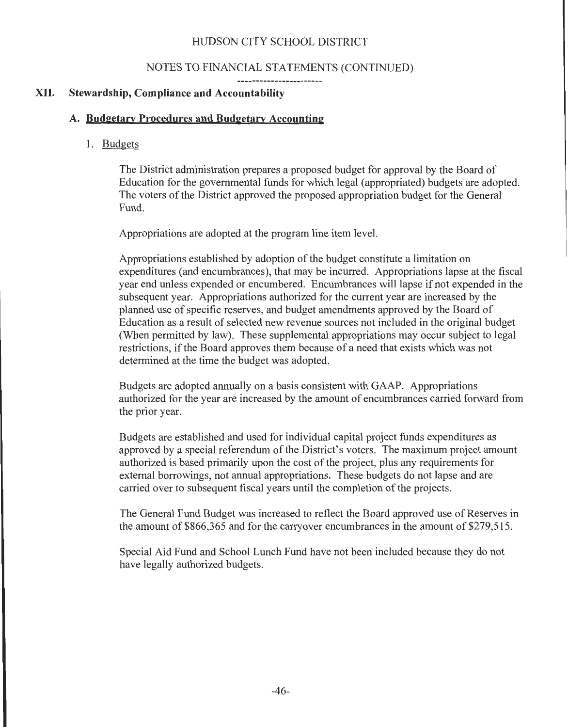#### NOTES TO FINANCIAL STATEMENTS (CONTINUED)

#### XII. **Stewardship, Compliance and Accountability**

#### **A. Budgetarv Procedures and Budgetary Accounting**

#### 1. Budgets

The District administration prepares a proposed budget for approval by the Board of Education for the governmental funds for which legal (appropriated) budgets are adopted. The voters of the District approved the proposed appropriation budget for the General Fund.

Appropriations are adopted at the program line item level.

Appropriations established by adoption of the budget constitute a limitation on expenditures (and encumbrances), that may be incurred. Appropriations lapse at the fiscal year end unless expended or encumbered. Encumbrances will lapse if not expended in the subsequent year. Appropriations authorized for the current year are increased by the planned use of specific reserves, and budget amendments approved by the Board of Education as a result of selected new revenue sources not included in the original budget (When permitted by law). These supplemental appropriations may occur subject to legal restrictions, if the Board approves them because of a need that exists which was not determined at the time the budget was adopted.

Budgets are adopted annually on a basis consistent with GAAP. Appropriations authorized for the year are increased by the amount of encumbrances carried forward from the prior year.

Budgets are established and used for individual capital project funds expenditures as approved by a special referendum of the District's voters. The maximum project amount authorized is based primarily upon the cost of the project, plus any requirements for external borrowings, not annual appropriations. These budgets do not lapse and are carried over to subsequent fiscal years until the completion of the projects.

The General Fund Budget was increased to reflect the Board approved use of Reserves in the amount of \$866,365 and for the carryover encumbrances in the amount of \$279,515.

Special Aid Fund and School Lunch Fund have not been included because they do not have legally authorized budgets.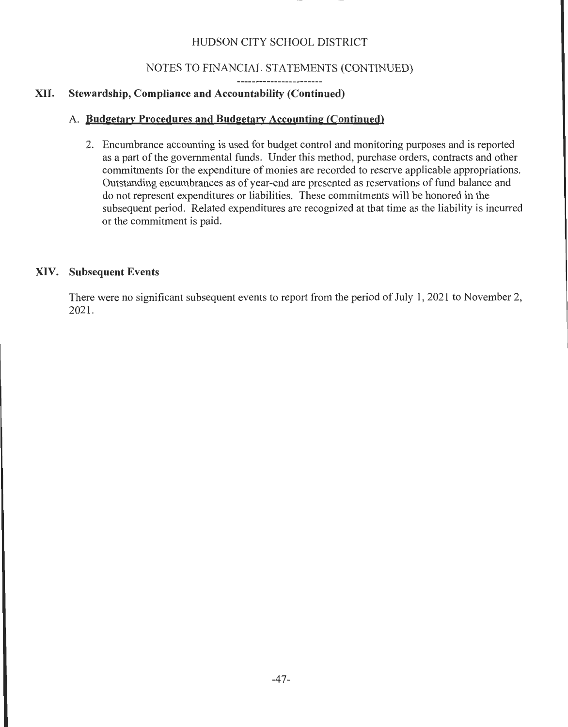# NOTES TO FINANCIAL STATEMENTS (CONTINUED)

# XII. **Stewardship, Compliance and Accountability (Continued)**

# A. **Budgetary Procedures and Budgetary Accounting (Continued)**

2. Encumbrance accounting is used for budget control and monitoring purposes and is reported as a part of the governmental funds. Under this method, purchase orders, contracts and other commitments for the expenditure of monies are recorded to reserve applicable appropriations. Outstanding encumbrances as of year-end are presented as reservations of fund balance and do not represent expenditures or liabilities. These commitments will be honored in the subsequent period. Related expenditures are recognized at that time as the liability is incurred or the commitment is paid.

# **XIV. Subsequent Events**

. There were no significant subsequent events to report from the period of July **1,** 2021 to November 2, 2021.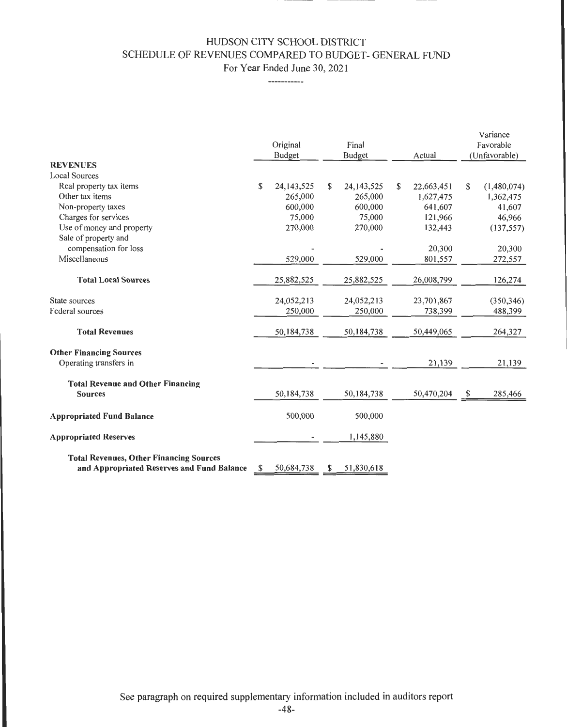## HUDSON CITY SCHOOL DISTRICT SCHEDULE OF REVENUES COMPARED TO BUDGET- GENERAL FUND For Year Ended June 30, 2021

------------

| <b>REVENUES</b><br><b>Local Sources</b>                                                      | Original<br><b>Budget</b> | Final<br><b>Budget</b> | Actual                  | Variance<br>Favorable<br>(Unfavorable) |
|----------------------------------------------------------------------------------------------|---------------------------|------------------------|-------------------------|----------------------------------------|
| Real property tax items                                                                      | \$<br>24, 143, 525        | \$<br>24, 143, 525     | \$                      | \$                                     |
| Other tax items                                                                              | 265,000                   | 265,000                | 22,663,451<br>1,627,475 | (1,480,074)<br>1,362,475               |
| Non-property taxes                                                                           | 600,000                   | 600,000                | 641,607                 | 41,607                                 |
| Charges for services                                                                         | 75,000                    | 75,000                 | 121,966                 | 46,966                                 |
| Use of money and property                                                                    | 270,000                   | 270,000                | 132,443                 | (137, 557)                             |
| Sale of property and                                                                         |                           |                        |                         |                                        |
| compensation for loss                                                                        |                           |                        | 20,300                  | 20,300                                 |
| Miscellaneous                                                                                | 529,000                   | 529,000                | 801,557                 | 272,557                                |
| <b>Total Local Sources</b>                                                                   | 25,882,525                | 25,882,525             | 26,008,799              | 126,274                                |
| State sources                                                                                | 24,052,213                | 24,052,213             | 23,701,867              | (350, 346)                             |
| Federal sources                                                                              | 250,000                   | 250,000                | 738,399                 | 488,399                                |
| <b>Total Revenues</b>                                                                        | 50,184,738                | 50,184,738             | 50,449,065              | 264,327                                |
| <b>Other Financing Sources</b>                                                               |                           |                        |                         |                                        |
| Operating transfers in                                                                       |                           |                        | 21,139                  | 21,139                                 |
| <b>Total Revenue and Other Financing</b>                                                     |                           |                        |                         |                                        |
| <b>Sources</b>                                                                               | 50,184,738                | 50,184,738             | 50,470,204              | \$<br>285,466                          |
| <b>Appropriated Fund Balance</b>                                                             | 500,000                   | 500,000                |                         |                                        |
| <b>Appropriated Reserves</b>                                                                 |                           | 1,145,880              |                         |                                        |
| <b>Total Revenues, Other Financing Sources</b><br>and Appropriated Reserves and Fund Balance | \$<br>50,684,738          | \$<br>51,830,618       |                         |                                        |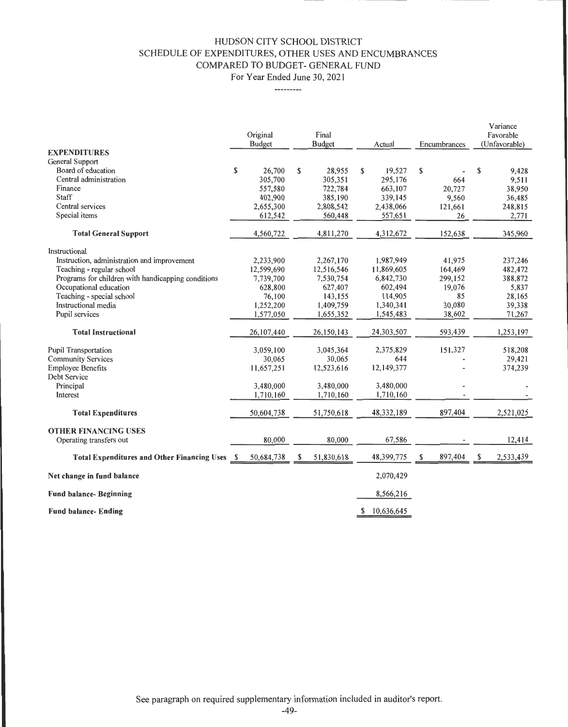## HUDSON CITY SCHOOL DISTRICT SCHEDULE OF EXPENDITURES, OTHER USES AND ENCUMBRANCES COMPARED TO BUDGET- GENERAL FUND

For Year Ended June 30, 2021

---------

| <b>Budget</b><br>Encumbrances<br>(Unfavorable)<br><b>Budget</b><br>Actual<br><b>EXPENDITURES</b><br>General Support<br>\$<br>\$<br>\$<br>\$<br>\$<br>26,700<br>28,955<br>19,527<br>Board of education<br>295,176<br>664<br>9,511<br>Central administration<br>305,700<br>305,351<br>722,784<br>663,107<br>20,727<br>38,950<br>557,580<br>Finance<br>9,560<br>36,485<br>Staff<br>402,900<br>385,190<br>339,145<br>121,661<br>248,815<br>Central services<br>2,655,300<br>2,808,542<br>2,438,066<br>2,771<br>557,651<br>26<br>Special items<br>612,542<br>560,448<br>4,312,672<br>152,638<br><b>Total General Support</b><br>4,560,722<br>4,811,270<br>Instructional<br>41,975<br>2,233,900<br>2,267,170<br>1,987,949<br>Instruction, administration and improvement<br>12,599,690<br>164,469<br>12,516,546<br>11,869,605<br>Teaching - regular school<br>299,152<br>Programs for children with handicapping conditions<br>7,739,700<br>7,530,754<br>6,842,730<br>19,076<br>Occupational education<br>628,800<br>627,407<br>602,494<br>85<br>143,155<br>114,905<br>Teaching - special school<br>76,100<br>30,080<br>1,252,200<br>1,409,759<br>1,340,341<br>Instructional media<br>38,602<br>1,577,050<br>1,655,352<br>1,545,483<br>Pupil services<br>593,439<br>24,303,507<br>26,107,440<br>26,150,143<br><b>Total Instructional</b><br>151,327<br>518,208<br>3,059,100<br>3,045,364<br>2,375,829<br><b>Pupil Transportation</b><br>30,065<br>644<br>30,065<br><b>Community Services</b><br>12,149,377<br><b>Employee Benefits</b><br>11,657,251<br>12,523,616<br>Debt Service<br>3,480,000<br>3,480,000<br>3,480,000<br>Principal<br>1,710,160<br>1,710,160<br>1,710,160<br>Interest<br>897,404<br>51,750,618<br>48,332,189<br>50,604,738<br><b>Total Expenditures</b><br><b>OTHER FINANCING USES</b><br>67,586<br>12,414<br>80,000<br>80,000<br>Operating transfers out<br>S<br>S |                                                    |     | Original   | Final      |            |         | Variance<br>Favorable |
|-----------------------------------------------------------------------------------------------------------------------------------------------------------------------------------------------------------------------------------------------------------------------------------------------------------------------------------------------------------------------------------------------------------------------------------------------------------------------------------------------------------------------------------------------------------------------------------------------------------------------------------------------------------------------------------------------------------------------------------------------------------------------------------------------------------------------------------------------------------------------------------------------------------------------------------------------------------------------------------------------------------------------------------------------------------------------------------------------------------------------------------------------------------------------------------------------------------------------------------------------------------------------------------------------------------------------------------------------------------------------------------------------------------------------------------------------------------------------------------------------------------------------------------------------------------------------------------------------------------------------------------------------------------------------------------------------------------------------------------------------------------------------------------------------------------------------------------------------------------------------------------|----------------------------------------------------|-----|------------|------------|------------|---------|-----------------------|
|                                                                                                                                                                                                                                                                                                                                                                                                                                                                                                                                                                                                                                                                                                                                                                                                                                                                                                                                                                                                                                                                                                                                                                                                                                                                                                                                                                                                                                                                                                                                                                                                                                                                                                                                                                                                                                                                                   |                                                    |     |            |            |            |         |                       |
|                                                                                                                                                                                                                                                                                                                                                                                                                                                                                                                                                                                                                                                                                                                                                                                                                                                                                                                                                                                                                                                                                                                                                                                                                                                                                                                                                                                                                                                                                                                                                                                                                                                                                                                                                                                                                                                                                   |                                                    |     |            |            |            |         |                       |
|                                                                                                                                                                                                                                                                                                                                                                                                                                                                                                                                                                                                                                                                                                                                                                                                                                                                                                                                                                                                                                                                                                                                                                                                                                                                                                                                                                                                                                                                                                                                                                                                                                                                                                                                                                                                                                                                                   |                                                    |     |            |            |            |         |                       |
|                                                                                                                                                                                                                                                                                                                                                                                                                                                                                                                                                                                                                                                                                                                                                                                                                                                                                                                                                                                                                                                                                                                                                                                                                                                                                                                                                                                                                                                                                                                                                                                                                                                                                                                                                                                                                                                                                   |                                                    |     |            |            |            |         | 9,428                 |
|                                                                                                                                                                                                                                                                                                                                                                                                                                                                                                                                                                                                                                                                                                                                                                                                                                                                                                                                                                                                                                                                                                                                                                                                                                                                                                                                                                                                                                                                                                                                                                                                                                                                                                                                                                                                                                                                                   |                                                    |     |            |            |            |         |                       |
|                                                                                                                                                                                                                                                                                                                                                                                                                                                                                                                                                                                                                                                                                                                                                                                                                                                                                                                                                                                                                                                                                                                                                                                                                                                                                                                                                                                                                                                                                                                                                                                                                                                                                                                                                                                                                                                                                   |                                                    |     |            |            |            |         |                       |
|                                                                                                                                                                                                                                                                                                                                                                                                                                                                                                                                                                                                                                                                                                                                                                                                                                                                                                                                                                                                                                                                                                                                                                                                                                                                                                                                                                                                                                                                                                                                                                                                                                                                                                                                                                                                                                                                                   |                                                    |     |            |            |            |         |                       |
|                                                                                                                                                                                                                                                                                                                                                                                                                                                                                                                                                                                                                                                                                                                                                                                                                                                                                                                                                                                                                                                                                                                                                                                                                                                                                                                                                                                                                                                                                                                                                                                                                                                                                                                                                                                                                                                                                   |                                                    |     |            |            |            |         |                       |
|                                                                                                                                                                                                                                                                                                                                                                                                                                                                                                                                                                                                                                                                                                                                                                                                                                                                                                                                                                                                                                                                                                                                                                                                                                                                                                                                                                                                                                                                                                                                                                                                                                                                                                                                                                                                                                                                                   |                                                    |     |            |            |            |         |                       |
|                                                                                                                                                                                                                                                                                                                                                                                                                                                                                                                                                                                                                                                                                                                                                                                                                                                                                                                                                                                                                                                                                                                                                                                                                                                                                                                                                                                                                                                                                                                                                                                                                                                                                                                                                                                                                                                                                   |                                                    |     |            |            |            |         | 345,960               |
|                                                                                                                                                                                                                                                                                                                                                                                                                                                                                                                                                                                                                                                                                                                                                                                                                                                                                                                                                                                                                                                                                                                                                                                                                                                                                                                                                                                                                                                                                                                                                                                                                                                                                                                                                                                                                                                                                   |                                                    |     |            |            |            |         |                       |
|                                                                                                                                                                                                                                                                                                                                                                                                                                                                                                                                                                                                                                                                                                                                                                                                                                                                                                                                                                                                                                                                                                                                                                                                                                                                                                                                                                                                                                                                                                                                                                                                                                                                                                                                                                                                                                                                                   |                                                    |     |            |            |            |         | 237,246               |
|                                                                                                                                                                                                                                                                                                                                                                                                                                                                                                                                                                                                                                                                                                                                                                                                                                                                                                                                                                                                                                                                                                                                                                                                                                                                                                                                                                                                                                                                                                                                                                                                                                                                                                                                                                                                                                                                                   |                                                    |     |            |            |            |         | 482,472               |
|                                                                                                                                                                                                                                                                                                                                                                                                                                                                                                                                                                                                                                                                                                                                                                                                                                                                                                                                                                                                                                                                                                                                                                                                                                                                                                                                                                                                                                                                                                                                                                                                                                                                                                                                                                                                                                                                                   |                                                    |     |            |            |            |         | 388,872               |
|                                                                                                                                                                                                                                                                                                                                                                                                                                                                                                                                                                                                                                                                                                                                                                                                                                                                                                                                                                                                                                                                                                                                                                                                                                                                                                                                                                                                                                                                                                                                                                                                                                                                                                                                                                                                                                                                                   |                                                    |     |            |            |            |         | 5,837                 |
|                                                                                                                                                                                                                                                                                                                                                                                                                                                                                                                                                                                                                                                                                                                                                                                                                                                                                                                                                                                                                                                                                                                                                                                                                                                                                                                                                                                                                                                                                                                                                                                                                                                                                                                                                                                                                                                                                   |                                                    |     |            |            |            |         | 28,165                |
|                                                                                                                                                                                                                                                                                                                                                                                                                                                                                                                                                                                                                                                                                                                                                                                                                                                                                                                                                                                                                                                                                                                                                                                                                                                                                                                                                                                                                                                                                                                                                                                                                                                                                                                                                                                                                                                                                   |                                                    |     |            |            |            |         | 39,338                |
|                                                                                                                                                                                                                                                                                                                                                                                                                                                                                                                                                                                                                                                                                                                                                                                                                                                                                                                                                                                                                                                                                                                                                                                                                                                                                                                                                                                                                                                                                                                                                                                                                                                                                                                                                                                                                                                                                   |                                                    |     |            |            |            |         | 71,267                |
|                                                                                                                                                                                                                                                                                                                                                                                                                                                                                                                                                                                                                                                                                                                                                                                                                                                                                                                                                                                                                                                                                                                                                                                                                                                                                                                                                                                                                                                                                                                                                                                                                                                                                                                                                                                                                                                                                   |                                                    |     |            |            |            |         | 1,253,197             |
|                                                                                                                                                                                                                                                                                                                                                                                                                                                                                                                                                                                                                                                                                                                                                                                                                                                                                                                                                                                                                                                                                                                                                                                                                                                                                                                                                                                                                                                                                                                                                                                                                                                                                                                                                                                                                                                                                   |                                                    |     |            |            |            |         |                       |
|                                                                                                                                                                                                                                                                                                                                                                                                                                                                                                                                                                                                                                                                                                                                                                                                                                                                                                                                                                                                                                                                                                                                                                                                                                                                                                                                                                                                                                                                                                                                                                                                                                                                                                                                                                                                                                                                                   |                                                    |     |            |            |            |         | 29,421                |
|                                                                                                                                                                                                                                                                                                                                                                                                                                                                                                                                                                                                                                                                                                                                                                                                                                                                                                                                                                                                                                                                                                                                                                                                                                                                                                                                                                                                                                                                                                                                                                                                                                                                                                                                                                                                                                                                                   |                                                    |     |            |            |            |         | 374,239               |
|                                                                                                                                                                                                                                                                                                                                                                                                                                                                                                                                                                                                                                                                                                                                                                                                                                                                                                                                                                                                                                                                                                                                                                                                                                                                                                                                                                                                                                                                                                                                                                                                                                                                                                                                                                                                                                                                                   |                                                    |     |            |            |            |         |                       |
|                                                                                                                                                                                                                                                                                                                                                                                                                                                                                                                                                                                                                                                                                                                                                                                                                                                                                                                                                                                                                                                                                                                                                                                                                                                                                                                                                                                                                                                                                                                                                                                                                                                                                                                                                                                                                                                                                   |                                                    |     |            |            |            |         |                       |
|                                                                                                                                                                                                                                                                                                                                                                                                                                                                                                                                                                                                                                                                                                                                                                                                                                                                                                                                                                                                                                                                                                                                                                                                                                                                                                                                                                                                                                                                                                                                                                                                                                                                                                                                                                                                                                                                                   |                                                    |     |            |            |            |         |                       |
|                                                                                                                                                                                                                                                                                                                                                                                                                                                                                                                                                                                                                                                                                                                                                                                                                                                                                                                                                                                                                                                                                                                                                                                                                                                                                                                                                                                                                                                                                                                                                                                                                                                                                                                                                                                                                                                                                   |                                                    |     |            |            |            |         | 2,521,025             |
|                                                                                                                                                                                                                                                                                                                                                                                                                                                                                                                                                                                                                                                                                                                                                                                                                                                                                                                                                                                                                                                                                                                                                                                                                                                                                                                                                                                                                                                                                                                                                                                                                                                                                                                                                                                                                                                                                   |                                                    |     |            |            |            |         |                       |
|                                                                                                                                                                                                                                                                                                                                                                                                                                                                                                                                                                                                                                                                                                                                                                                                                                                                                                                                                                                                                                                                                                                                                                                                                                                                                                                                                                                                                                                                                                                                                                                                                                                                                                                                                                                                                                                                                   |                                                    |     |            |            |            |         |                       |
|                                                                                                                                                                                                                                                                                                                                                                                                                                                                                                                                                                                                                                                                                                                                                                                                                                                                                                                                                                                                                                                                                                                                                                                                                                                                                                                                                                                                                                                                                                                                                                                                                                                                                                                                                                                                                                                                                   |                                                    |     |            |            |            |         |                       |
|                                                                                                                                                                                                                                                                                                                                                                                                                                                                                                                                                                                                                                                                                                                                                                                                                                                                                                                                                                                                                                                                                                                                                                                                                                                                                                                                                                                                                                                                                                                                                                                                                                                                                                                                                                                                                                                                                   | <b>Total Expenditures and Other Financing Uses</b> | - S | 50,684,738 | 51,830,618 | 48,399,775 | 897,404 | 2,533,439             |
| 2,070,429<br>Net change in fund balance                                                                                                                                                                                                                                                                                                                                                                                                                                                                                                                                                                                                                                                                                                                                                                                                                                                                                                                                                                                                                                                                                                                                                                                                                                                                                                                                                                                                                                                                                                                                                                                                                                                                                                                                                                                                                                           |                                                    |     |            |            |            |         |                       |
| 8,566,216<br><b>Fund balance- Beginning</b>                                                                                                                                                                                                                                                                                                                                                                                                                                                                                                                                                                                                                                                                                                                                                                                                                                                                                                                                                                                                                                                                                                                                                                                                                                                                                                                                                                                                                                                                                                                                                                                                                                                                                                                                                                                                                                       |                                                    |     |            |            |            |         |                       |
| 10,636,645<br>S<br><b>Fund balance- Ending</b>                                                                                                                                                                                                                                                                                                                                                                                                                                                                                                                                                                                                                                                                                                                                                                                                                                                                                                                                                                                                                                                                                                                                                                                                                                                                                                                                                                                                                                                                                                                                                                                                                                                                                                                                                                                                                                    |                                                    |     |            |            |            |         |                       |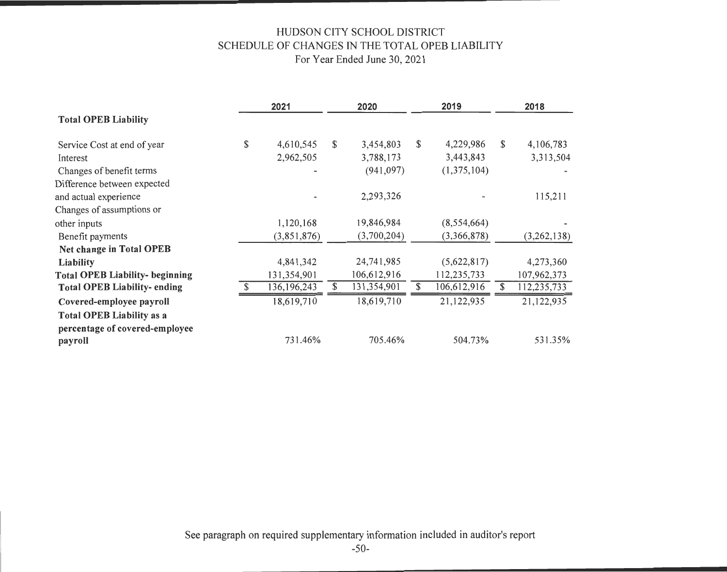## HUDSON CITY SCHOOL DISTRICT SCHEDULE OF CHANGES IN THE TOTAL OPEB LIABILITY For Year Ended June 30, 2021

|                                        | 2021            | 2020              | 2019              |              | 2018        |
|----------------------------------------|-----------------|-------------------|-------------------|--------------|-------------|
| <b>Total OPEB Liability</b>            |                 |                   |                   |              |             |
| Service Cost at end of year            | \$<br>4,610,545 | \$<br>3,454,803   | \$<br>4,229,986   | $\mathbb{S}$ | 4,106,783   |
| Interest                               | 2,962,505       | 3,788,173         | 3,443,843         |              | 3,313,504   |
| Changes of benefit terms               |                 | (941, 097)        | (1,375,104)       |              |             |
| Difference between expected            |                 |                   |                   |              |             |
| and actual experience                  |                 | 2,293,326         |                   |              | 115,211     |
| Changes of assumptions or              |                 |                   |                   |              |             |
| other inputs                           | 1,120,168       | 19,846,984        | (8,554,664)       |              |             |
| Benefit payments                       | (3,851,876)     | (3,700,204)       | (3,366,878)       |              | (3,262,138) |
| <b>Net change in Total OPEB</b>        |                 |                   |                   |              |             |
| Liability                              | 4,841,342       | 24,741,985        | (5,622,817)       |              | 4,273,360   |
| <b>Total OPEB Liability- beginning</b> | 131,354,901     | 106,612,916       | 112,235,733       |              | 107,962,373 |
| <b>Total OPEB Liability- ending</b>    | 136, 196, 243   | \$<br>131,354,901 | \$<br>106,612,916 | \$           | 112,235,733 |
| Covered-employee payroll               | 18,619,710      | 18,619,710        | 21,122,935        |              | 21,122,935  |
| <b>Total OPEB Liability as a</b>       |                 |                   |                   |              |             |
| percentage of covered-employee         |                 |                   |                   |              |             |
| payroll                                | 731.46%         | 705.46%           | 504.73%           |              | 531.35%     |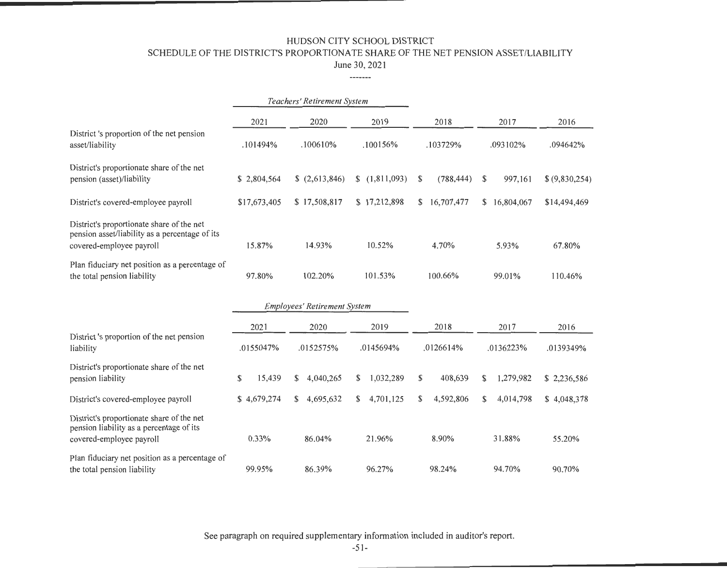SCHEDULE OF THE DISTRICT'S PROPORTIONATE SHARE OF THE NET PENSION ASSET/LIABILITY

June 30, 2021

-----

|                                                                                                                                                                                                          | Teachers' Retirement System |                                     |                   |                  |                 |                   |
|----------------------------------------------------------------------------------------------------------------------------------------------------------------------------------------------------------|-----------------------------|-------------------------------------|-------------------|------------------|-----------------|-------------------|
|                                                                                                                                                                                                          | 2021                        | 2020                                | 2019              | 2018             | 2017            | 2016              |
| District 's proportion of the net pension<br>asset/liability                                                                                                                                             | .101494%                    | .100610%                            | .100156%          | .103729%         | .093102%        | .094642%          |
| District's proportionate share of the net<br>pension (asset)/liability                                                                                                                                   | \$2,804,564                 | \$(2,613,846)                       | \$(1,811,093)     | \$<br>(788, 444) | \$<br>997,161   | \$ (9,830,254)    |
| District's covered-employee payroll                                                                                                                                                                      | \$17,673,405                | \$17,508,817                        | \$17,212,898      | 16,707,477<br>\$ | \$16,804,067    | \$14,494,469      |
| District's proportionate share of the net<br>pension asset/liability as a percentage of its<br>covered-employee payroll<br>Plan fiduciary net position as a percentage of<br>the total pension liability | 15.87%<br>97.80%            | 14.93%<br>102.20%                   | 10.52%<br>101.53% | 4.70%<br>100.66% | 5.93%<br>99.01% | 67.80%<br>110.46% |
|                                                                                                                                                                                                          |                             | <b>Employees' Retirement System</b> |                   |                  |                 |                   |
|                                                                                                                                                                                                          |                             |                                     |                   |                  |                 |                   |
| District's proportion of the net pension                                                                                                                                                                 | 2021                        | 2020                                | 2019              | 2018             | 2017            | 2016              |
| liability                                                                                                                                                                                                | .0155047%                   | .0152575%                           | .0145694%         | .0126614%        | .0136223%       | .0139349%         |
| District's proportionate share of the net<br>pension liability                                                                                                                                           | \$<br>15,439                | 4,040,265<br>S.                     | 1,032,289<br>S    | \$<br>408,639    | 1,279,982<br>\$ | \$2,236,586       |
| District's covered-employee payroll                                                                                                                                                                      | \$4,679,274                 | 4,695,632<br>\$                     | 4,701,125<br>\$   | \$<br>4,592,806  | 4,014,798<br>\$ | \$4,048,378       |
| District's proportionate share of the net<br>pension liability as a percentage of its<br>covered-employee payroll                                                                                        | 0.33%                       | 86.04%                              | 21.96%            | 8.90%            | 31.88%          | 55.20%            |
| Plan fiduciary net position as a percentage of<br>the total pension liability                                                                                                                            | 99.95%                      | 86.39%                              | 96.27%            | 98.24%           | 94.70%          | 90.70%            |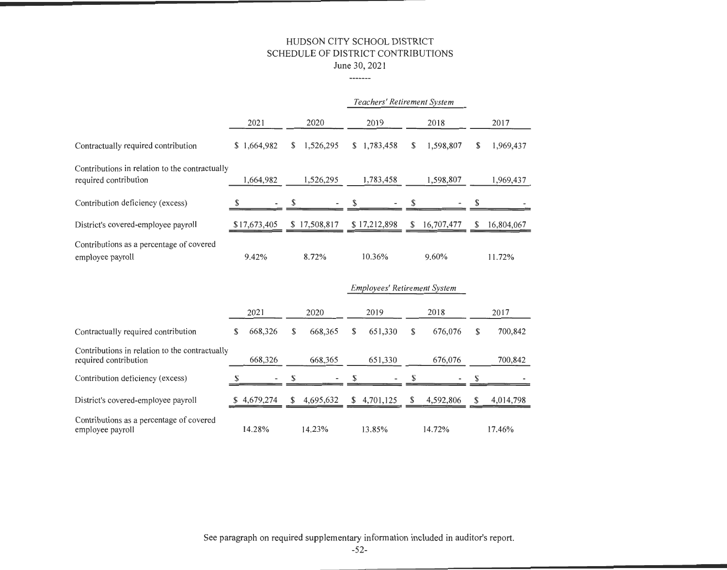#### HUDSON CITY SCHOOL DISTRICT SCHEDULE OF DISTRICT CONTRIBUTIONS June 30, 2021

#### ·--

|                                                                         |              |                 |                 | Teachers' Retirement System |                 |
|-------------------------------------------------------------------------|--------------|-----------------|-----------------|-----------------------------|-----------------|
|                                                                         | 2021         | 2020            | 2019            | 2018                        | 2017            |
| Contractually required contribution                                     | \$1,664,982  | 1,526,295<br>S. | 1,783,458<br>S. | 1,598,807<br>S              | 1,969,437<br>\$ |
| Contributions in relation to the contractually<br>required contribution | 1,664,982    | 1,526,295       | 1,783,458       | 1,598,807                   | 1,969,437       |
| Contribution deficiency (excess)                                        | \$           |                 |                 |                             |                 |
| District's covered-employee payroll                                     | \$17,673,405 | \$17,508,817    | \$17,212,898    | 16,707,477<br>\$.           | 16,804,067<br>S |
| Contributions as a percentage of covered<br>employee payroll            | 9.42%        | 8.72%           | 10.36%          | 9.60%                       | 11.72%          |

|                                                                         |    |             |     | <i>Employees' Retirement System</i> |   |             |    |           |   |           |
|-------------------------------------------------------------------------|----|-------------|-----|-------------------------------------|---|-------------|----|-----------|---|-----------|
|                                                                         |    | 2021        |     | 2020                                |   | 2019        |    | 2018      |   | 2017      |
| Contractually required contribution                                     | S. | 668,326     | \$  | 668,365                             | S | 651,330     | \$ | 676,076   | S | 700,842   |
| Contributions in relation to the contractually<br>required contribution |    | 668,326     |     | 668,365                             |   | 651,330     |    | 676,076   |   | 700,842   |
| Contribution deficiency (excess)                                        |    |             |     | $\overline{\phantom{0}}$            | Ж |             | Ж  |           |   |           |
| District's covered-employee payroll                                     |    | \$4.679.274 | \$. | 4,695,632                           |   | \$4,701,125 | S. | 4.592,806 |   | 4,014,798 |
| Contributions as a percentage of covered<br>employee payroll            |    | 14.28%      |     | 14.23%                              |   | 13.85%      |    | 14.72%    |   | 17.46%    |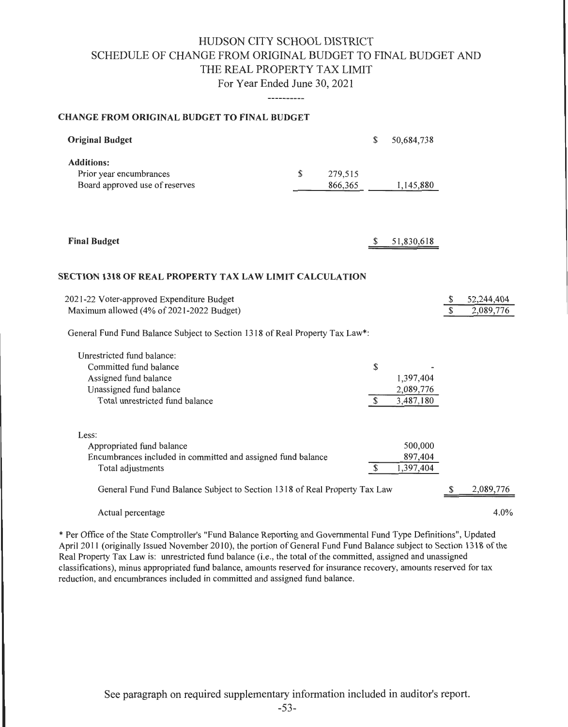# HUDSON CITY SCHOOL DISTRICT SCHEDULE OF CHANGE FROM ORIGINAL BUDGET TO FINAL BUDGET AND THE REAL PROPERTY TAX LIMIT For Year Ended June 30, 2021

-----------

#### CHANGE FROM ORIGINAL BUDGET TO FINAL BUDGET

| <b>Original Budget</b>                                                                                                                      |                          | \$                 | 50,684,738                          |                                |                         |
|---------------------------------------------------------------------------------------------------------------------------------------------|--------------------------|--------------------|-------------------------------------|--------------------------------|-------------------------|
| <b>Additions:</b><br>Prior year encumbrances<br>Board approved use of reserves                                                              | \$<br>279,515<br>866,365 |                    | 1,145,880                           |                                |                         |
| <b>Final Budget</b>                                                                                                                         |                          | \$                 | 51,830,618                          |                                |                         |
| SECTION 1318 OF REAL PROPERTY TAX LAW LIMIT CALCULATION                                                                                     |                          |                    |                                     |                                |                         |
| 2021-22 Voter-approved Expenditure Budget<br>Maximum allowed (4% of 2021-2022 Budget)                                                       |                          |                    |                                     | \$<br>$\overline{\mathcal{S}}$ | 52,244,404<br>2,089,776 |
| General Fund Fund Balance Subject to Section 1318 of Real Property Tax Law*:                                                                |                          |                    |                                     |                                |                         |
| Unrestricted fund balance:<br>Committed fund balance<br>Assigned fund balance<br>Unassigned fund balance<br>Total unrestricted fund balance |                          | \$<br>$\mathbb{S}$ | 1,397,404<br>2,089,776<br>3,487,180 |                                |                         |
| Less:<br>Appropriated fund balance<br>Encumbrances included in committed and assigned fund balance<br>Total adjustments                     |                          | \$                 | 500,000<br>897,404<br>1,397,404     |                                |                         |
| General Fund Fund Balance Subject to Section 1318 of Real Property Tax Law                                                                  |                          |                    |                                     | \$                             | 2,089,776               |
| Actual percentage                                                                                                                           |                          |                    |                                     |                                | 4.0%                    |

\*Per Office of the State Comptroller's "Fund Balance Reporting and Governmental Fund Type Definitions", Updated April 2011 (originally Issued November 2010), the portion of General Fund Fund Balance subject to Section 1318 of the Real Property Tax Law is: unrestricted fund balance (i.e., the total of the committed, assigned and unassigned classifications), minus appropriated fund balance, amounts reserved for insurance recovery, amounts reserved for tax reduction, and encumbrances included in committed and assigned fund balance.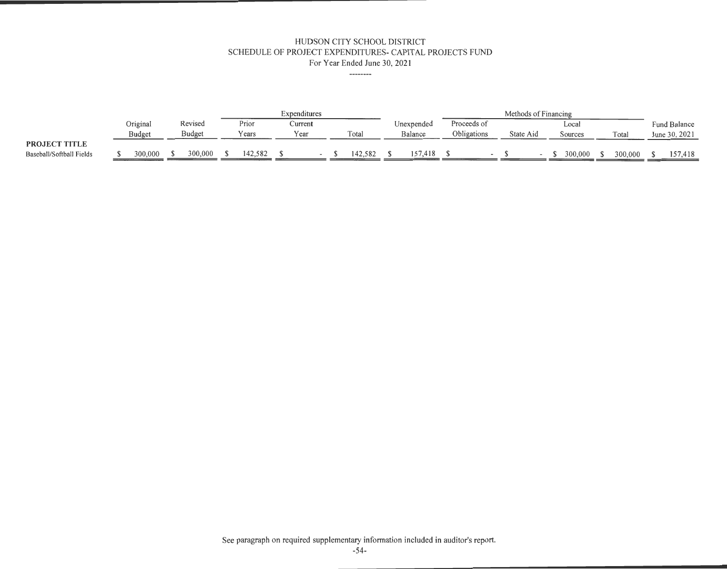#### HUDSON CITY SCHOOL DISTRICT SCHEDULE OF PROJECT EXPENDITURES- CAPITAL PROJECTS FUND For Year Ended June 30, 2021

--------

|                          |               |               |         | Expenditures |         |            |             | Methods of Financing |         |         |               |
|--------------------------|---------------|---------------|---------|--------------|---------|------------|-------------|----------------------|---------|---------|---------------|
|                          | Original      | Revised       | Prior   | Current      |         | Unexpended | Proceeds of |                      | Local   |         | Fund Balance  |
|                          | <b>Budget</b> | <b>Budget</b> | Years   | rear         | Total   | Balance    | Obligations | State Aid            | Sources | Total   | June 30, 2021 |
| <b>PROJECT TITLE</b>     |               |               |         |              |         |            |             |                      |         |         |               |
| Baseball/Softball Fields | 300,000       | 300,000       | 142,582 |              | 142.582 |            |             |                      | 300,000 | 300,000 | 157,418       |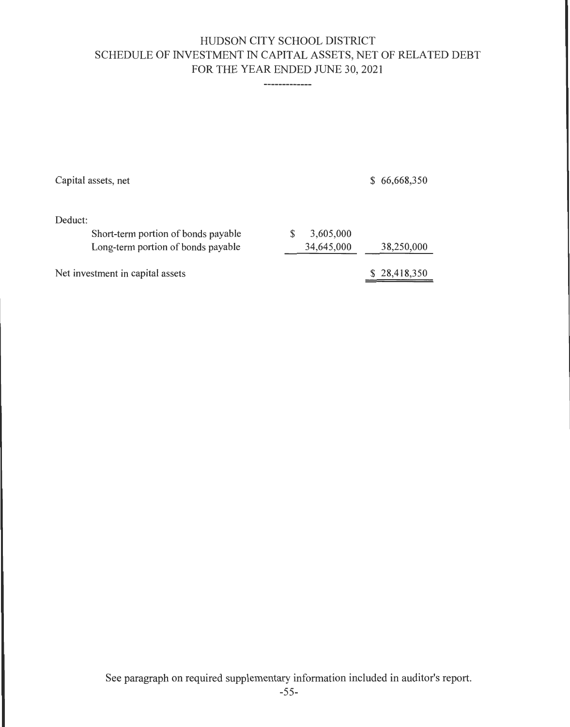# HUDSON CITY SCHOOL DISTRICT SCHEDULE OF INVESTMENT IN CAPITAL ASSETS, NET OF RELATED DEBT FOR THE YEAR ENDED JUNE 30, 2021

-------------

| Capital assets, net                 |            | \$66,668,350 |
|-------------------------------------|------------|--------------|
| Deduct:                             |            |              |
| Short-term portion of bonds payable | 3,605,000  |              |
| Long-term portion of bonds payable  | 34,645,000 | 38,250,000   |
| Net investment in capital assets    |            | \$28,418,350 |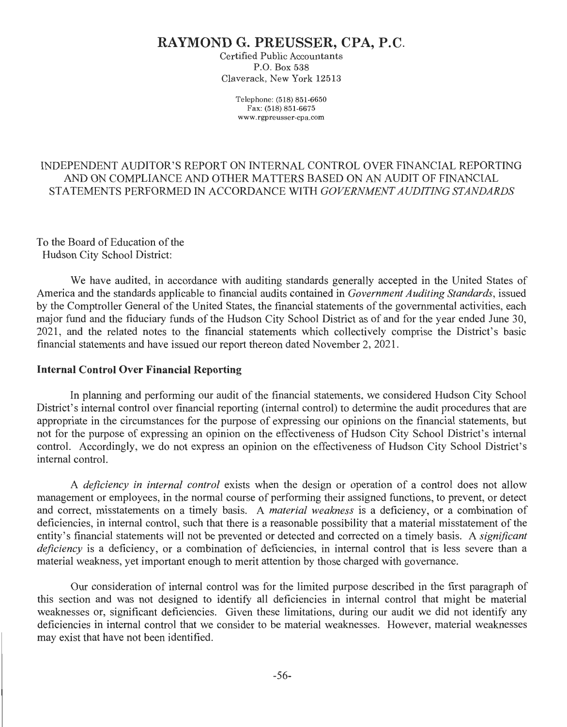# **RAYMOND G. PREUSSER, CPA, P.C.**

Certified Public Accountants P.O. Box 538 Claverack, New York 12513

> Telephone: (518) 851-6650 Fax: (518) 851-6675 www.rgpreusser-cpa .com

## INDEPENDENT AUDITOR'S REPORT ON INTERNAL CONTROL OVER FINANCIAL REPORTING AND ON COMPLIANCE AND OTHER MATTERS BASED ON AN AUDIT OF FINANCIAL STATEMENTS PERFORMED IN ACCORDANCE WITH *GOVERNMENT AUDITING STANDARDS*

To the Board of Education of the Hudson City School District:

We have audited, in accordance with auditing standards generally accepted in the United States of America and the standards applicable to financial audits contained in *Government Auditing Standards,* issued by the Comptroller General of the United States, the financial statements of the governmental activities, each major fund and the fiduciary funds of the Hudson City School District as of and for the year ended June 30, 2021, and the related notes to the financial statements which collectively comprise the District's basic financial statements and have issued our report thereon dated November 2, 2021.

#### **Internal Control Over Financial Reporting**

In planning and performing our audit of the financial statements, we considered Hudson City School District's internal control over financial reporting (internal control) to determine the audit procedures that are appropriate in the circumstances for the purpose of expressing our opinions on the financial statements, but not for the purpose of expressing an opinion on the effectiveness of Hudson City School District's internal control. Accordingly, we do not express an opinion on the effectiveness of Hudson City School District's internal control.

A *deficiency in internal control* exists when the design or operation of a control does not allow management or employees, in the normal course of performing their assigned functions, to prevent, or detect and correct, misstatements on a timely basis. A *material weakness* is a deficiency, or a combination of deficiencies, in internal control, such that there is a reasonable possibility that a material misstatement of the entity's financial statements will not be prevented or detected and corrected on a timely basis. A *significant deficiency* is a deficiency, or a combination of deficiencies, in internal control that is less severe than a material weakness, yet important enough to merit attention by those charged with governance.

Our consideration of internal control was for the limited purpose described in the first paragraph of this section and was not designed to identify all deficiencies in internal control that might be material weaknesses or, significant deficiencies. Given these limitations, during our audit we did not identify any deficiencies in internal control that we consider to be material weaknesses. However, material weaknesses may exist that have not been identified.